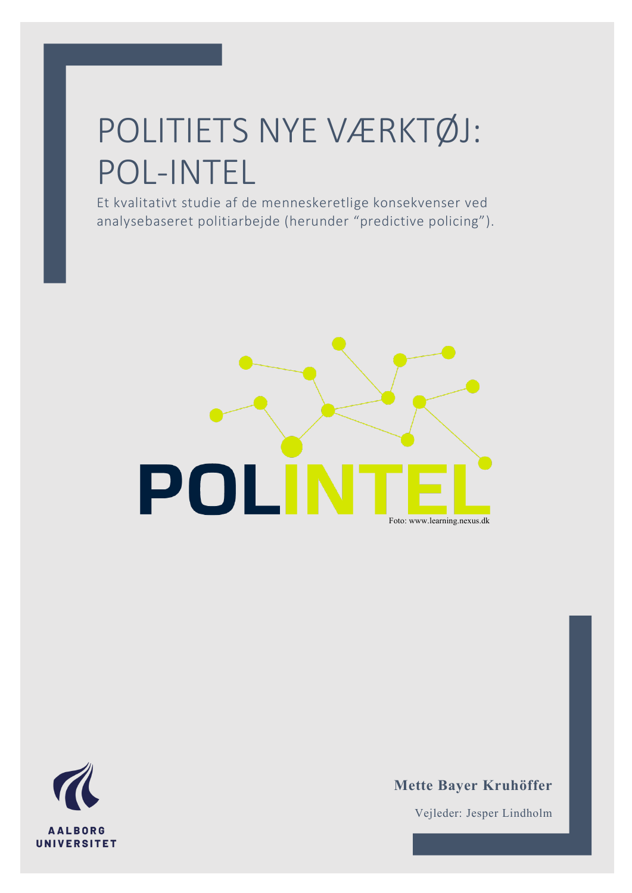# POLITIETS NYE VÆRKTØJ: POL-INTEL

Et kvalitativt studie af de menneskeretlige konsekvenser ved analysebaseret politiarbejde (herunder "predictive policing").





**Mette Bayer Kruhöffer**

Vejleder: Jesper Lindholm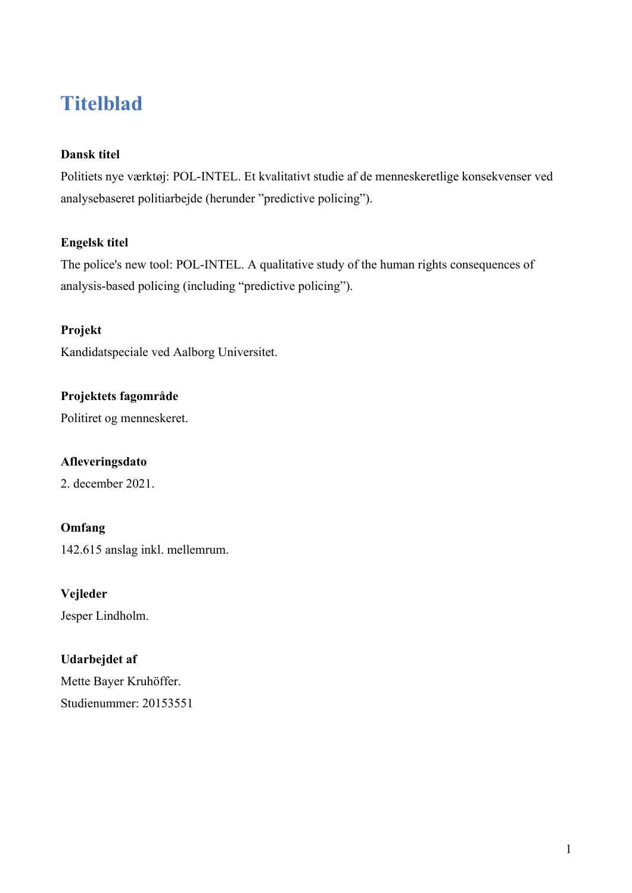# **Titelblad**

## **Dansk titel**

Politiets nye værktøj: POL-INTEL. Et kvalitativt studie af de menneskeretlige konsekvenser ved analysebaseret politiarbejde (herunder "predictive policing").

## **Engelsk titel**

The police's new tool: POL-INTEL. A qualitative study of the human rights consequences of analysis-based policing (including "predictive policing").

#### **Projekt**

Kandidatspeciale ved Aalborg Universitet.

## **Projektets fagområde**

Politiret og menneskeret.

#### **Afleveringsdato**

2. december 2021.

#### **Omfang**

142.615 anslag inkl. mellemrum.

**Vejleder** Jesper Lindholm.

## **Udarbejdet af**

Mette Bayer Kruhöffer. Studienummer: 20153551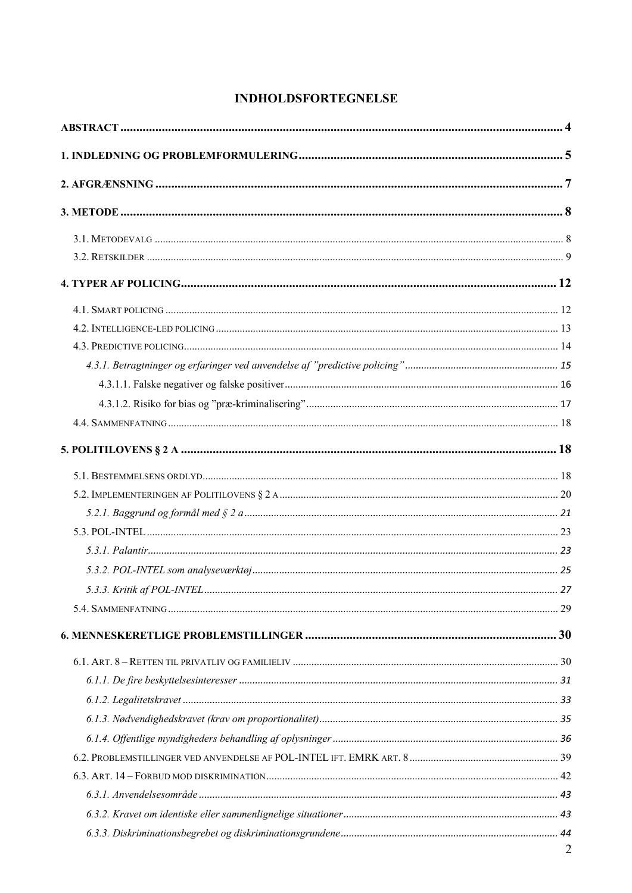## **INDHOLDSFORTEGNELSE**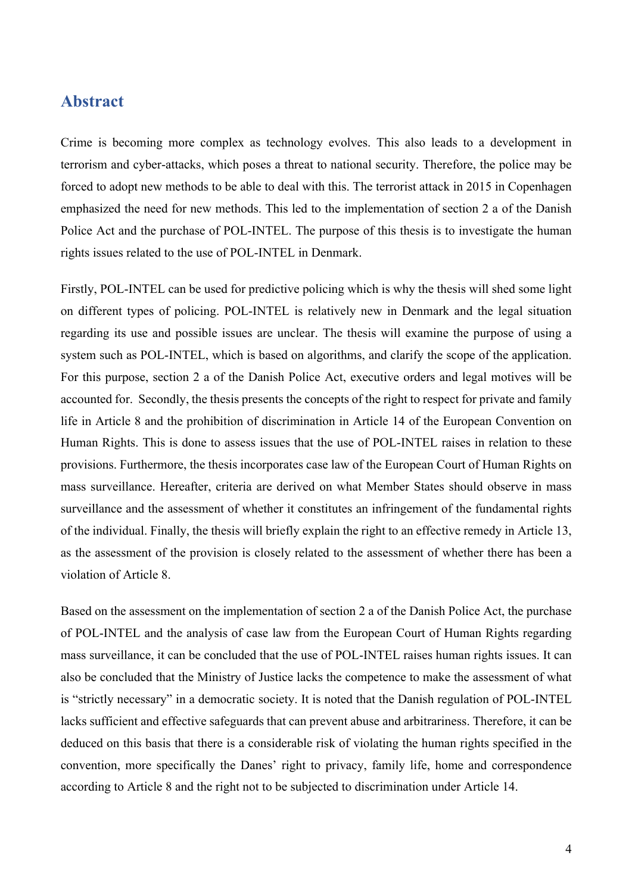## **Abstract**

Crime is becoming more complex as technology evolves. This also leads to a development in terrorism and cyber-attacks, which poses a threat to national security. Therefore, the police may be forced to adopt new methods to be able to deal with this. The terrorist attack in 2015 in Copenhagen emphasized the need for new methods. This led to the implementation of section 2 a of the Danish Police Act and the purchase of POL-INTEL. The purpose of this thesis is to investigate the human rights issues related to the use of POL-INTEL in Denmark.

Firstly, POL-INTEL can be used for predictive policing which is why the thesis will shed some light on different types of policing. POL-INTEL is relatively new in Denmark and the legal situation regarding its use and possible issues are unclear. The thesis will examine the purpose of using a system such as POL-INTEL, which is based on algorithms, and clarify the scope of the application. For this purpose, section 2 a of the Danish Police Act, executive orders and legal motives will be accounted for. Secondly, the thesis presents the concepts of the right to respect for private and family life in Article 8 and the prohibition of discrimination in Article 14 of the European Convention on Human Rights. This is done to assess issues that the use of POL-INTEL raises in relation to these provisions. Furthermore, the thesis incorporates case law of the European Court of Human Rights on mass surveillance. Hereafter, criteria are derived on what Member States should observe in mass surveillance and the assessment of whether it constitutes an infringement of the fundamental rights of the individual. Finally, the thesis will briefly explain the right to an effective remedy in Article 13, as the assessment of the provision is closely related to the assessment of whether there has been a violation of Article 8.

Based on the assessment on the implementation of section 2 a of the Danish Police Act, the purchase of POL-INTEL and the analysis of case law from the European Court of Human Rights regarding mass surveillance, it can be concluded that the use of POL-INTEL raises human rights issues. It can also be concluded that the Ministry of Justice lacks the competence to make the assessment of what is "strictly necessary" in a democratic society. It is noted that the Danish regulation of POL-INTEL lacks sufficient and effective safeguards that can prevent abuse and arbitrariness. Therefore, it can be deduced on this basis that there is a considerable risk of violating the human rights specified in the convention, more specifically the Danes' right to privacy, family life, home and correspondence according to Article 8 and the right not to be subjected to discrimination under Article 14.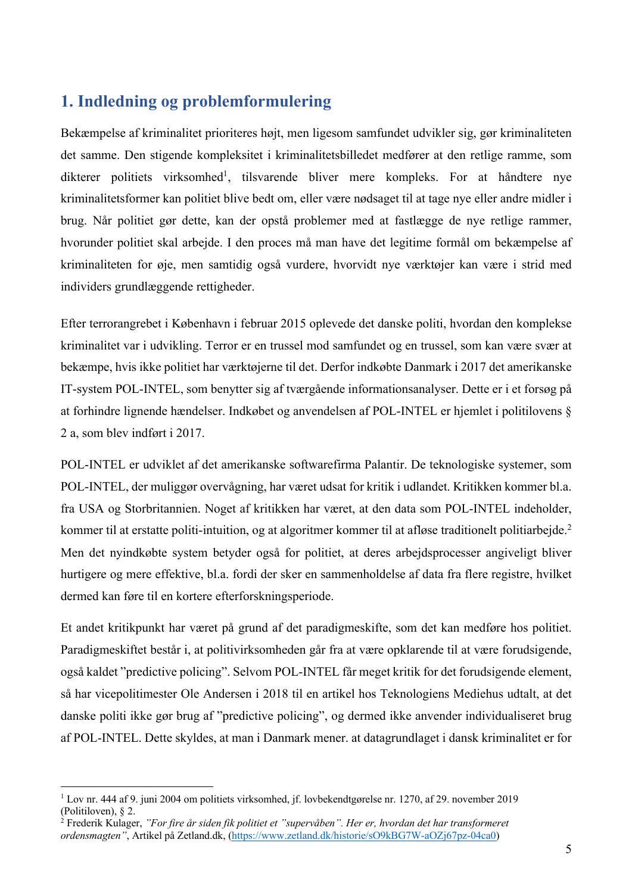## **1. Indledning og problemformulering**

Bekæmpelse af kriminalitet prioriteres højt, men ligesom samfundet udvikler sig, gør kriminaliteten det samme. Den stigende kompleksitet i kriminalitetsbilledet medfører at den retlige ramme, som dikterer politiets virksomhed<sup>1</sup>, tilsvarende bliver mere kompleks. For at håndtere nye kriminalitetsformer kan politiet blive bedt om, eller være nødsaget til at tage nye eller andre midler i brug. Når politiet gør dette, kan der opstå problemer med at fastlægge de nye retlige rammer, hvorunder politiet skal arbejde. I den proces må man have det legitime formål om bekæmpelse af kriminaliteten for øje, men samtidig også vurdere, hvorvidt nye værktøjer kan være i strid med individers grundlæggende rettigheder.

Efter terrorangrebet i København i februar 2015 oplevede det danske politi, hvordan den komplekse kriminalitet var i udvikling. Terror er en trussel mod samfundet og en trussel, som kan være svær at bekæmpe, hvis ikke politiet har værktøjerne til det. Derfor indkøbte Danmark i 2017 det amerikanske IT-system POL-INTEL, som benytter sig af tværgående informationsanalyser. Dette er i et forsøg på at forhindre lignende hændelser. Indkøbet og anvendelsen af POL-INTEL er hjemlet i politilovens § 2 a, som blev indført i 2017.

POL-INTEL er udviklet af det amerikanske softwarefirma Palantir. De teknologiske systemer, som POL-INTEL, der muliggør overvågning, har været udsat for kritik i udlandet. Kritikken kommer bl.a. fra USA og Storbritannien. Noget af kritikken har været, at den data som POL-INTEL indeholder, kommer til at erstatte politi-intuition, og at algoritmer kommer til at afløse traditionelt politiarbejde. 2 Men det nyindkøbte system betyder også for politiet, at deres arbejdsprocesser angiveligt bliver hurtigere og mere effektive, bl.a. fordi der sker en sammenholdelse af data fra flere registre, hvilket dermed kan føre til en kortere efterforskningsperiode.

Et andet kritikpunkt har været på grund af det paradigmeskifte, som det kan medføre hos politiet. Paradigmeskiftet består i, at politivirksomheden går fra at være opklarende til at være forudsigende, også kaldet "predictive policing". Selvom POL-INTEL får meget kritik for det forudsigende element, så har vicepolitimester Ole Andersen i 2018 til en artikel hos Teknologiens Mediehus udtalt, at det danske politi ikke gør brug af "predictive policing", og dermed ikke anvender individualiseret brug af POL-INTEL. Dette skyldes, at man i Danmark mener. at datagrundlaget i dansk kriminalitet er for

<sup>1</sup> Lov nr. 444 af 9. juni 2004 om politiets virksomhed, jf. lovbekendtgørelse nr. 1270, af 29. november 2019 (Politiloven), § 2.

<sup>2</sup> Frederik Kulager, *"For fire år siden fik politiet et "supervåben". Her er, hvordan det har transformeret ordensmagten"*, Artikel på Zetland.dk, (https://www.zetland.dk/historie/sO9kBG7W-aOZj67pz-04ca0)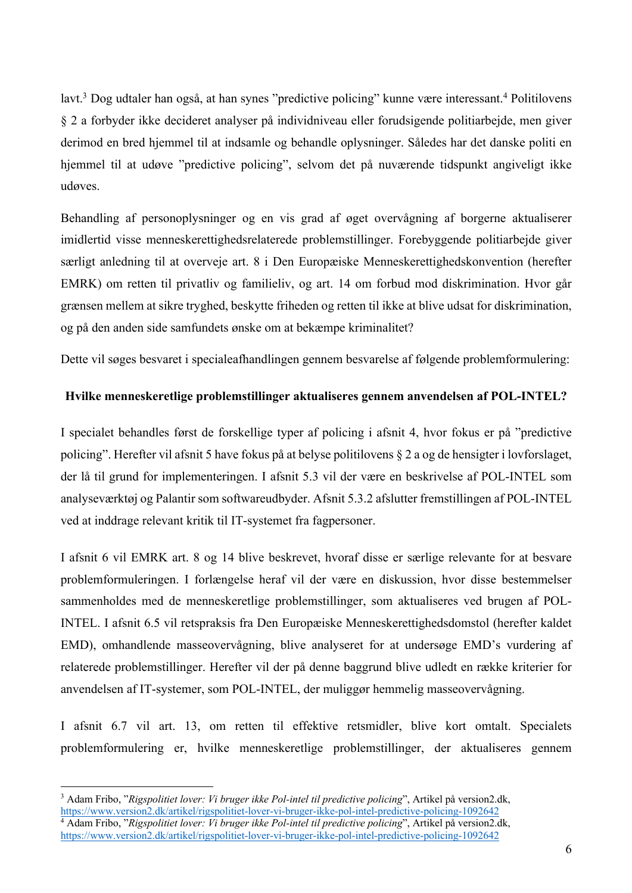lavt.<sup>3</sup> Dog udtaler han også, at han synes "predictive policing" kunne være interessant.<sup>4</sup> Politilovens § 2 a forbyder ikke decideret analyser på individniveau eller forudsigende politiarbejde, men giver derimod en bred hjemmel til at indsamle og behandle oplysninger. Således har det danske politi en hjemmel til at udøve "predictive policing", selvom det på nuværende tidspunkt angiveligt ikke udøves.

Behandling af personoplysninger og en vis grad af øget overvågning af borgerne aktualiserer imidlertid visse menneskerettighedsrelaterede problemstillinger. Forebyggende politiarbejde giver særligt anledning til at overveje art. 8 i Den Europæiske Menneskerettighedskonvention (herefter EMRK) om retten til privatliv og familieliv, og art. 14 om forbud mod diskrimination. Hvor går grænsen mellem at sikre tryghed, beskytte friheden og retten til ikke at blive udsat for diskrimination, og på den anden side samfundets ønske om at bekæmpe kriminalitet?

Dette vil søges besvaret i specialeafhandlingen gennem besvarelse af følgende problemformulering:

#### **Hvilke menneskeretlige problemstillinger aktualiseres gennem anvendelsen af POL-INTEL?**

I specialet behandles først de forskellige typer af policing i afsnit 4, hvor fokus er på "predictive policing". Herefter vil afsnit 5 have fokus på at belyse politilovens § 2 a og de hensigter i lovforslaget, der lå til grund for implementeringen. I afsnit 5.3 vil der være en beskrivelse af POL-INTEL som analyseværktøj og Palantir som softwareudbyder. Afsnit 5.3.2 afslutter fremstillingen af POL-INTEL ved at inddrage relevant kritik til IT-systemet fra fagpersoner.

I afsnit 6 vil EMRK art. 8 og 14 blive beskrevet, hvoraf disse er særlige relevante for at besvare problemformuleringen. I forlængelse heraf vil der være en diskussion, hvor disse bestemmelser sammenholdes med de menneskeretlige problemstillinger, som aktualiseres ved brugen af POL-INTEL. I afsnit 6.5 vil retspraksis fra Den Europæiske Menneskerettighedsdomstol (herefter kaldet EMD), omhandlende masseovervågning, blive analyseret for at undersøge EMD's vurdering af relaterede problemstillinger. Herefter vil der på denne baggrund blive udledt en række kriterier for anvendelsen af IT-systemer, som POL-INTEL, der muliggør hemmelig masseovervågning.

I afsnit 6.7 vil art. 13, om retten til effektive retsmidler, blive kort omtalt. Specialets problemformulering er, hvilke menneskeretlige problemstillinger, der aktualiseres gennem

<sup>3</sup> Adam Fribo, "*Rigspolitiet lover: Vi bruger ikke Pol-intel til predictive policing*", Artikel på version2.dk, https://www.version2.dk/artikel/rigspolitiet-lover-vi-bruger-ikke-pol-intel-predictive-policing-1092642

<sup>4</sup> Adam Fribo, "*Rigspolitiet lover: Vi bruger ikke Pol-intel til predictive policing*", Artikel på version2.dk, https://www.version2.dk/artikel/rigspolitiet-lover-vi-bruger-ikke-pol-intel-predictive-policing-1092642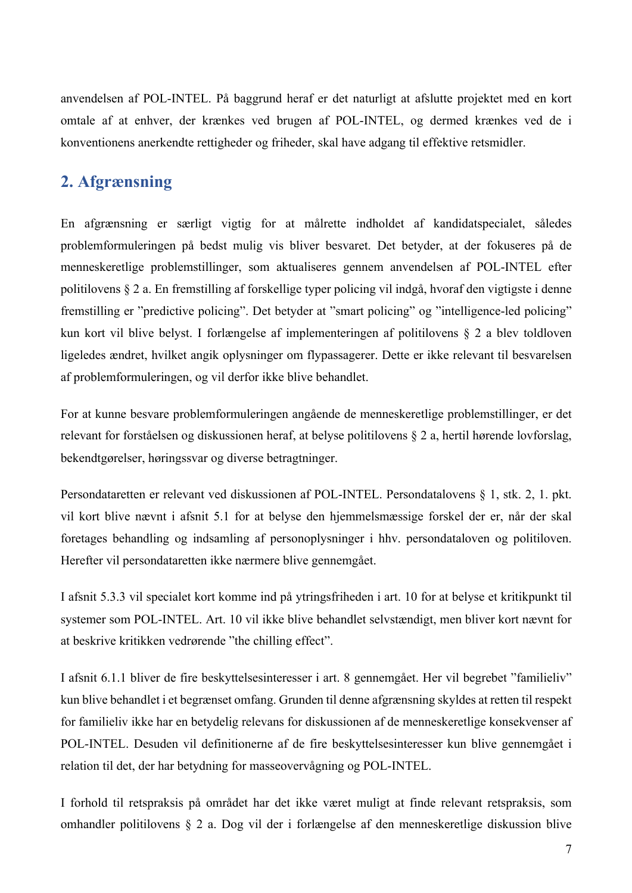anvendelsen af POL-INTEL. På baggrund heraf er det naturligt at afslutte projektet med en kort omtale af at enhver, der krænkes ved brugen af POL-INTEL, og dermed krænkes ved de i konventionens anerkendte rettigheder og friheder, skal have adgang til effektive retsmidler.

## **2. Afgrænsning**

En afgrænsning er særligt vigtig for at målrette indholdet af kandidatspecialet, således problemformuleringen på bedst mulig vis bliver besvaret. Det betyder, at der fokuseres på de menneskeretlige problemstillinger, som aktualiseres gennem anvendelsen af POL-INTEL efter politilovens § 2 a. En fremstilling af forskellige typer policing vil indgå, hvoraf den vigtigste i denne fremstilling er "predictive policing". Det betyder at "smart policing" og "intelligence-led policing" kun kort vil blive belyst. I forlængelse af implementeringen af politilovens § 2 a blev toldloven ligeledes ændret, hvilket angik oplysninger om flypassagerer. Dette er ikke relevant til besvarelsen af problemformuleringen, og vil derfor ikke blive behandlet.

For at kunne besvare problemformuleringen angående de menneskeretlige problemstillinger, er det relevant for forståelsen og diskussionen heraf, at belyse politilovens § 2 a, hertil hørende lovforslag, bekendtgørelser, høringssvar og diverse betragtninger.

Persondataretten er relevant ved diskussionen af POL-INTEL. Persondatalovens § 1, stk. 2, 1. pkt. vil kort blive nævnt i afsnit 5.1 for at belyse den hjemmelsmæssige forskel der er, når der skal foretages behandling og indsamling af personoplysninger i hhv. persondataloven og politiloven. Herefter vil persondataretten ikke nærmere blive gennemgået.

I afsnit 5.3.3 vil specialet kort komme ind på ytringsfriheden i art. 10 for at belyse et kritikpunkt til systemer som POL-INTEL. Art. 10 vil ikke blive behandlet selvstændigt, men bliver kort nævnt for at beskrive kritikken vedrørende "the chilling effect".

I afsnit 6.1.1 bliver de fire beskyttelsesinteresser i art. 8 gennemgået. Her vil begrebet "familieliv" kun blive behandlet i et begrænset omfang. Grunden til denne afgrænsning skyldes at retten til respekt for familieliv ikke har en betydelig relevans for diskussionen af de menneskeretlige konsekvenser af POL-INTEL. Desuden vil definitionerne af de fire beskyttelsesinteresser kun blive gennemgået i relation til det, der har betydning for masseovervågning og POL-INTEL.

I forhold til retspraksis på området har det ikke været muligt at finde relevant retspraksis, som omhandler politilovens § 2 a. Dog vil der i forlængelse af den menneskeretlige diskussion blive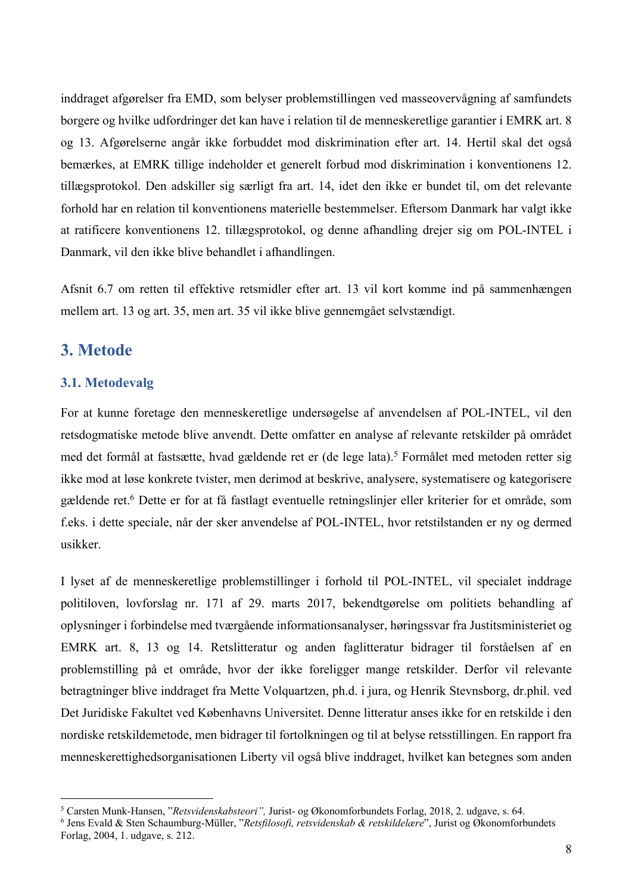inddraget afgørelser fra EMD, som belyser problemstillingen ved masseovervågning af samfundets borgere og hvilke udfordringer det kan have i relation til de menneskeretlige garantier i EMRK art. 8 og 13. Afgørelserne angår ikke forbuddet mod diskrimination efter art. 14. Hertil skal det også bemærkes, at EMRK tillige indeholder et generelt forbud mod diskrimination i konventionens 12. tillægsprotokol. Den adskiller sig særligt fra art. 14, idet den ikke er bundet til, om det relevante forhold har en relation til konventionens materielle bestemmelser. Eftersom Danmark har valgt ikke at ratificere konventionens 12. tillægsprotokol, og denne afhandling drejer sig om POL-INTEL i Danmark, vil den ikke blive behandlet i afhandlingen.

Afsnit 6.7 om retten til effektive retsmidler efter art. 13 vil kort komme ind på sammenhængen mellem art. 13 og art. 35, men art. 35 vil ikke blive gennemgået selvstændigt.

## **3. Metode**

#### **3.1. Metodevalg**

For at kunne foretage den menneskeretlige undersøgelse af anvendelsen af POL-INTEL, vil den retsdogmatiske metode blive anvendt. Dette omfatter en analyse af relevante retskilder på området med det formål at fastsætte, hvad gældende ret er (de lege lata). <sup>5</sup> Formålet med metoden retter sig ikke mod at løse konkrete tvister, men derimod at beskrive, analysere, systematisere og kategorisere gældende ret.6 Dette er for at få fastlagt eventuelle retningslinjer eller kriterier for et område, som f.eks. i dette speciale, når der sker anvendelse af POL-INTEL, hvor retstilstanden er ny og dermed usikker.

I lyset af de menneskeretlige problemstillinger i forhold til POL-INTEL, vil specialet inddrage politiloven, lovforslag nr. 171 af 29. marts 2017, bekendtgørelse om politiets behandling af oplysninger i forbindelse med tværgående informationsanalyser, høringssvar fra Justitsministeriet og EMRK art. 8, 13 og 14. Retslitteratur og anden faglitteratur bidrager til forståelsen af en problemstilling på et område, hvor der ikke foreligger mange retskilder. Derfor vil relevante betragtninger blive inddraget fra Mette Volquartzen, ph.d. i jura, og Henrik Stevnsborg, dr.phil. ved Det Juridiske Fakultet ved Københavns Universitet. Denne litteratur anses ikke for en retskilde i den nordiske retskildemetode, men bidrager til fortolkningen og til at belyse retsstillingen. En rapport fra menneskerettighedsorganisationen Liberty vil også blive inddraget, hvilket kan betegnes som anden

<sup>5</sup> Carsten Munk-Hansen, "*Retsvidenskabsteori",* Jurist- og Økonomforbundets Forlag, 2018, 2. udgave, s. 64.

<sup>6</sup> Jens Evald & Sten Schaumburg-Müller, "*Retsfilosofi, retsvidenskab & retskildelære*", Jurist og Økonomforbundets Forlag, 2004, 1. udgave, s. 212.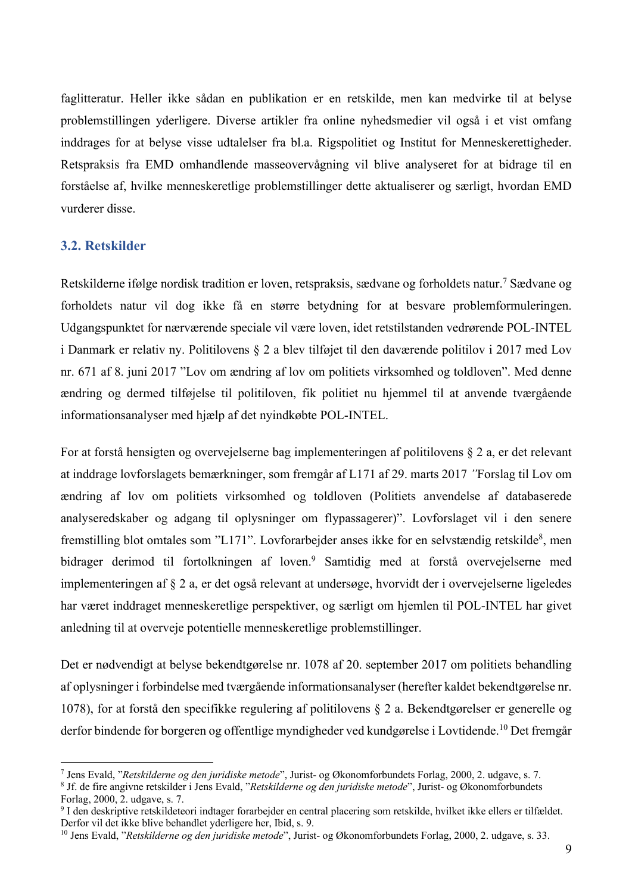faglitteratur. Heller ikke sådan en publikation er en retskilde, men kan medvirke til at belyse problemstillingen yderligere. Diverse artikler fra online nyhedsmedier vil også i et vist omfang inddrages for at belyse visse udtalelser fra bl.a. Rigspolitiet og Institut for Menneskerettigheder. Retspraksis fra EMD omhandlende masseovervågning vil blive analyseret for at bidrage til en forståelse af, hvilke menneskeretlige problemstillinger dette aktualiserer og særligt, hvordan EMD vurderer disse.

#### **3.2. Retskilder**

Retskilderne ifølge nordisk tradition er loven, retspraksis, sædvane og forholdets natur. <sup>7</sup> Sædvane og forholdets natur vil dog ikke få en større betydning for at besvare problemformuleringen. Udgangspunktet for nærværende speciale vil være loven, idet retstilstanden vedrørende POL-INTEL i Danmark er relativ ny. Politilovens § 2 a blev tilføjet til den daværende politilov i 2017 med Lov nr. 671 af 8. juni 2017 "Lov om ændring af lov om politiets virksomhed og toldloven". Med denne ændring og dermed tilføjelse til politiloven, fik politiet nu hjemmel til at anvende tværgående informationsanalyser med hjælp af det nyindkøbte POL-INTEL.

For at forstå hensigten og overvejelserne bag implementeringen af politilovens § 2 a, er det relevant at inddrage lovforslagets bemærkninger, som fremgår af L171 af 29. marts 2017 *"*Forslag til Lov om ændring af lov om politiets virksomhed og toldloven (Politiets anvendelse af databaserede analyseredskaber og adgang til oplysninger om flypassagerer)". Lovforslaget vil i den senere fremstilling blot omtales som "L171". Lovforarbejder anses ikke for en selvstændig retskilde<sup>8</sup>, men bidrager derimod til fortolkningen af loven.9 Samtidig med at forstå overvejelserne med implementeringen af § 2 a, er det også relevant at undersøge, hvorvidt der i overvejelserne ligeledes har været inddraget menneskeretlige perspektiver, og særligt om hjemlen til POL-INTEL har givet anledning til at overveje potentielle menneskeretlige problemstillinger.

Det er nødvendigt at belyse bekendtgørelse nr. 1078 af 20. september 2017 om politiets behandling af oplysninger i forbindelse med tværgående informationsanalyser (herefter kaldet bekendtgørelse nr. 1078), for at forstå den specifikke regulering af politilovens § 2 a. Bekendtgørelser er generelle og derfor bindende for borgeren og offentlige myndigheder ved kundgørelse i Lovtidende.<sup>10</sup> Det fremgår

<sup>7</sup> Jens Evald, "*Retskilderne og den juridiske metode*", Jurist- og Økonomforbundets Forlag, 2000, 2. udgave, s. 7.

<sup>8</sup> Jf. de fire angivne retskilder i Jens Evald, "*Retskilderne og den juridiske metode*", Jurist- og Økonomforbundets Forlag, 2000, 2. udgave, s. 7.

<sup>&</sup>lt;sup>9</sup> I den deskriptive retskildeteori indtager forarbejder en central placering som retskilde, hvilket ikke ellers er tilfældet. Derfor vil det ikke blive behandlet yderligere her, Ibid, s. 9.

<sup>10</sup> Jens Evald, "*Retskilderne og den juridiske metode*", Jurist- og Økonomforbundets Forlag, 2000, 2. udgave, s. 33.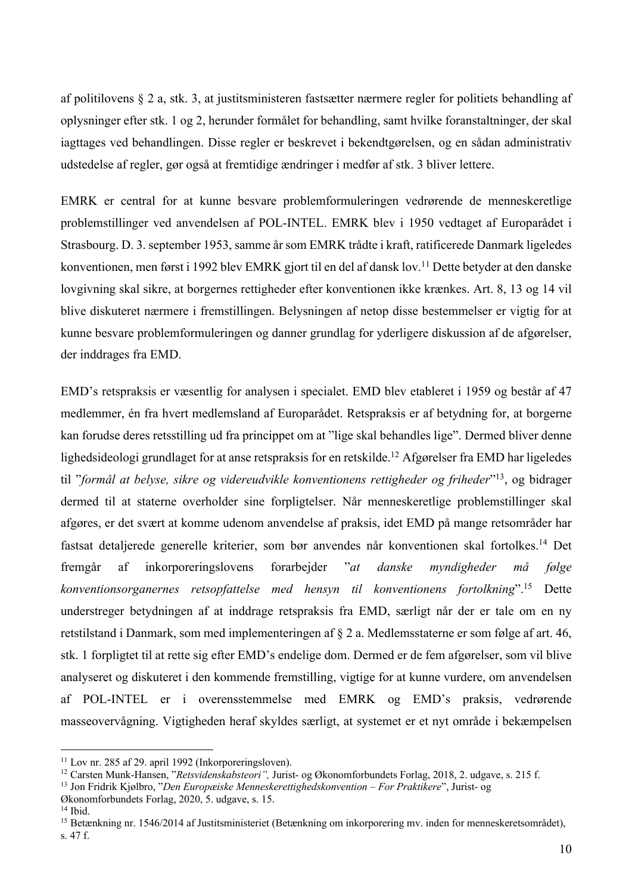af politilovens § 2 a, stk. 3, at justitsministeren fastsætter nærmere regler for politiets behandling af oplysninger efter stk. 1 og 2, herunder formålet for behandling, samt hvilke foranstaltninger, der skal iagttages ved behandlingen. Disse regler er beskrevet i bekendtgørelsen, og en sådan administrativ udstedelse af regler, gør også at fremtidige ændringer i medfør af stk. 3 bliver lettere.

EMRK er central for at kunne besvare problemformuleringen vedrørende de menneskeretlige problemstillinger ved anvendelsen af POL-INTEL. EMRK blev i 1950 vedtaget af Europarådet i Strasbourg. D. 3. september 1953, samme år som EMRK trådte i kraft, ratificerede Danmark ligeledes konventionen, men først i 1992 blev EMRK gjort til en del af dansk lov.<sup>11</sup> Dette betyder at den danske lovgivning skal sikre, at borgernes rettigheder efter konventionen ikke krænkes. Art. 8, 13 og 14 vil blive diskuteret nærmere i fremstillingen. Belysningen af netop disse bestemmelser er vigtig for at kunne besvare problemformuleringen og danner grundlag for yderligere diskussion af de afgørelser, der inddrages fra EMD.

EMD's retspraksis er væsentlig for analysen i specialet. EMD blev etableret i 1959 og består af 47 medlemmer, én fra hvert medlemsland af Europarådet. Retspraksis er af betydning for, at borgerne kan forudse deres retsstilling ud fra princippet om at "lige skal behandles lige". Dermed bliver denne lighedsideologi grundlaget for at anse retspraksis for en retskilde.<sup>12</sup> Afgørelser fra EMD har ligeledes til "*formål at belyse, sikre og videreudvikle konventionens rettigheder og friheder*"13, og bidrager dermed til at staterne overholder sine forpligtelser. Når menneskeretlige problemstillinger skal afgøres, er det svært at komme udenom anvendelse af praksis, idet EMD på mange retsområder har fastsat detaljerede generelle kriterier, som bør anvendes når konventionen skal fortolkes.14 Det fremgår af inkorporeringslovens forarbejder "*at danske myndigheder må følge konventionsorganernes retsopfattelse med hensyn til konventionens fortolkning*". <sup>15</sup> Dette understreger betydningen af at inddrage retspraksis fra EMD, særligt når der er tale om en ny retstilstand i Danmark, som med implementeringen af § 2 a. Medlemsstaterne er som følge af art. 46, stk. 1 forpligtet til at rette sig efter EMD's endelige dom. Dermed er de fem afgørelser, som vil blive analyseret og diskuteret i den kommende fremstilling, vigtige for at kunne vurdere, om anvendelsen af POL-INTEL er i overensstemmelse med EMRK og EMD's praksis, vedrørende masseovervågning. Vigtigheden heraf skyldes særligt, at systemet er et nyt område i bekæmpelsen

 $11$  Lov nr. 285 af 29. april 1992 (Inkorporeringsloven).

<sup>12</sup> Carsten Munk-Hansen, "*Retsvidenskabsteori",* Jurist- og Økonomforbundets Forlag, 2018, 2. udgave, s. 215 f.

<sup>13</sup> Jon Fridrik Kjølbro, "*Den Europæiske Menneskerettighedskonvention – For Praktikere*", Jurist- og

Økonomforbundets Forlag, 2020, 5. udgave, s. 15.

<sup>14</sup> Ibid.

<sup>&</sup>lt;sup>15</sup> Betænkning nr. 1546/2014 af Justitsministeriet (Betænkning om inkorporering mv. inden for menneskeretsområdet), s. 47 f.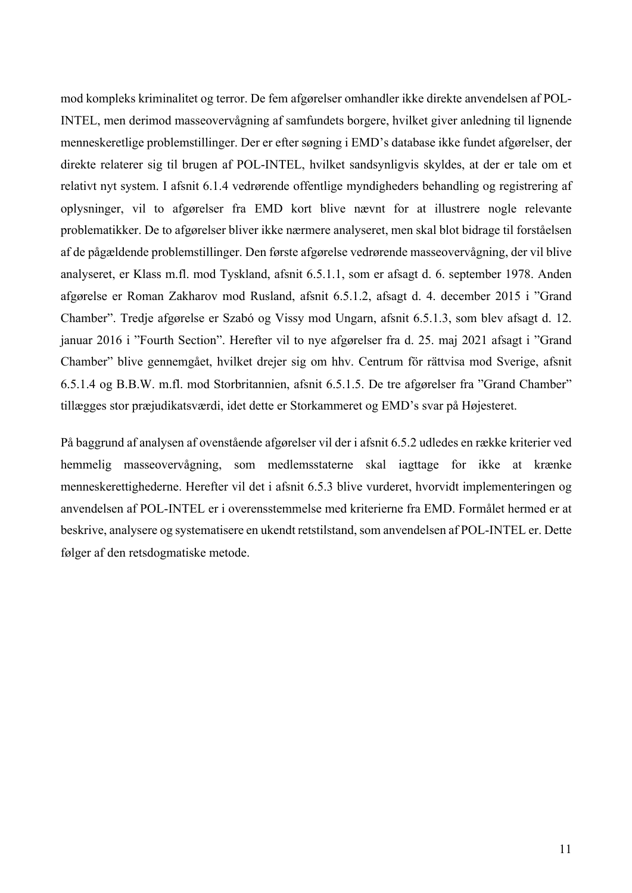mod kompleks kriminalitet og terror. De fem afgørelser omhandler ikke direkte anvendelsen af POL-INTEL, men derimod masseovervågning af samfundets borgere, hvilket giver anledning til lignende menneskeretlige problemstillinger. Der er efter søgning i EMD's database ikke fundet afgørelser, der direkte relaterer sig til brugen af POL-INTEL, hvilket sandsynligvis skyldes, at der er tale om et relativt nyt system. I afsnit 6.1.4 vedrørende offentlige myndigheders behandling og registrering af oplysninger, vil to afgørelser fra EMD kort blive nævnt for at illustrere nogle relevante problematikker. De to afgørelser bliver ikke nærmere analyseret, men skal blot bidrage til forståelsen af de pågældende problemstillinger. Den første afgørelse vedrørende masseovervågning, der vil blive analyseret, er Klass m.fl. mod Tyskland, afsnit 6.5.1.1, som er afsagt d. 6. september 1978. Anden afgørelse er Roman Zakharov mod Rusland, afsnit 6.5.1.2, afsagt d. 4. december 2015 i "Grand Chamber". Tredje afgørelse er Szabó og Vissy mod Ungarn, afsnit 6.5.1.3, som blev afsagt d. 12. januar 2016 i "Fourth Section". Herefter vil to nye afgørelser fra d. 25. maj 2021 afsagt i "Grand Chamber" blive gennemgået, hvilket drejer sig om hhv. Centrum för rättvisa mod Sverige, afsnit 6.5.1.4 og B.B.W. m.fl. mod Storbritannien, afsnit 6.5.1.5. De tre afgørelser fra "Grand Chamber" tillægges stor præjudikatsværdi, idet dette er Storkammeret og EMD's svar på Højesteret.

På baggrund af analysen af ovenstående afgørelser vil der i afsnit 6.5.2 udledes en række kriterier ved hemmelig masseovervågning, som medlemsstaterne skal iagttage for ikke at krænke menneskerettighederne. Herefter vil det i afsnit 6.5.3 blive vurderet, hvorvidt implementeringen og anvendelsen af POL-INTEL er i overensstemmelse med kriterierne fra EMD. Formålet hermed er at beskrive, analysere og systematisere en ukendt retstilstand, som anvendelsen af POL-INTEL er. Dette følger af den retsdogmatiske metode.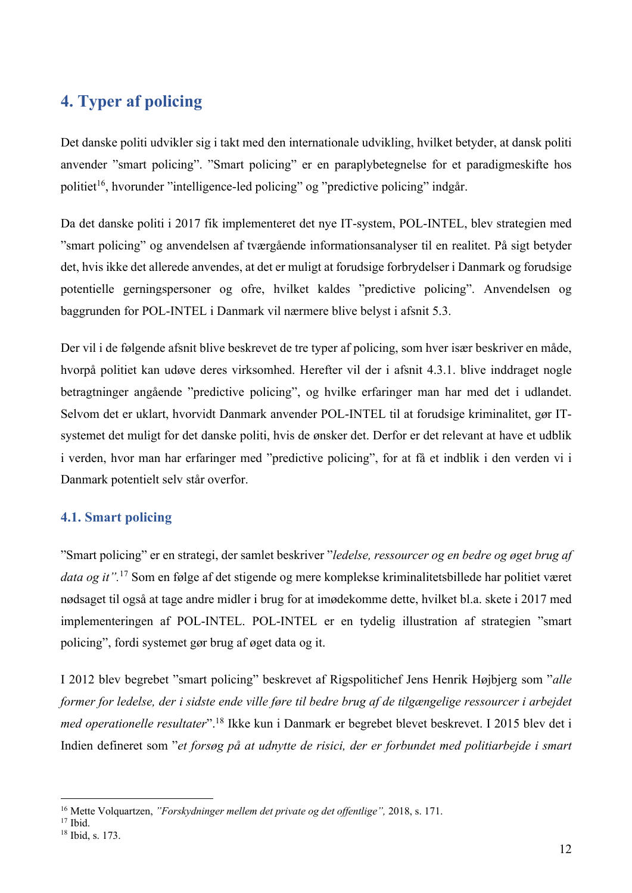## **4. Typer af policing**

Det danske politi udvikler sig i takt med den internationale udvikling, hvilket betyder, at dansk politi anvender "smart policing". "Smart policing" er en paraplybetegnelse for et paradigmeskifte hos politiet16, hvorunder "intelligence-led policing" og "predictive policing" indgår.

Da det danske politi i 2017 fik implementeret det nye IT-system, POL-INTEL, blev strategien med "smart policing" og anvendelsen af tværgående informationsanalyser til en realitet. På sigt betyder det, hvis ikke det allerede anvendes, at det er muligt at forudsige forbrydelser i Danmark og forudsige potentielle gerningspersoner og ofre, hvilket kaldes "predictive policing". Anvendelsen og baggrunden for POL-INTEL i Danmark vil nærmere blive belyst i afsnit 5.3.

Der vil i de følgende afsnit blive beskrevet de tre typer af policing, som hver især beskriver en måde, hvorpå politiet kan udøve deres virksomhed. Herefter vil der i afsnit 4.3.1. blive inddraget nogle betragtninger angående "predictive policing", og hvilke erfaringer man har med det i udlandet. Selvom det er uklart, hvorvidt Danmark anvender POL-INTEL til at forudsige kriminalitet, gør ITsystemet det muligt for det danske politi, hvis de ønsker det. Derfor er det relevant at have et udblik i verden, hvor man har erfaringer med "predictive policing", for at få et indblik i den verden vi i Danmark potentielt selv står overfor.

#### **4.1. Smart policing**

"Smart policing" er en strategi, der samlet beskriver "*ledelse, ressourcer og en bedre og øget brug af data og it".* <sup>17</sup> Som en følge af det stigende og mere komplekse kriminalitetsbillede har politiet været nødsaget til også at tage andre midler i brug for at imødekomme dette, hvilket bl.a. skete i 2017 med implementeringen af POL-INTEL. POL-INTEL er en tydelig illustration af strategien "smart policing", fordi systemet gør brug af øget data og it.

I 2012 blev begrebet "smart policing" beskrevet af Rigspolitichef Jens Henrik Højbjerg som "*alle former for ledelse, der i sidste ende ville føre til bedre brug af de tilgængelige ressourcer i arbejdet*  med operationelle resultater<sup>". 18</sup> Ikke kun i Danmark er begrebet blevet beskrevet. I 2015 blev det i Indien defineret som "*et forsøg på at udnytte de risici, der er forbundet med politiarbejde i smart* 

<sup>16</sup> Mette Volquartzen, *"Forskydninger mellem det private og det offentlige",* 2018, s. 171.

 $17$  Ibid.

<sup>18</sup> Ibid, s. 173.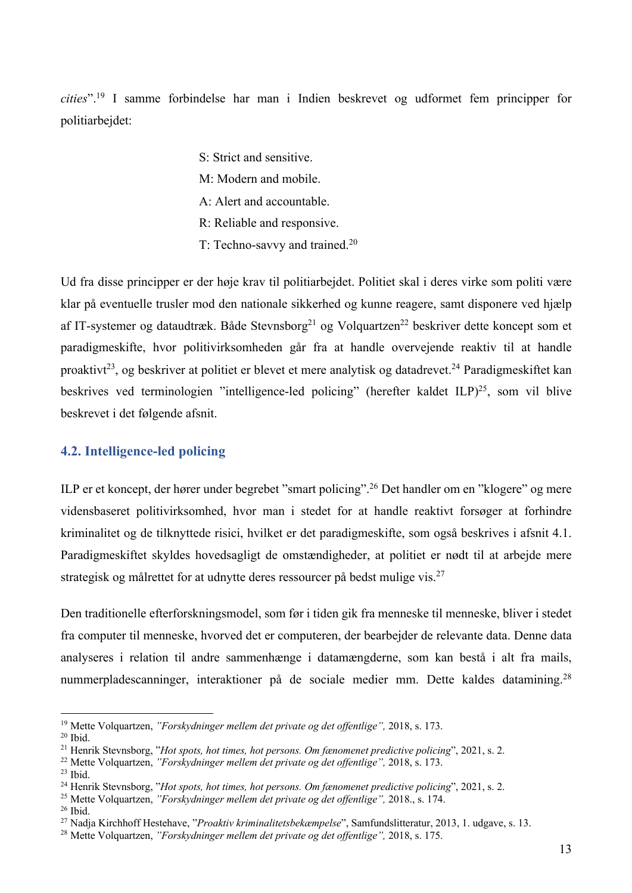*cities*". <sup>19</sup> I samme forbindelse har man i Indien beskrevet og udformet fem principper for politiarbejdet:

> S: Strict and sensitive. M: Modern and mobile. A: Alert and accountable. R: Reliable and responsive. T: Techno-savvy and trained.<sup>20</sup>

Ud fra disse principper er der høje krav til politiarbejdet. Politiet skal i deres virke som politi være klar på eventuelle trusler mod den nationale sikkerhed og kunne reagere, samt disponere ved hjælp af IT-systemer og dataudtræk. Både Stevnsborg<sup>21</sup> og Volquartzen<sup>22</sup> beskriver dette koncept som et paradigmeskifte, hvor politivirksomheden går fra at handle overvejende reaktiv til at handle proaktivt23, og beskriver at politiet er blevet et mere analytisk og datadrevet.24 Paradigmeskiftet kan beskrives ved terminologien "intelligence-led policing" (herefter kaldet ILP)<sup>25</sup>, som vil blive beskrevet i det følgende afsnit.

#### **4.2. Intelligence-led policing**

ILP er et koncept, der hører under begrebet "smart policing".26 Det handler om en "klogere" og mere vidensbaseret politivirksomhed, hvor man i stedet for at handle reaktivt forsøger at forhindre kriminalitet og de tilknyttede risici, hvilket er det paradigmeskifte, som også beskrives i afsnit 4.1. Paradigmeskiftet skyldes hovedsagligt de omstændigheder, at politiet er nødt til at arbejde mere strategisk og målrettet for at udnytte deres ressourcer på bedst mulige vis.<sup>27</sup>

Den traditionelle efterforskningsmodel, som før i tiden gik fra menneske til menneske, bliver i stedet fra computer til menneske, hvorved det er computeren, der bearbejder de relevante data. Denne data analyseres i relation til andre sammenhænge i datamængderne, som kan bestå i alt fra mails, nummerpladescanninger, interaktioner på de sociale medier mm. Dette kaldes datamining.<sup>28</sup>

<sup>19</sup> Mette Volquartzen, *"Forskydninger mellem det private og det offentlige",* 2018, s. 173.

<sup>20</sup> Ibid.

<sup>21</sup> Henrik Stevnsborg, "*Hot spots, hot times, hot persons. Om fænomenet predictive policing*", 2021, s. 2.

<sup>22</sup> Mette Volquartzen, *"Forskydninger mellem det private og det offentlige",* 2018, s. 173.

 $23$  Ibid.

<sup>24</sup> Henrik Stevnsborg, "*Hot spots, hot times, hot persons. Om fænomenet predictive policing*", 2021, s. 2.

<sup>25</sup> Mette Volquartzen, *"Forskydninger mellem det private og det offentlige",* 2018., s. 174.

<sup>26</sup> Ibid.

<sup>27</sup> Nadja Kirchhoff Hestehave, "*Proaktiv kriminalitetsbekæmpelse*", Samfundslitteratur, 2013, 1. udgave, s. 13.

<sup>28</sup> Mette Volquartzen, *"Forskydninger mellem det private og det offentlige",* 2018, s. 175.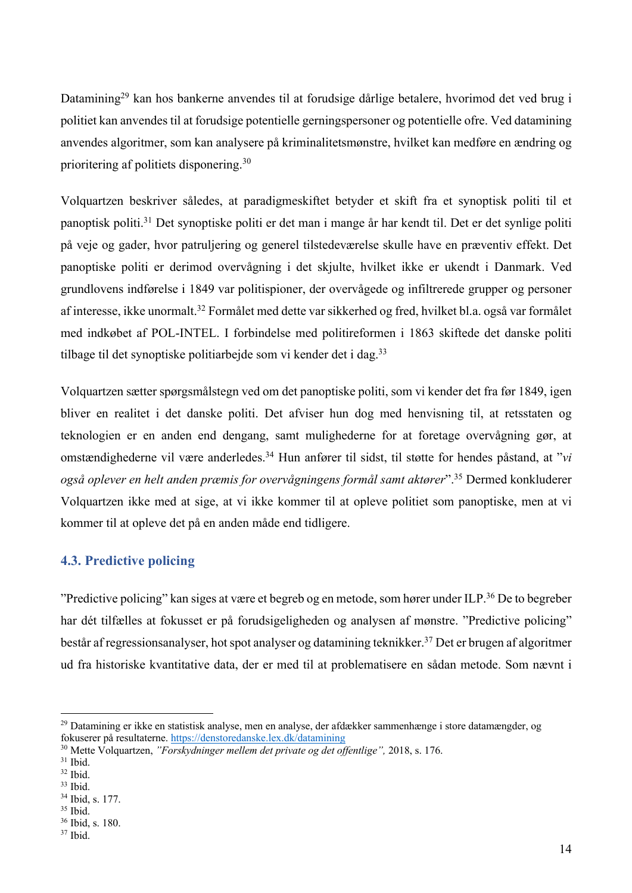Datamining29 kan hos bankerne anvendes til at forudsige dårlige betalere, hvorimod det ved brug i politiet kan anvendes til at forudsige potentielle gerningspersoner og potentielle ofre. Ved datamining anvendes algoritmer, som kan analysere på kriminalitetsmønstre, hvilket kan medføre en ændring og prioritering af politiets disponering.30

Volquartzen beskriver således, at paradigmeskiftet betyder et skift fra et synoptisk politi til et panoptisk politi.31 Det synoptiske politi er det man i mange år har kendt til. Det er det synlige politi på veje og gader, hvor patruljering og generel tilstedeværelse skulle have en præventiv effekt. Det panoptiske politi er derimod overvågning i det skjulte, hvilket ikke er ukendt i Danmark. Ved grundlovens indførelse i 1849 var politispioner, der overvågede og infiltrerede grupper og personer af interesse, ikke unormalt. <sup>32</sup> Formålet med dette var sikkerhed og fred, hvilket bl.a. også var formålet med indkøbet af POL-INTEL. I forbindelse med politireformen i 1863 skiftede det danske politi tilbage til det synoptiske politiarbejde som vi kender det i dag.33

Volquartzen sætter spørgsmålstegn ved om det panoptiske politi, som vi kender det fra før 1849, igen bliver en realitet i det danske politi. Det afviser hun dog med henvisning til, at retsstaten og teknologien er en anden end dengang, samt mulighederne for at foretage overvågning gør, at omstændighederne vil være anderledes.34 Hun anfører til sidst, til støtte for hendes påstand, at "*vi også oplever en helt anden præmis for overvågningens formål samt aktører*".35 Dermed konkluderer Volquartzen ikke med at sige, at vi ikke kommer til at opleve politiet som panoptiske, men at vi kommer til at opleve det på en anden måde end tidligere.

#### **4.3. Predictive policing**

"Predictive policing" kan siges at være et begreb og en metode, som hører under ILP.36 De to begreber har dét tilfælles at fokusset er på forudsigeligheden og analysen af mønstre. "Predictive policing" består af regressionsanalyser, hot spot analyser og datamining teknikker.37 Det er brugen af algoritmer ud fra historiske kvantitative data, der er med til at problematisere en sådan metode. Som nævnt i

<sup>29</sup> Datamining er ikke en statistisk analyse, men en analyse, der afdækker sammenhænge i store datamængder, og fokuserer på resultaterne. https://denstoredanske.lex.dk/datamining

<sup>30</sup> Mette Volquartzen, *"Forskydninger mellem det private og det offentlige",* 2018, s. 176.

 $31$  Ibid.

<sup>32</sup> Ibid.

 $33$  Ibid.

<sup>34</sup> Ibid, s. 177.

<sup>35</sup> Ibid.

<sup>36</sup> Ibid, s. 180.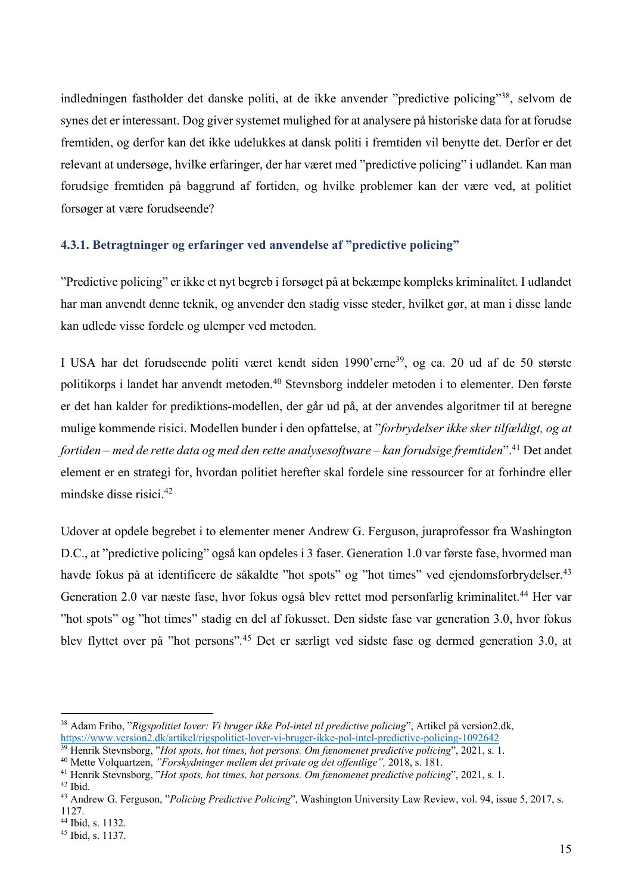indledningen fastholder det danske politi, at de ikke anvender "predictive policing"38, selvom de synes det er interessant. Dog giver systemet mulighed for at analysere på historiske data for at forudse fremtiden, og derfor kan det ikke udelukkes at dansk politi i fremtiden vil benytte det. Derfor er det relevant at undersøge, hvilke erfaringer, der har været med "predictive policing" i udlandet. Kan man forudsige fremtiden på baggrund af fortiden, og hvilke problemer kan der være ved, at politiet forsøger at være forudseende?

#### **4.3.1. Betragtninger og erfaringer ved anvendelse af "predictive policing"**

"Predictive policing" er ikke et nyt begreb i forsøget på at bekæmpe kompleks kriminalitet. I udlandet har man anvendt denne teknik, og anvender den stadig visse steder, hvilket gør, at man i disse lande kan udlede visse fordele og ulemper ved metoden.

I USA har det forudseende politi været kendt siden 1990'erne<sup>39</sup>, og ca. 20 ud af de 50 største politikorps i landet har anvendt metoden.40 Stevnsborg inddeler metoden i to elementer. Den første er det han kalder for prediktions-modellen, der går ud på, at der anvendes algoritmer til at beregne mulige kommende risici. Modellen bunder i den opfattelse, at "*forbrydelser ikke sker tilfældigt, og at fortiden – med de rette data og med den rette analysesoftware – kan forudsige fremtiden*".41 Det andet element er en strategi for, hvordan politiet herefter skal fordele sine ressourcer for at forhindre eller mindske disse risici.42

Udover at opdele begrebet i to elementer mener Andrew G. Ferguson, juraprofessor fra Washington D.C., at "predictive policing" også kan opdeles i 3 faser. Generation 1.0 var første fase, hvormed man havde fokus på at identificere de såkaldte "hot spots" og "hot times" ved ejendomsforbrydelser.<sup>43</sup> Generation 2.0 var næste fase, hvor fokus også blev rettet mod personfarlig kriminalitet.<sup>44</sup> Her var "hot spots" og "hot times" stadig en del af fokusset. Den sidste fase var generation 3.0, hvor fokus blev flyttet over på "hot persons"*.* <sup>45</sup> Det er særligt ved sidste fase og dermed generation 3.0, at

<sup>38</sup> Adam Fribo, "*Rigspolitiet lover: Vi bruger ikke Pol-intel til predictive policing*", Artikel på version2.dk, https://www.version2.dk/artikel/rigspolitiet-lover-vi-bruger-ikke-pol-intel-predictive-policing-1092642

<sup>39</sup> Henrik Stevnsborg, "*Hot spots, hot times, hot persons. Om fænomenet predictive policing*", 2021, s. 1.

<sup>40</sup> Mette Volquartzen, *"Forskydninger mellem det private og det offentlige",* 2018, s. 181.

<sup>41</sup> Henrik Stevnsborg, "*Hot spots, hot times, hot persons. Om fænomenet predictive policing*", 2021, s. 1.  $42$  Ibid.

<sup>43</sup> Andrew G. Ferguson, "*Policing Predictive Policing*", Washington University Law Review, vol. 94, issue 5, 2017, s. 1127.

<sup>44</sup> Ibid, s. 1132.

<sup>45</sup> Ibid, s. 1137.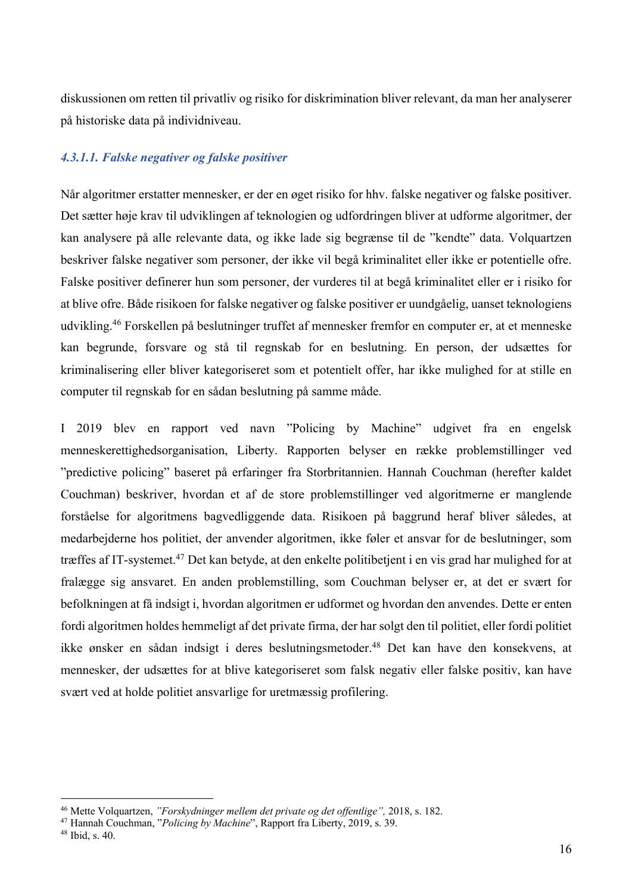diskussionen om retten til privatliv og risiko for diskrimination bliver relevant, da man her analyserer på historiske data på individniveau.

#### *4.3.1.1. Falske negativer og falske positiver*

Når algoritmer erstatter mennesker, er der en øget risiko for hhv. falske negativer og falske positiver. Det sætter høje krav til udviklingen af teknologien og udfordringen bliver at udforme algoritmer, der kan analysere på alle relevante data, og ikke lade sig begrænse til de "kendte" data. Volquartzen beskriver falske negativer som personer, der ikke vil begå kriminalitet eller ikke er potentielle ofre. Falske positiver definerer hun som personer, der vurderes til at begå kriminalitet eller er i risiko for at blive ofre. Både risikoen for falske negativer og falske positiver er uundgåelig, uanset teknologiens udvikling. <sup>46</sup> Forskellen på beslutninger truffet af mennesker fremfor en computer er, at et menneske kan begrunde, forsvare og stå til regnskab for en beslutning. En person, der udsættes for kriminalisering eller bliver kategoriseret som et potentielt offer, har ikke mulighed for at stille en computer til regnskab for en sådan beslutning på samme måde.

I 2019 blev en rapport ved navn "Policing by Machine" udgivet fra en engelsk menneskerettighedsorganisation, Liberty. Rapporten belyser en række problemstillinger ved "predictive policing" baseret på erfaringer fra Storbritannien. Hannah Couchman (herefter kaldet Couchman) beskriver, hvordan et af de store problemstillinger ved algoritmerne er manglende forståelse for algoritmens bagvedliggende data. Risikoen på baggrund heraf bliver således, at medarbejderne hos politiet, der anvender algoritmen, ikke føler et ansvar for de beslutninger, som træffes af IT-systemet. <sup>47</sup> Det kan betyde, at den enkelte politibetjent i en vis grad har mulighed for at fralægge sig ansvaret. En anden problemstilling, som Couchman belyser er, at det er svært for befolkningen at få indsigt i, hvordan algoritmen er udformet og hvordan den anvendes. Dette er enten fordi algoritmen holdes hemmeligt af det private firma, der har solgt den til politiet, eller fordi politiet ikke ønsker en sådan indsigt i deres beslutningsmetoder.<sup>48</sup> Det kan have den konsekvens, at mennesker, der udsættes for at blive kategoriseret som falsk negativ eller falske positiv, kan have svært ved at holde politiet ansvarlige for uretmæssig profilering.

<sup>46</sup> Mette Volquartzen, *"Forskydninger mellem det private og det offentlige",* 2018, s. 182.

<sup>&</sup>lt;sup>47</sup> Hannah Couchman, "*Policing by Machine*", Rapport fra Liberty, 2019, s. 39.<br><sup>48</sup> Ibid, s. 40.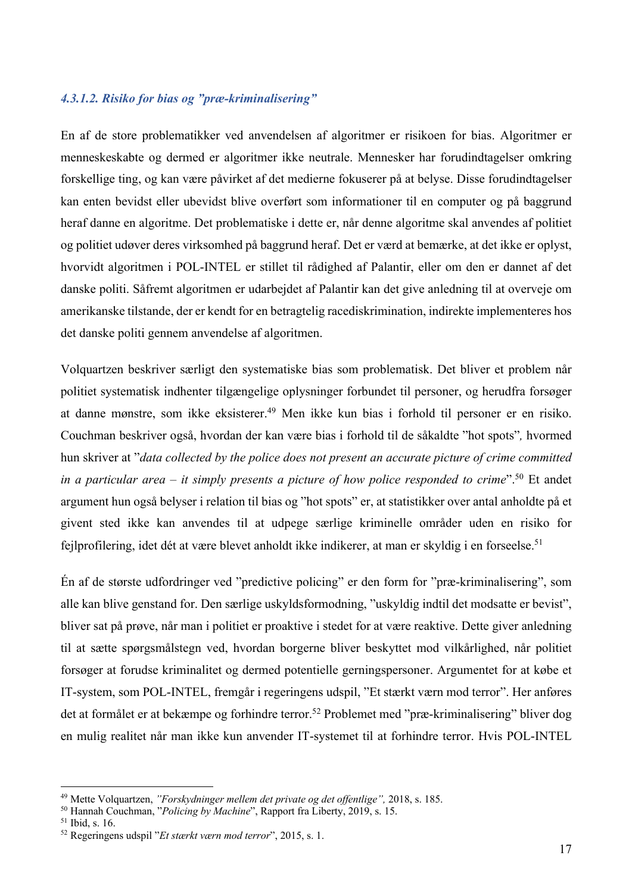#### *4.3.1.2. Risiko for bias og "præ-kriminalisering"*

En af de store problematikker ved anvendelsen af algoritmer er risikoen for bias. Algoritmer er menneskeskabte og dermed er algoritmer ikke neutrale. Mennesker har forudindtagelser omkring forskellige ting, og kan være påvirket af det medierne fokuserer på at belyse. Disse forudindtagelser kan enten bevidst eller ubevidst blive overført som informationer til en computer og på baggrund heraf danne en algoritme. Det problematiske i dette er, når denne algoritme skal anvendes af politiet og politiet udøver deres virksomhed på baggrund heraf. Det er værd at bemærke, at det ikke er oplyst, hvorvidt algoritmen i POL-INTEL er stillet til rådighed af Palantir, eller om den er dannet af det danske politi. Såfremt algoritmen er udarbejdet af Palantir kan det give anledning til at overveje om amerikanske tilstande, der er kendt for en betragtelig racediskrimination, indirekte implementeres hos det danske politi gennem anvendelse af algoritmen.

Volquartzen beskriver særligt den systematiske bias som problematisk. Det bliver et problem når politiet systematisk indhenter tilgængelige oplysninger forbundet til personer, og herudfra forsøger at danne mønstre, som ikke eksisterer.<sup>49</sup> Men ikke kun bias i forhold til personer er en risiko. Couchman beskriver også, hvordan der kan være bias i forhold til de såkaldte "hot spots"*,* hvormed hun skriver at "*data collected by the police does not present an accurate picture of crime committed in a particular area – it simply presents a picture of how police responded to crime*".50 Et andet argument hun også belyser i relation til bias og "hot spots" er, at statistikker over antal anholdte på et givent sted ikke kan anvendes til at udpege særlige kriminelle områder uden en risiko for fejlprofilering, idet dét at være blevet anholdt ikke indikerer, at man er skyldig i en forseelse.<sup>51</sup>

Én af de største udfordringer ved "predictive policing" er den form for "præ-kriminalisering", som alle kan blive genstand for. Den særlige uskyldsformodning, "uskyldig indtil det modsatte er bevist", bliver sat på prøve, når man i politiet er proaktive i stedet for at være reaktive. Dette giver anledning til at sætte spørgsmålstegn ved, hvordan borgerne bliver beskyttet mod vilkårlighed, når politiet forsøger at forudse kriminalitet og dermed potentielle gerningspersoner. Argumentet for at købe et IT-system, som POL-INTEL, fremgår i regeringens udspil, "Et stærkt værn mod terror". Her anføres det at formålet er at bekæmpe og forhindre terror.52 Problemet med "præ-kriminalisering" bliver dog en mulig realitet når man ikke kun anvender IT-systemet til at forhindre terror. Hvis POL-INTEL

<sup>49</sup> Mette Volquartzen, *"Forskydninger mellem det private og det offentlige",* 2018, s. 185.

<sup>50</sup> Hannah Couchman, "*Policing by Machine*", Rapport fra Liberty, 2019, s. 15.

<sup>51</sup> Ibid, s. 16.

<sup>52</sup> Regeringens udspil "*Et stærkt værn mod terror*", 2015, s. 1.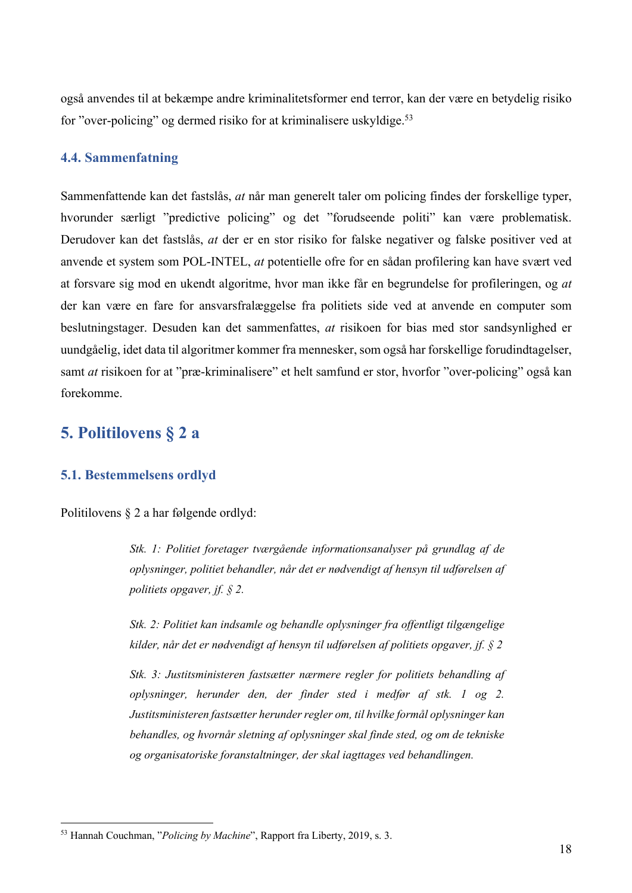også anvendes til at bekæmpe andre kriminalitetsformer end terror, kan der være en betydelig risiko for "over-policing" og dermed risiko for at kriminalisere uskyldige.<sup>53</sup>

#### **4.4. Sammenfatning**

Sammenfattende kan det fastslås, *at* når man generelt taler om policing findes der forskellige typer, hvorunder særligt "predictive policing" og det "forudseende politi" kan være problematisk. Derudover kan det fastslås, *at* der er en stor risiko for falske negativer og falske positiver ved at anvende et system som POL-INTEL, *at* potentielle ofre for en sådan profilering kan have svært ved at forsvare sig mod en ukendt algoritme, hvor man ikke får en begrundelse for profileringen, og *at*  der kan være en fare for ansvarsfralæggelse fra politiets side ved at anvende en computer som beslutningstager. Desuden kan det sammenfattes, *at* risikoen for bias med stor sandsynlighed er uundgåelig, idet data til algoritmer kommer fra mennesker, som også har forskellige forudindtagelser, samt *at* risikoen for at "præ-kriminalisere" et helt samfund er stor, hvorfor "over-policing" også kan forekomme.

## **5. Politilovens § 2 a**

#### **5.1. Bestemmelsens ordlyd**

Politilovens § 2 a har følgende ordlyd:

*Stk. 1: Politiet foretager tværgående informationsanalyser på grundlag af de oplysninger, politiet behandler, når det er nødvendigt af hensyn til udførelsen af politiets opgaver, jf. § 2.*

*Stk. 2: Politiet kan indsamle og behandle oplysninger fra offentligt tilgængelige kilder, når det er nødvendigt af hensyn til udførelsen af politiets opgaver, jf. § 2*

*Stk. 3: Justitsministeren fastsætter nærmere regler for politiets behandling af oplysninger, herunder den, der finder sted i medfør af stk. 1 og 2. Justitsministeren fastsætter herunder regler om, til hvilke formål oplysninger kan behandles, og hvornår sletning af oplysninger skal finde sted, og om de tekniske og organisatoriske foranstaltninger, der skal iagttages ved behandlingen.*

<sup>53</sup> Hannah Couchman, "*Policing by Machine*", Rapport fra Liberty, 2019, s. 3.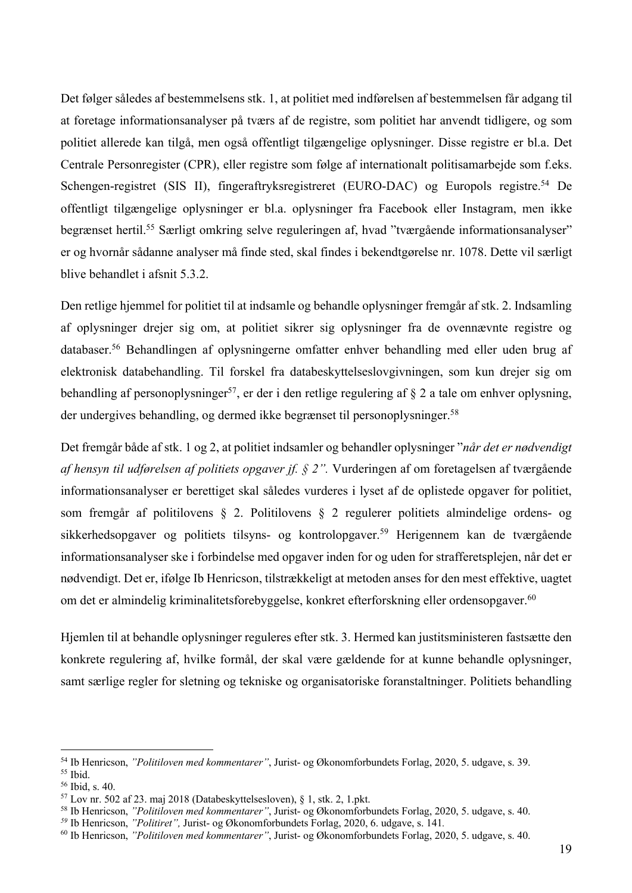Det følger således af bestemmelsens stk. 1, at politiet med indførelsen af bestemmelsen får adgang til at foretage informationsanalyser på tværs af de registre, som politiet har anvendt tidligere, og som politiet allerede kan tilgå, men også offentligt tilgængelige oplysninger. Disse registre er bl.a. Det Centrale Personregister (CPR), eller registre som følge af internationalt politisamarbejde som f.eks. Schengen-registret (SIS II), fingeraftryksregistreret (EURO-DAC) og Europols registre.<sup>54</sup> De offentligt tilgængelige oplysninger er bl.a. oplysninger fra Facebook eller Instagram, men ikke begrænset hertil.<sup>55</sup> Særligt omkring selve reguleringen af, hvad "tværgående informationsanalyser" er og hvornår sådanne analyser må finde sted, skal findes i bekendtgørelse nr. 1078. Dette vil særligt blive behandlet i afsnit 5.3.2.

Den retlige hjemmel for politiet til at indsamle og behandle oplysninger fremgår af stk. 2. Indsamling af oplysninger drejer sig om, at politiet sikrer sig oplysninger fra de ovennævnte registre og databaser. <sup>56</sup> Behandlingen af oplysningerne omfatter enhver behandling med eller uden brug af elektronisk databehandling. Til forskel fra databeskyttelseslovgivningen, som kun drejer sig om behandling af personoplysninger<sup>57</sup>, er der i den retlige regulering af  $\S$  2 a tale om enhver oplysning, der undergives behandling, og dermed ikke begrænset til personoplysninger.<sup>58</sup>

Det fremgår både af stk. 1 og 2, at politiet indsamler og behandler oplysninger "*når det er nødvendigt af hensyn til udførelsen af politiets opgaver jf. § 2".* Vurderingen af om foretagelsen af tværgående informationsanalyser er berettiget skal således vurderes i lyset af de oplistede opgaver for politiet, som fremgår af politilovens § 2. Politilovens § 2 regulerer politiets almindelige ordens- og sikkerhedsopgaver og politiets tilsyns- og kontrolopgaver.59 Herigennem kan de tværgående informationsanalyser ske i forbindelse med opgaver inden for og uden for strafferetsplejen, når det er nødvendigt. Det er, ifølge Ib Henricson, tilstrækkeligt at metoden anses for den mest effektive, uagtet om det er almindelig kriminalitetsforebyggelse, konkret efterforskning eller ordensopgaver.<sup>60</sup>

Hjemlen til at behandle oplysninger reguleres efter stk. 3. Hermed kan justitsministeren fastsætte den konkrete regulering af, hvilke formål, der skal være gældende for at kunne behandle oplysninger, samt særlige regler for sletning og tekniske og organisatoriske foranstaltninger. Politiets behandling

<sup>54</sup> Ib Henricson, *"Politiloven med kommentarer"*, Jurist- og Økonomforbundets Forlag, 2020, 5. udgave, s. 39. <sup>55</sup> Ibid.

<sup>56</sup> Ibid, s. 40.

<sup>57</sup> Lov nr. 502 af 23. maj 2018 (Databeskyttelsesloven), § 1, stk. 2, 1.pkt.

<sup>58</sup> Ib Henricson, *"Politiloven med kommentarer"*, Jurist- og Økonomforbundets Forlag, 2020, 5. udgave, s. 40.

*<sup>59</sup>* Ib Henricson, *"Politiret",* Jurist- og Økonomforbundets Forlag, 2020, 6. udgave, s. 141*.*

<sup>60</sup> Ib Henricson, *"Politiloven med kommentarer"*, Jurist- og Økonomforbundets Forlag, 2020, 5. udgave, s. 40.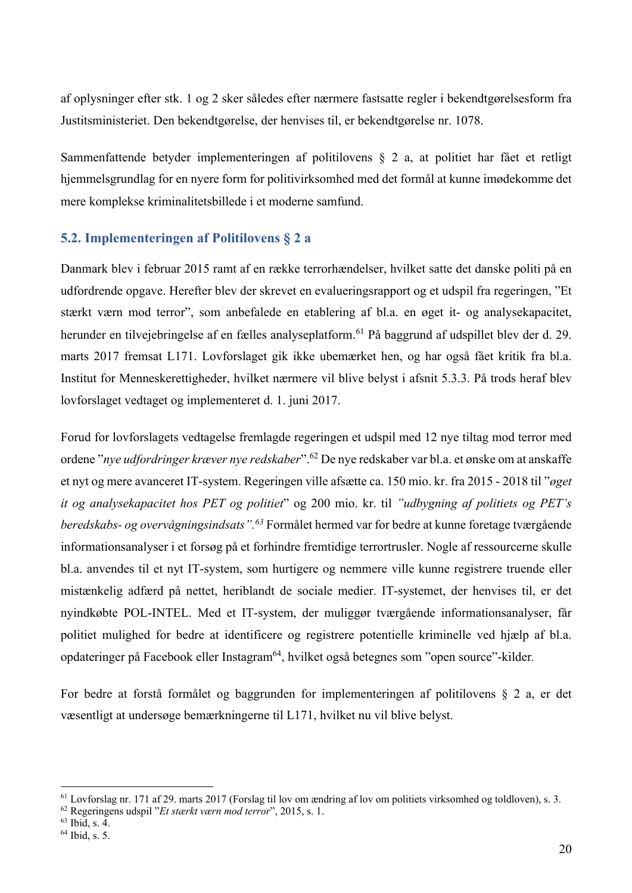af oplysninger efter stk. 1 og 2 sker således efter nærmere fastsatte regler i bekendtgørelsesform fra Justitsministeriet. Den bekendtgørelse, der henvises til, er bekendtgørelse nr. 1078.

Sammenfattende betyder implementeringen af politilovens § 2 a, at politiet har fået et retligt hjemmelsgrundlag for en nyere form for politivirksomhed med det formål at kunne imødekomme det mere komplekse kriminalitetsbillede i et moderne samfund.

#### **5.2. Implementeringen af Politilovens § 2 a**

Danmark blev i februar 2015 ramt af en række terrorhændelser, hvilket satte det danske politi på en udfordrende opgave. Herefter blev der skrevet en evalueringsrapport og et udspil fra regeringen, "Et stærkt værn mod terror", som anbefalede en etablering af bl.a. en øget it- og analysekapacitet, herunder en tilvejebringelse af en fælles analyseplatform.<sup>61</sup> På baggrund af udspillet blev der d. 29. marts 2017 fremsat L171. Lovforslaget gik ikke ubemærket hen, og har også fået kritik fra bl.a. Institut for Menneskerettigheder, hvilket nærmere vil blive belyst i afsnit 5.3.3. På trods heraf blev lovforslaget vedtaget og implementeret d. 1. juni 2017.

Forud for lovforslagets vedtagelse fremlagde regeringen et udspil med 12 nye tiltag mod terror med ordene "*nye udfordringer kræver nye redskaber*".62 De nye redskaber var bl.a. et ønske om at anskaffe et nyt og mere avanceret IT-system. Regeringen ville afsætte ca. 150 mio. kr. fra 2015 - 2018 til "*øget it og analysekapacitet hos PET og politiet*" og 200 mio. kr. til *"udbygning af politiets og PET's beredskabs- og overvågningsindsats".63* Formålet hermed var for bedre at kunne foretage tværgående informationsanalyser i et forsøg på et forhindre fremtidige terrortrusler. Nogle af ressourcerne skulle bl.a. anvendes til et nyt IT-system, som hurtigere og nemmere ville kunne registrere truende eller mistænkelig adfærd på nettet, heriblandt de sociale medier. IT-systemet, der henvises til, er det nyindkøbte POL-INTEL. Med et IT-system, der muliggør tværgående informationsanalyser, får politiet mulighed for bedre at identificere og registrere potentielle kriminelle ved hjælp af bl.a. opdateringer på Facebook eller Instagram64, hvilket også betegnes som "open source"-kilder*.* 

For bedre at forstå formålet og baggrunden for implementeringen af politilovens § 2 a, er det væsentligt at undersøge bemærkningerne til L171, hvilket nu vil blive belyst.

 $61$  Lovforslag nr. 171 af 29. marts 2017 (Forslag til lov om ændring af lov om politiets virksomhed og toldloven), s. 3.

<sup>62</sup> Regeringens udspil "*Et stærkt værn mod terror*", 2015, s. 1.

<sup>63</sup> Ibid, s. 4.

<sup>64</sup> Ibid, s. 5.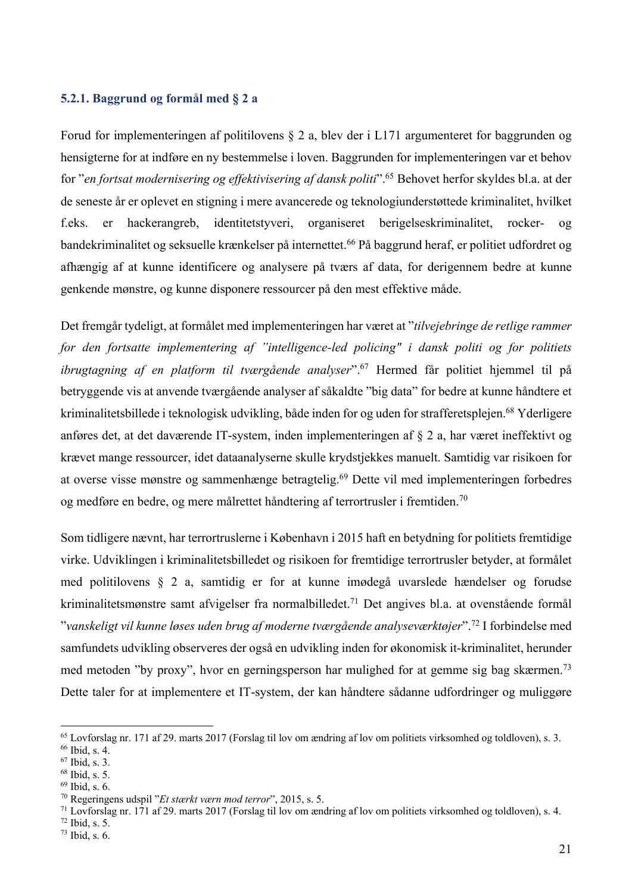#### **5.2.1. Baggrund og formål med § 2 a**

Forud for implementeringen af politilovens § 2 a, blev der i L171 argumenteret for baggrunden og hensigterne for at indføre en ny bestemmelse i loven. Baggrunden for implementeringen var et behov for "en fortsat modernisering og effektivisering af dansk politi".<sup>65</sup> Behovet herfor skyldes bl.a. at der de seneste år er oplevet en stigning i mere avancerede og teknologiunderstøttede kriminalitet, hvilket f.eks. er hackerangreb, identitetstyveri, organiseret berigelseskriminalitet, rocker- og bandekriminalitet og seksuelle krænkelser på internettet.66 På baggrund heraf, er politiet udfordret og afhængig af at kunne identificere og analysere på tværs af data, for derigennem bedre at kunne genkende mønstre, og kunne disponere ressourcer på den mest effektive måde.

Det fremgår tydeligt, at formålet med implementeringen har været at "*tilvejebringe de retlige rammer for den fortsatte implementering af "intelligence-led policing" i dansk politi og for politiets ibrugtagning af en platform til tværgående analyser*".67 Hermed får politiet hjemmel til på betryggende vis at anvende tværgående analyser af såkaldte "big data" for bedre at kunne håndtere et kriminalitetsbillede i teknologisk udvikling, både inden for og uden for strafferetsplejen. <sup>68</sup> Yderligere anføres det, at det daværende IT-system, inden implementeringen af § 2 a, har været ineffektivt og krævet mange ressourcer, idet dataanalyserne skulle krydstjekkes manuelt. Samtidig var risikoen for at overse visse mønstre og sammenhænge betragtelig.<sup>69</sup> Dette vil med implementeringen forbedres og medføre en bedre, og mere målrettet håndtering af terrortrusler i fremtiden.70

Som tidligere nævnt, har terrortruslerne i København i 2015 haft en betydning for politiets fremtidige virke. Udviklingen i kriminalitetsbilledet og risikoen for fremtidige terrortrusler betyder, at formålet med politilovens § 2 a, samtidig er for at kunne imødegå uvarslede hændelser og forudse kriminalitetsmønstre samt afvigelser fra normalbilledet.<sup>71</sup> Det angives bl.a. at ovenstående formål "*vanskeligt vil kunne løses uden brug af moderne tværgående analyseværktøjer*".72 I forbindelse med samfundets udvikling observeres der også en udvikling inden for økonomisk it-kriminalitet, herunder med metoden "by proxy", hvor en gerningsperson har mulighed for at gemme sig bag skærmen.73 Dette taler for at implementere et IT-system, der kan håndtere sådanne udfordringer og muliggøre

<sup>65</sup> Lovforslag nr. 171 af 29. marts 2017 (Forslag til lov om ændring af lov om politiets virksomhed og toldloven), s. 3.

<sup>66</sup> Ibid, s. 4.

<sup>67</sup> Ibid, s. 3.

 $68$  Ibid, s. 5.<br> $69$  Ibid, s. 6.

<sup>&</sup>lt;sup>70</sup> Regeringens udspil "*Et stærkt værn mod terror*", 2015, s. 5.

<sup>&</sup>lt;sup>71</sup> Lovforslag nr. 171 af 29. marts 2017 (Forslag til lov om ændring af lov om politiets virksomhed og toldloven), s. 4. <sup>72</sup> Ibid, s. 5.

<sup>73</sup> Ibid, s. 6.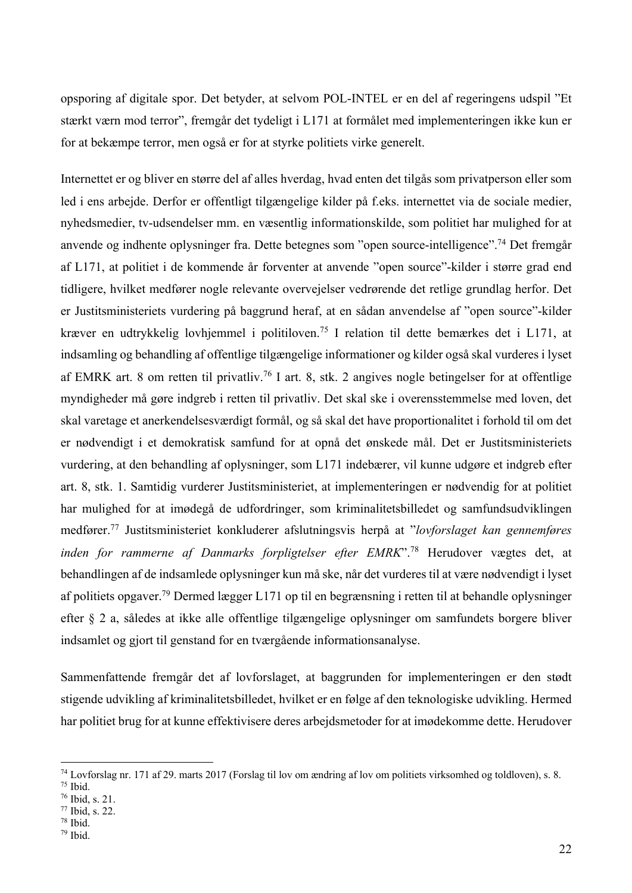opsporing af digitale spor. Det betyder, at selvom POL-INTEL er en del af regeringens udspil "Et stærkt værn mod terror", fremgår det tydeligt i L171 at formålet med implementeringen ikke kun er for at bekæmpe terror, men også er for at styrke politiets virke generelt.

Internettet er og bliver en større del af alles hverdag, hvad enten det tilgås som privatperson eller som led i ens arbejde. Derfor er offentligt tilgængelige kilder på f.eks. internettet via de sociale medier, nyhedsmedier, tv-udsendelser mm. en væsentlig informationskilde, som politiet har mulighed for at anvende og indhente oplysninger fra. Dette betegnes som "open source-intelligence".74 Det fremgår af L171, at politiet i de kommende år forventer at anvende "open source"-kilder i større grad end tidligere, hvilket medfører nogle relevante overvejelser vedrørende det retlige grundlag herfor. Det er Justitsministeriets vurdering på baggrund heraf, at en sådan anvendelse af "open source"-kilder kræver en udtrykkelig lovhjemmel i politiloven.75 I relation til dette bemærkes det i L171, at indsamling og behandling af offentlige tilgængelige informationer og kilder også skal vurderes i lyset af EMRK art. 8 om retten til privatliv.76 I art. 8, stk. 2 angives nogle betingelser for at offentlige myndigheder må gøre indgreb i retten til privatliv. Det skal ske i overensstemmelse med loven, det skal varetage et anerkendelsesværdigt formål, og så skal det have proportionalitet i forhold til om det er nødvendigt i et demokratisk samfund for at opnå det ønskede mål. Det er Justitsministeriets vurdering, at den behandling af oplysninger, som L171 indebærer, vil kunne udgøre et indgreb efter art. 8, stk. 1. Samtidig vurderer Justitsministeriet, at implementeringen er nødvendig for at politiet har mulighed for at imødegå de udfordringer, som kriminalitetsbilledet og samfundsudviklingen medfører.77 Justitsministeriet konkluderer afslutningsvis herpå at "*lovforslaget kan gennemføres inden for rammerne af Danmarks forpligtelser efter EMRK*".78 Herudover vægtes det, at behandlingen af de indsamlede oplysninger kun må ske, når det vurderes til at være nødvendigt i lyset af politiets opgaver.79 Dermed lægger L171 op til en begrænsning i retten til at behandle oplysninger efter § 2 a, således at ikke alle offentlige tilgængelige oplysninger om samfundets borgere bliver indsamlet og gjort til genstand for en tværgående informationsanalyse.

Sammenfattende fremgår det af lovforslaget, at baggrunden for implementeringen er den stødt stigende udvikling af kriminalitetsbilledet, hvilket er en følge af den teknologiske udvikling. Hermed har politiet brug for at kunne effektivisere deres arbejdsmetoder for at imødekomme dette. Herudover

 $^{77}$  Ibid, s. 22.  $^{78}$  Ibid.

<sup>79</sup> Ibid.

<sup>74</sup> Lovforslag nr. 171 af 29. marts 2017 (Forslag til lov om ændring af lov om politiets virksomhed og toldloven), s. 8.

 $^{75}$  Ibid.<br> $^{76}$  Ibid. s. 21.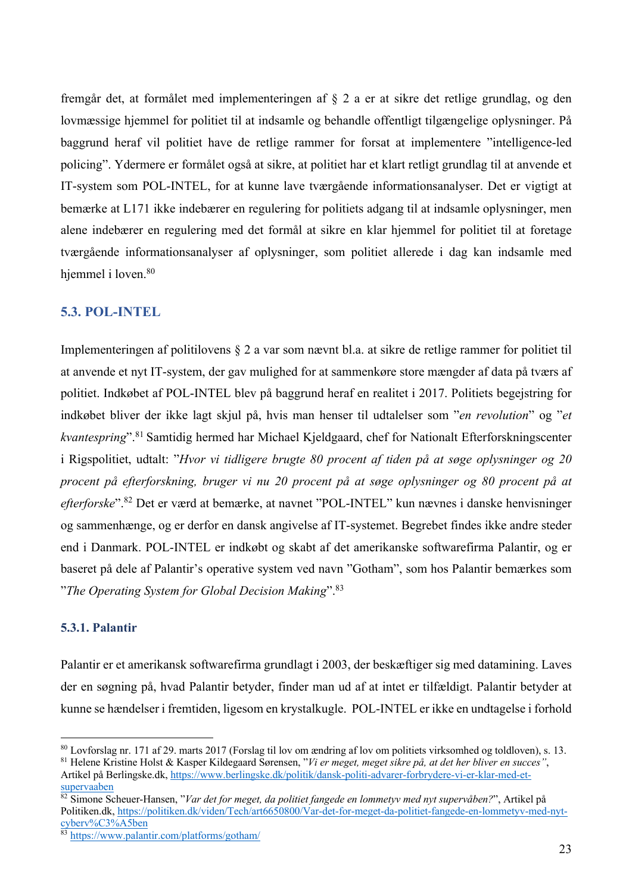fremgår det, at formålet med implementeringen af § 2 a er at sikre det retlige grundlag, og den lovmæssige hjemmel for politiet til at indsamle og behandle offentligt tilgængelige oplysninger. På baggrund heraf vil politiet have de retlige rammer for forsat at implementere "intelligence-led policing". Ydermere er formålet også at sikre, at politiet har et klart retligt grundlag til at anvende et IT-system som POL-INTEL, for at kunne lave tværgående informationsanalyser. Det er vigtigt at bemærke at L171 ikke indebærer en regulering for politiets adgang til at indsamle oplysninger, men alene indebærer en regulering med det formål at sikre en klar hjemmel for politiet til at foretage tværgående informationsanalyser af oplysninger, som politiet allerede i dag kan indsamle med hiemmel i loven.<sup>80</sup>

#### **5.3. POL-INTEL**

Implementeringen af politilovens § 2 a var som nævnt bl.a. at sikre de retlige rammer for politiet til at anvende et nyt IT-system, der gav mulighed for at sammenkøre store mængder af data på tværs af politiet. Indkøbet af POL-INTEL blev på baggrund heraf en realitet i 2017. Politiets begejstring for indkøbet bliver der ikke lagt skjul på, hvis man henser til udtalelser som "*en revolution*" og "*et kvantespring*".81 Samtidig hermed har Michael Kjeldgaard, chef for Nationalt Efterforskningscenter i Rigspolitiet, udtalt: "*Hvor vi tidligere brugte 80 procent af tiden på at søge oplysninger og 20 procent på efterforskning, bruger vi nu 20 procent på at søge oplysninger og 80 procent på at efterforske*". <sup>82</sup> Det er værd at bemærke, at navnet "POL-INTEL" kun nævnes i danske henvisninger og sammenhænge, og er derfor en dansk angivelse af IT-systemet. Begrebet findes ikke andre steder end i Danmark. POL-INTEL er indkøbt og skabt af det amerikanske softwarefirma Palantir, og er baseret på dele af Palantir's operative system ved navn "Gotham", som hos Palantir bemærkes som "*The Operating System for Global Decision Making*".83

#### **5.3.1. Palantir**

Palantir er et amerikansk softwarefirma grundlagt i 2003, der beskæftiger sig med datamining. Laves der en søgning på, hvad Palantir betyder, finder man ud af at intet er tilfældigt. Palantir betyder at kunne se hændelser i fremtiden, ligesom en krystalkugle. POL-INTEL er ikke en undtagelse i forhold

<sup>80</sup> Lovforslag nr. 171 af 29. marts 2017 (Forslag til lov om ændring af lov om politiets virksomhed og toldloven), s. 13. <sup>81</sup> Helene Kristine Holst & Kasper Kildegaard Sørensen, "*Vi er meget, meget sikre på, at det her bliver en succes"*,

Artikel på Berlingske.dk, https://www.berlingske.dk/politik/dansk-politi-advarer-forbrydere-vi-er-klar-med-etsupervaaben

<sup>82</sup> Simone Scheuer-Hansen, "*Var det for meget, da politiet fangede en lommetyv med nyt supervåben?*", Artikel på Politiken.dk, https://politiken.dk/viden/Tech/art6650800/Var-det-for-meget-da-politiet-fangede-en-lommetyv-med-nytcyberv%C3%A5ben

<sup>83</sup> https://www.palantir.com/platforms/gotham/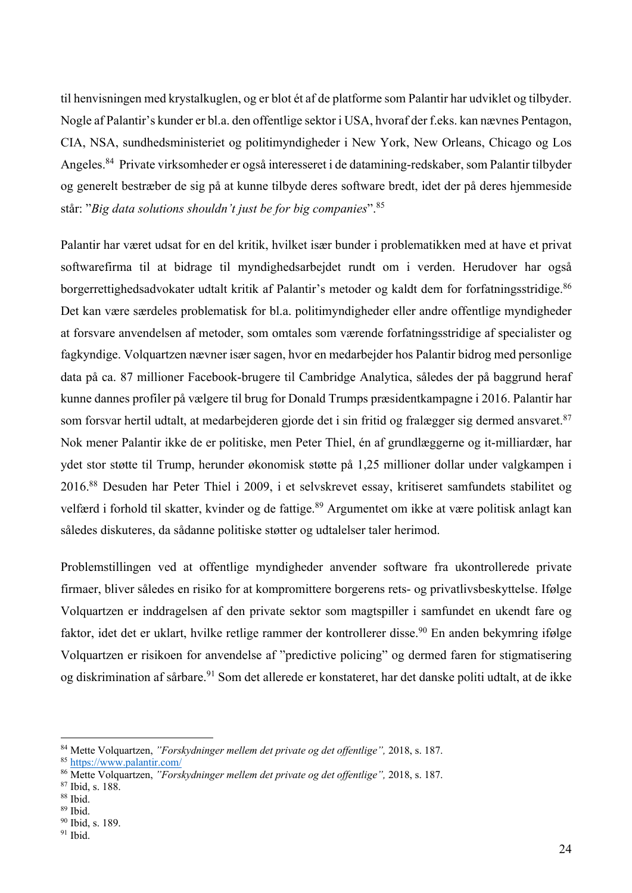til henvisningen med krystalkuglen, og er blot ét af de platforme som Palantir har udviklet og tilbyder. Nogle af Palantir's kunder er bl.a. den offentlige sektor i USA, hvoraf der f.eks. kan nævnes Pentagon, CIA, NSA, sundhedsministeriet og politimyndigheder i New York, New Orleans, Chicago og Los Angeles.84 Private virksomheder er også interesseret i de datamining-redskaber, som Palantir tilbyder og generelt bestræber de sig på at kunne tilbyde deres software bredt, idet der på deres hjemmeside står: "*Big data solutions shouldn't just be for big companies*".85

Palantir har været udsat for en del kritik, hvilket især bunder i problematikken med at have et privat softwarefirma til at bidrage til myndighedsarbejdet rundt om i verden. Herudover har også borgerrettighedsadvokater udtalt kritik af Palantir's metoder og kaldt dem for forfatningsstridige.86 Det kan være særdeles problematisk for bl.a. politimyndigheder eller andre offentlige myndigheder at forsvare anvendelsen af metoder, som omtales som værende forfatningsstridige af specialister og fagkyndige. Volquartzen nævner især sagen, hvor en medarbejder hos Palantir bidrog med personlige data på ca. 87 millioner Facebook-brugere til Cambridge Analytica, således der på baggrund heraf kunne dannes profiler på vælgere til brug for Donald Trumps præsidentkampagne i 2016. Palantir har som forsvar hertil udtalt, at medarbejderen gjorde det i sin fritid og fralægger sig dermed ansvaret. 87 Nok mener Palantir ikke de er politiske, men Peter Thiel, én af grundlæggerne og it-milliardær, har ydet stor støtte til Trump, herunder økonomisk støtte på 1,25 millioner dollar under valgkampen i 2016.88 Desuden har Peter Thiel i 2009, i et selvskrevet essay, kritiseret samfundets stabilitet og velfærd i forhold til skatter, kvinder og de fattige.<sup>89</sup> Argumentet om ikke at være politisk anlagt kan således diskuteres, da sådanne politiske støtter og udtalelser taler herimod.

Problemstillingen ved at offentlige myndigheder anvender software fra ukontrollerede private firmaer, bliver således en risiko for at kompromittere borgerens rets- og privatlivsbeskyttelse. Ifølge Volquartzen er inddragelsen af den private sektor som magtspiller i samfundet en ukendt fare og faktor, idet det er uklart, hvilke retlige rammer der kontrollerer disse.<sup>90</sup> En anden bekymring ifølge Volquartzen er risikoen for anvendelse af "predictive policing" og dermed faren for stigmatisering og diskrimination af sårbare.<sup>91</sup> Som det allerede er konstateret, har det danske politi udtalt, at de ikke

 $88$  Ibid.

<sup>84</sup> Mette Volquartzen, *"Forskydninger mellem det private og det offentlige",* 2018, s. 187.

<sup>85</sup> https://www.palantir.com/

<sup>86</sup> Mette Volquartzen, *"Forskydninger mellem det private og det offentlige",* 2018, s. 187.

<sup>87</sup> Ibid, s. 188.

<sup>89</sup> Ibid.

<sup>90</sup> Ibid, s. 189.

 $91$  Ibid.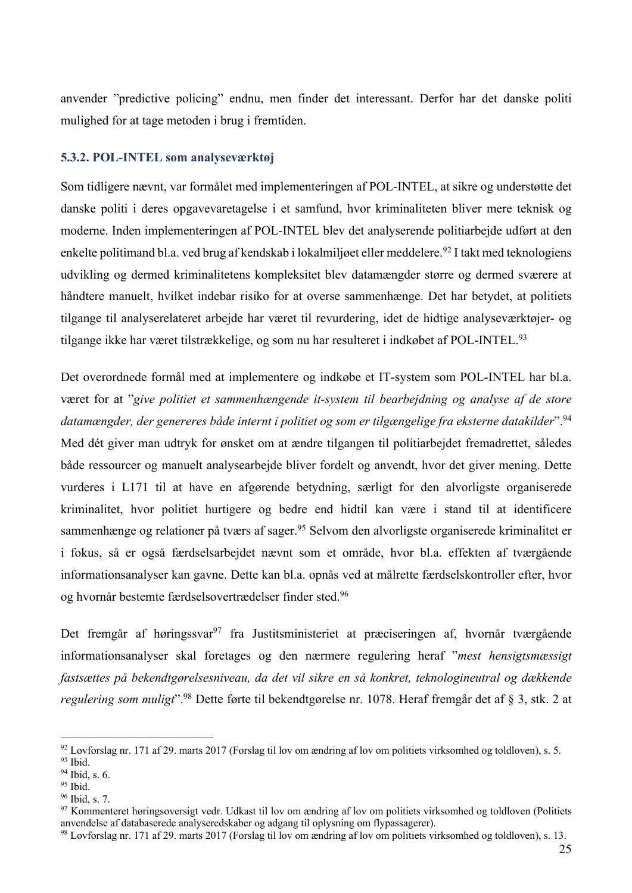anvender "predictive policing" endnu, men finder det interessant. Derfor har det danske politi mulighed for at tage metoden i brug i fremtiden.

#### **5.3.2. POL-INTEL som analyseværktøj**

Som tidligere nævnt, var formålet med implementeringen af POL-INTEL, at sikre og understøtte det danske politi i deres opgavevaretagelse i et samfund, hvor kriminaliteten bliver mere teknisk og moderne. Inden implementeringen af POL-INTEL blev det analyserende politiarbejde udført at den enkelte politimand bl.a. ved brug af kendskab i lokalmiljøet eller meddelere.<sup>92</sup> I takt med teknologiens udvikling og dermed kriminalitetens kompleksitet blev datamængder større og dermed sværere at håndtere manuelt, hvilket indebar risiko for at overse sammenhænge. Det har betydet, at politiets tilgange til analyserelateret arbejde har været til revurdering, idet de hidtige analyseværktøjer- og tilgange ikke har været tilstrækkelige, og som nu har resulteret i indkøbet af POL-INTEL.<sup>93</sup>

Det overordnede formål med at implementere og indkøbe et IT-system som POL-INTEL har bl.a. været for at "*give politiet et sammenhængende it-system til bearbejdning og analyse af de store datamængder, der genereres både internt i politiet og som er tilgængelige fra eksterne datakilder*".94 Med dét giver man udtryk for ønsket om at ændre tilgangen til politiarbejdet fremadrettet, således både ressourcer og manuelt analysearbejde bliver fordelt og anvendt, hvor det giver mening. Dette vurderes i L171 til at have en afgørende betydning, særligt for den alvorligste organiserede kriminalitet, hvor politiet hurtigere og bedre end hidtil kan være i stand til at identificere sammenhænge og relationer på tværs af sager.<sup>95</sup> Selvom den alvorligste organiserede kriminalitet er i fokus, så er også færdselsarbejdet nævnt som et område, hvor bl.a. effekten af tværgående informationsanalyser kan gavne. Dette kan bl.a. opnås ved at målrette færdselskontroller efter, hvor og hvornår bestemte færdselsovertrædelser finder sted.96

Det fremgår af høringssvar<sup>97</sup> fra Justitsministeriet at præciseringen af, hvornår tværgående informationsanalyser skal foretages og den nærmere regulering heraf "*mest hensigtsmæssigt fastsættes på bekendtgørelsesniveau, da det vil sikre en så konkret, teknologineutral og dækkende regulering som muligt*".98 Dette førte til bekendtgørelse nr. 1078. Heraf fremgår det af § 3, stk. 2 at

 $92$  Lovforslag nr. 171 af 29. marts 2017 (Forslag til lov om ændring af lov om politiets virksomhed og toldloven), s. 5.<br><sup>93</sup> Ibid

<sup>93</sup> Ibid. 94 Ibid, s. 6.

 $95$  Ibid.

<sup>96</sup> Ibid, s. 7.

<sup>&</sup>lt;sup>97</sup> Kommenteret høringsoversigt vedr. Udkast til lov om ændring af lov om politiets virksomhed og toldloven (Politiets anvendelse af databaserede analyseredskaber og adgang til oplysning om flypassagerer).

<sup>&</sup>lt;sup>98</sup> Lovforslag nr. 171 af 29. marts 2017 (Forslag til lov om ændring af lov om politiets virksomhed og toldloven), s. 13.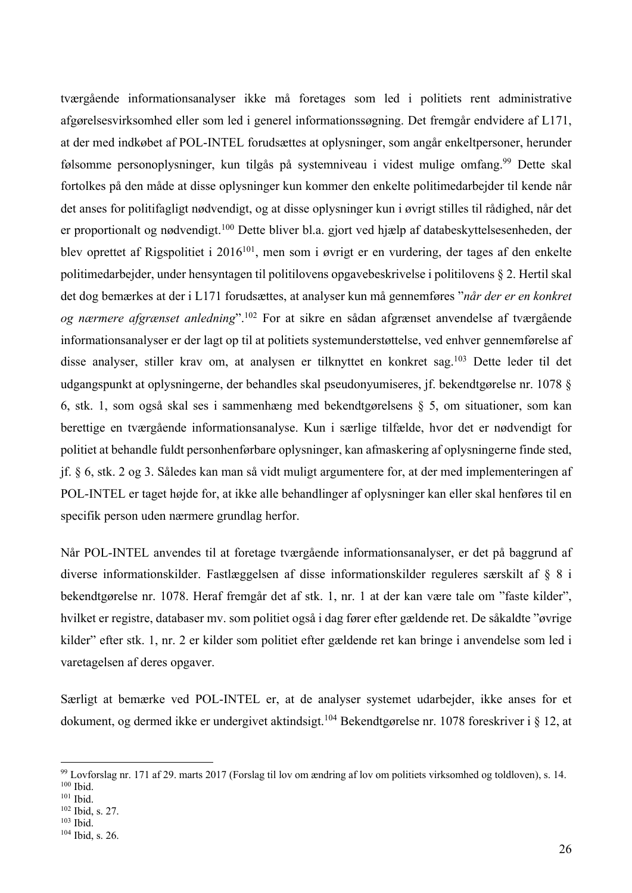tværgående informationsanalyser ikke må foretages som led i politiets rent administrative afgørelsesvirksomhed eller som led i generel informationssøgning. Det fremgår endvidere af L171, at der med indkøbet af POL-INTEL forudsættes at oplysninger, som angår enkeltpersoner, herunder følsomme personoplysninger, kun tilgås på systemniveau i videst mulige omfang.<sup>99</sup> Dette skal fortolkes på den måde at disse oplysninger kun kommer den enkelte politimedarbejder til kende når det anses for politifagligt nødvendigt, og at disse oplysninger kun i øvrigt stilles til rådighed, når det er proportionalt og nødvendigt.100 Dette bliver bl.a. gjort ved hjælp af databeskyttelsesenheden, der blev oprettet af Rigspolitiet i 2016<sup>101</sup>, men som i øvrigt er en vurdering, der tages af den enkelte politimedarbejder, under hensyntagen til politilovens opgavebeskrivelse i politilovens § 2. Hertil skal det dog bemærkes at der i L171 forudsættes, at analyser kun må gennemføres "*når der er en konkret og nærmere afgrænset anledning*". <sup>102</sup> For at sikre en sådan afgrænset anvendelse af tværgående informationsanalyser er der lagt op til at politiets systemunderstøttelse, ved enhver gennemførelse af disse analyser, stiller krav om, at analysen er tilknyttet en konkret sag.103 Dette leder til det udgangspunkt at oplysningerne, der behandles skal pseudonyumiseres, jf. bekendtgørelse nr. 1078 § 6, stk. 1, som også skal ses i sammenhæng med bekendtgørelsens § 5, om situationer, som kan berettige en tværgående informationsanalyse. Kun i særlige tilfælde, hvor det er nødvendigt for politiet at behandle fuldt personhenførbare oplysninger, kan afmaskering af oplysningerne finde sted, jf. § 6, stk. 2 og 3. Således kan man så vidt muligt argumentere for, at der med implementeringen af POL-INTEL er taget højde for, at ikke alle behandlinger af oplysninger kan eller skal henføres til en specifik person uden nærmere grundlag herfor.

Når POL-INTEL anvendes til at foretage tværgående informationsanalyser, er det på baggrund af diverse informationskilder. Fastlæggelsen af disse informationskilder reguleres særskilt af § 8 i bekendtgørelse nr. 1078. Heraf fremgår det af stk. 1, nr. 1 at der kan være tale om "faste kilder", hvilket er registre, databaser mv. som politiet også i dag fører efter gældende ret. De såkaldte "øvrige kilder" efter stk. 1, nr. 2 er kilder som politiet efter gældende ret kan bringe i anvendelse som led i varetagelsen af deres opgaver.

Særligt at bemærke ved POL-INTEL er, at de analyser systemet udarbejder, ikke anses for et dokument, og dermed ikke er undergivet aktindsigt.104 Bekendtgørelse nr. 1078 foreskriver i § 12, at

 $99$  Lovforslag nr. 171 af 29. marts 2017 (Forslag til lov om ændring af lov om politiets virksomhed og toldloven), s. 14.  $100$  Ibid.

<sup>101</sup> Ibid.

<sup>102</sup> Ibid, s. 27.

<sup>103</sup> Ibid.

<sup>104</sup> Ibid, s. 26.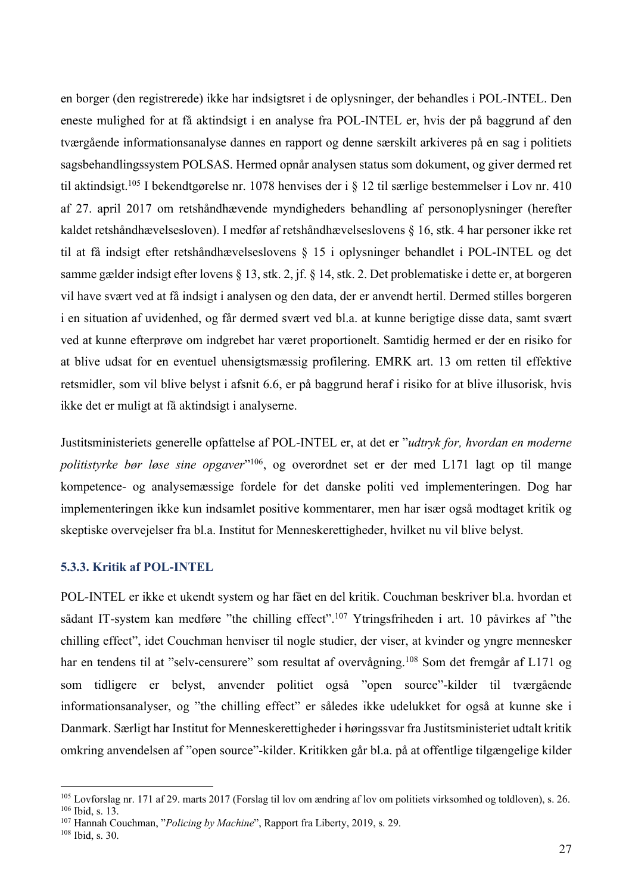en borger (den registrerede) ikke har indsigtsret i de oplysninger, der behandles i POL-INTEL. Den eneste mulighed for at få aktindsigt i en analyse fra POL-INTEL er, hvis der på baggrund af den tværgående informationsanalyse dannes en rapport og denne særskilt arkiveres på en sag i politiets sagsbehandlingssystem POLSAS. Hermed opnår analysen status som dokument, og giver dermed ret til aktindsigt.105 I bekendtgørelse nr. 1078 henvises der i § 12 til særlige bestemmelser i Lov nr. 410 af 27. april 2017 om retshåndhævende myndigheders behandling af personoplysninger (herefter kaldet retshåndhævelsesloven). I medfør af retshåndhævelseslovens § 16, stk. 4 har personer ikke ret til at få indsigt efter retshåndhævelseslovens § 15 i oplysninger behandlet i POL-INTEL og det samme gælder indsigt efter lovens § 13, stk. 2, jf. § 14, stk. 2. Det problematiske i dette er, at borgeren vil have svært ved at få indsigt i analysen og den data, der er anvendt hertil. Dermed stilles borgeren i en situation af uvidenhed, og får dermed svært ved bl.a. at kunne berigtige disse data, samt svært ved at kunne efterprøve om indgrebet har været proportionelt. Samtidig hermed er der en risiko for at blive udsat for en eventuel uhensigtsmæssig profilering. EMRK art. 13 om retten til effektive retsmidler, som vil blive belyst i afsnit 6.6, er på baggrund heraf i risiko for at blive illusorisk, hvis ikke det er muligt at få aktindsigt i analyserne.

Justitsministeriets generelle opfattelse af POL-INTEL er, at det er "*udtryk for, hvordan en moderne politistyrke bør løse sine opgaver*"106, og overordnet set er der med L171 lagt op til mange kompetence- og analysemæssige fordele for det danske politi ved implementeringen. Dog har implementeringen ikke kun indsamlet positive kommentarer, men har især også modtaget kritik og skeptiske overvejelser fra bl.a. Institut for Menneskerettigheder, hvilket nu vil blive belyst.

#### **5.3.3. Kritik af POL-INTEL**

POL-INTEL er ikke et ukendt system og har fået en del kritik. Couchman beskriver bl.a. hvordan et sådant IT-system kan medføre "the chilling effect".<sup>107</sup> Ytringsfriheden i art. 10 påvirkes af "the chilling effect", idet Couchman henviser til nogle studier, der viser, at kvinder og yngre mennesker har en tendens til at "selv-censurere" som resultat af overvågning.<sup>108</sup> Som det fremgår af L171 og som tidligere er belyst, anvender politiet også "open source"-kilder til tværgående informationsanalyser, og "the chilling effect" er således ikke udelukket for også at kunne ske i Danmark. Særligt har Institut for Menneskerettigheder i høringssvar fra Justitsministeriet udtalt kritik omkring anvendelsen af "open source"-kilder. Kritikken går bl.a. på at offentlige tilgængelige kilder

<sup>105</sup> Lovforslag nr. 171 af 29. marts 2017 (Forslag til lov om ændring af lov om politiets virksomhed og toldloven), s. 26.

<sup>106</sup> Ibid, s. 13.

<sup>107</sup> Hannah Couchman, "*Policing by Machine*", Rapport fra Liberty, 2019, s. 29.

<sup>108</sup> Ibid, s. 30.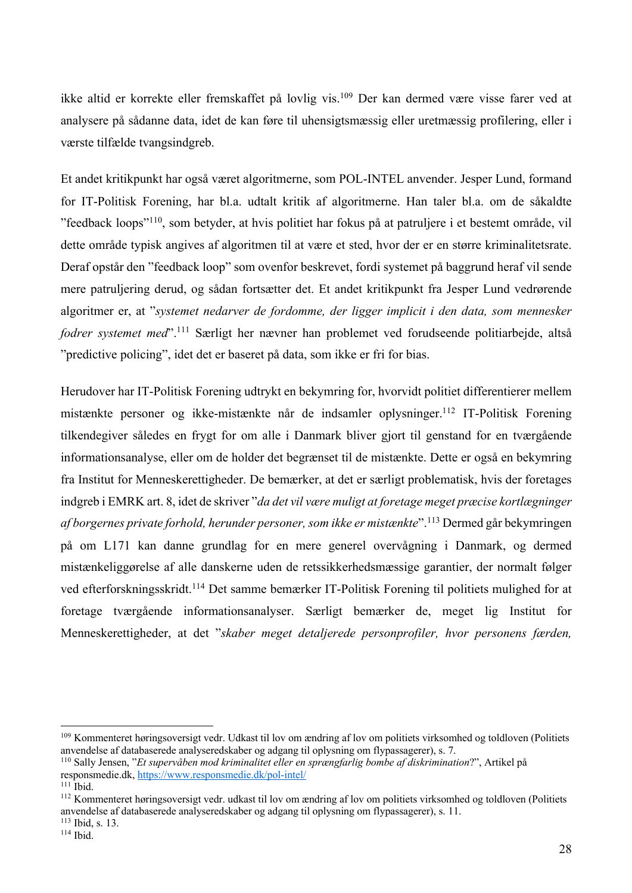ikke altid er korrekte eller fremskaffet på lovlig vis. <sup>109</sup> Der kan dermed være visse farer ved at analysere på sådanne data, idet de kan føre til uhensigtsmæssig eller uretmæssig profilering, eller i værste tilfælde tvangsindgreb.

Et andet kritikpunkt har også været algoritmerne, som POL-INTEL anvender. Jesper Lund, formand for IT-Politisk Forening, har bl.a. udtalt kritik af algoritmerne. Han taler bl.a. om de såkaldte "feedback loops"110, som betyder, at hvis politiet har fokus på at patruljere i et bestemt område, vil dette område typisk angives af algoritmen til at være et sted, hvor der er en større kriminalitetsrate. Deraf opstår den "feedback loop" som ovenfor beskrevet, fordi systemet på baggrund heraf vil sende mere patruljering derud, og sådan fortsætter det. Et andet kritikpunkt fra Jesper Lund vedrørende algoritmer er, at "*systemet nedarver de fordomme, der ligger implicit i den data, som mennesker fodrer systemet med*".111 Særligt her nævner han problemet ved forudseende politiarbejde, altså "predictive policing", idet det er baseret på data, som ikke er fri for bias.

Herudover har IT-Politisk Forening udtrykt en bekymring for, hvorvidt politiet differentierer mellem mistænkte personer og ikke-mistænkte når de indsamler oplysninger.112 IT-Politisk Forening tilkendegiver således en frygt for om alle i Danmark bliver gjort til genstand for en tværgående informationsanalyse, eller om de holder det begrænset til de mistænkte. Dette er også en bekymring fra Institut for Menneskerettigheder. De bemærker, at det er særligt problematisk, hvis der foretages indgreb i EMRK art. 8, idet de skriver "*da det vil være muligt at foretage meget præcise kortlægninger af borgernes private forhold, herunder personer, som ikke er mistænkte*".113 Dermed går bekymringen på om L171 kan danne grundlag for en mere generel overvågning i Danmark, og dermed mistænkeliggørelse af alle danskerne uden de retssikkerhedsmæssige garantier, der normalt følger ved efterforskningsskridt.114 Det samme bemærker IT-Politisk Forening til politiets mulighed for at foretage tværgående informationsanalyser. Særligt bemærker de, meget lig Institut for Menneskerettigheder, at det "*skaber meget detaljerede personprofiler, hvor personens færden,* 

<sup>&</sup>lt;sup>109</sup> Kommenteret høringsoversigt vedr. Udkast til lov om ændring af lov om politiets virksomhed og toldloven (Politiets anvendelse af databaserede analyseredskaber og adgang til oplysning om flypassagerer), s. 7.

<sup>110</sup> Sally Jensen, "*Et supervåben mod kriminalitet eller en sprængfarlig bombe af diskrimination*?", Artikel på responsmedie.dk, https://www.responsmedie.dk/pol-intel/

 $111$  Ibid.

<sup>112</sup> Kommenteret høringsoversigt vedr. udkast til lov om ændring af lov om politiets virksomhed og toldloven (Politiets anvendelse af databaserede analyseredskaber og adgang til oplysning om flypassagerer), s. 11. 113 Ibid, s. 13. 114 Ibid.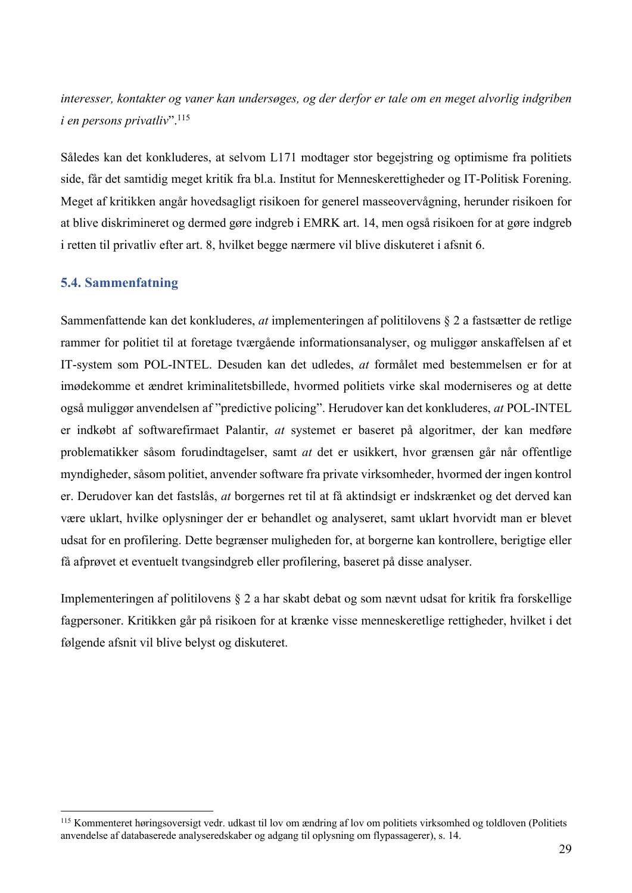*interesser, kontakter og vaner kan undersøges, og der derfor er tale om en meget alvorlig indgriben i* en persons privatliv".<sup>115</sup>

Således kan det konkluderes, at selvom L171 modtager stor begejstring og optimisme fra politiets side, får det samtidig meget kritik fra bl.a. Institut for Menneskerettigheder og IT-Politisk Forening. Meget af kritikken angår hovedsagligt risikoen for generel masseovervågning, herunder risikoen for at blive diskrimineret og dermed gøre indgreb i EMRK art. 14, men også risikoen for at gøre indgreb i retten til privatliv efter art. 8, hvilket begge nærmere vil blive diskuteret i afsnit 6.

#### **5.4. Sammenfatning**

Sammenfattende kan det konkluderes, *at* implementeringen af politilovens § 2 a fastsætter de retlige rammer for politiet til at foretage tværgående informationsanalyser, og muliggør anskaffelsen af et IT-system som POL-INTEL. Desuden kan det udledes, *at* formålet med bestemmelsen er for at imødekomme et ændret kriminalitetsbillede, hvormed politiets virke skal moderniseres og at dette også muliggør anvendelsen af "predictive policing". Herudover kan det konkluderes, *at* POL-INTEL er indkøbt af softwarefirmaet Palantir, *at* systemet er baseret på algoritmer, der kan medføre problematikker såsom forudindtagelser, samt *at* det er usikkert, hvor grænsen går når offentlige myndigheder, såsom politiet, anvender software fra private virksomheder, hvormed der ingen kontrol er. Derudover kan det fastslås, *at* borgernes ret til at få aktindsigt er indskrænket og det derved kan være uklart, hvilke oplysninger der er behandlet og analyseret, samt uklart hvorvidt man er blevet udsat for en profilering. Dette begrænser muligheden for, at borgerne kan kontrollere, berigtige eller få afprøvet et eventuelt tvangsindgreb eller profilering, baseret på disse analyser.

Implementeringen af politilovens § 2 a har skabt debat og som nævnt udsat for kritik fra forskellige fagpersoner. Kritikken går på risikoen for at krænke visse menneskeretlige rettigheder, hvilket i det følgende afsnit vil blive belyst og diskuteret.

<sup>115</sup> Kommenteret høringsoversigt vedr. udkast til lov om ændring af lov om politiets virksomhed og toldloven (Politiets anvendelse af databaserede analyseredskaber og adgang til oplysning om flypassagerer), s. 14.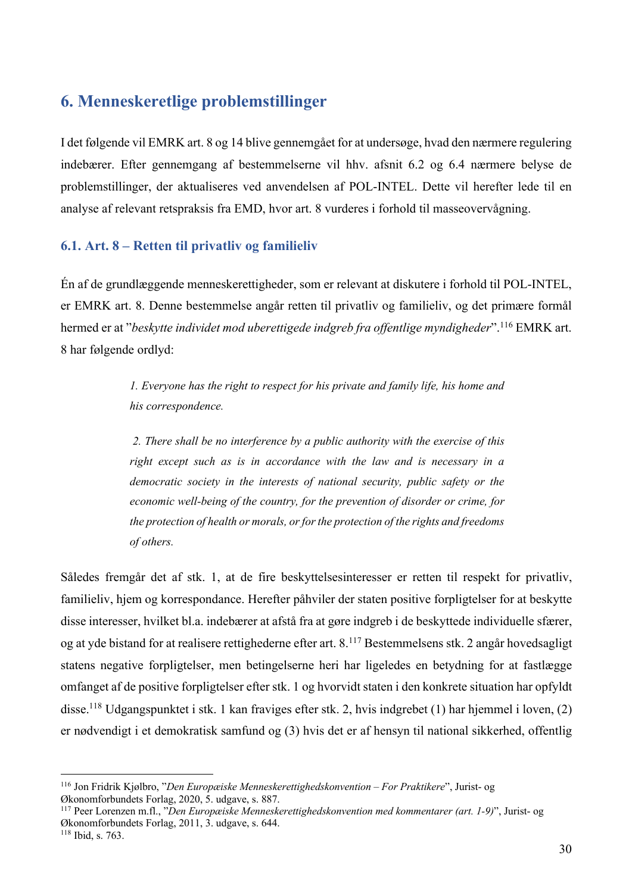## **6. Menneskeretlige problemstillinger**

I det følgende vil EMRK art. 8 og 14 blive gennemgået for at undersøge, hvad den nærmere regulering indebærer. Efter gennemgang af bestemmelserne vil hhv. afsnit 6.2 og 6.4 nærmere belyse de problemstillinger, der aktualiseres ved anvendelsen af POL-INTEL. Dette vil herefter lede til en analyse af relevant retspraksis fra EMD, hvor art. 8 vurderes i forhold til masseovervågning.

#### **6.1. Art. 8 – Retten til privatliv og familieliv**

Én af de grundlæggende menneskerettigheder, som er relevant at diskutere i forhold til POL-INTEL, er EMRK art. 8. Denne bestemmelse angår retten til privatliv og familieliv, og det primære formål hermed er at "*beskytte individet mod uberettigede indgreb fra offentlige myndigheder*".116 EMRK art. 8 har følgende ordlyd:

> *1. Everyone has the right to respect for his private and family life, his home and his correspondence.*

> *2. There shall be no interference by a public authority with the exercise of this right except such as is in accordance with the law and is necessary in a democratic society in the interests of national security, public safety or the economic well-being of the country, for the prevention of disorder or crime, for the protection of health or morals, or for the protection of the rights and freedoms of others.*

Således fremgår det af stk. 1, at de fire beskyttelsesinteresser er retten til respekt for privatliv, familieliv, hjem og korrespondance. Herefter påhviler der staten positive forpligtelser for at beskytte disse interesser, hvilket bl.a. indebærer at afstå fra at gøre indgreb i de beskyttede individuelle sfærer, og at yde bistand for at realisere rettighederne efter art. 8.117 Bestemmelsens stk. 2 angår hovedsagligt statens negative forpligtelser, men betingelserne heri har ligeledes en betydning for at fastlægge omfanget af de positive forpligtelser efter stk. 1 og hvorvidt staten i den konkrete situation har opfyldt disse.118 Udgangspunktet i stk. 1 kan fraviges efter stk. 2, hvis indgrebet (1) har hjemmel i loven, (2) er nødvendigt i et demokratisk samfund og (3) hvis det er af hensyn til national sikkerhed, offentlig

<sup>116</sup> Jon Fridrik Kjølbro, "*Den Europæiske Menneskerettighedskonvention – For Praktikere*", Jurist- og Økonomforbundets Forlag, 2020, 5. udgave, s. 887.

<sup>117</sup> Peer Lorenzen m.fl., "*Den Europæiske Menneskerettighedskonvention med kommentarer (art. 1-9)*", Jurist- og Økonomforbundets Forlag, 2011, 3. udgave, s. 644.

<sup>118</sup> Ibid, s. 763.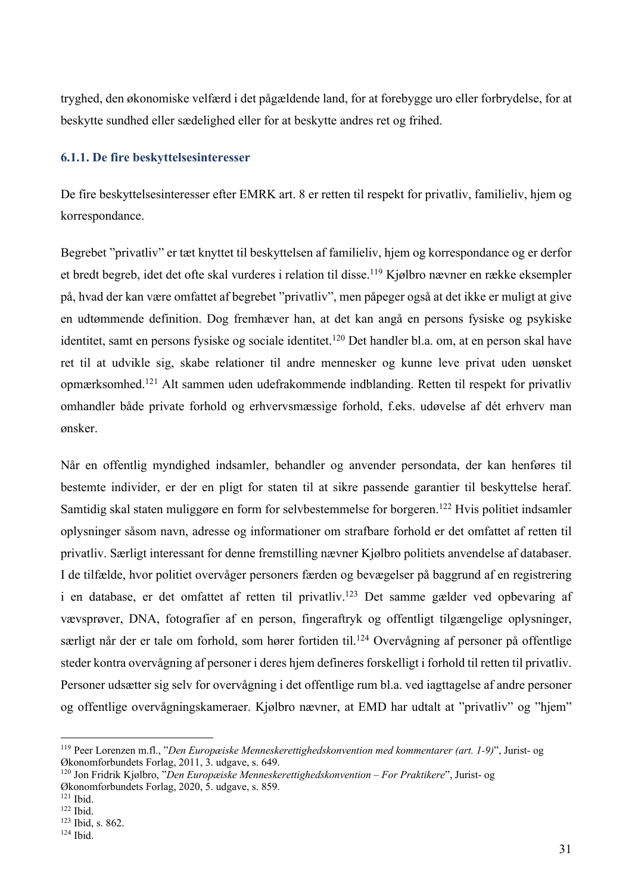tryghed, den økonomiske velfærd i det pågældende land, for at forebygge uro eller forbrydelse, for at beskytte sundhed eller sædelighed eller for at beskytte andres ret og frihed.

#### **6.1.1. De fire beskyttelsesinteresser**

De fire beskyttelsesinteresser efter EMRK art. 8 er retten til respekt for privatliv, familieliv, hjem og korrespondance.

Begrebet "privatliv" er tæt knyttet til beskyttelsen af familieliv, hjem og korrespondance og er derfor et bredt begreb, idet det ofte skal vurderes i relation til disse.119 Kjølbro nævner en række eksempler på, hvad der kan være omfattet af begrebet "privatliv", men påpeger også at det ikke er muligt at give en udtømmende definition. Dog fremhæver han, at det kan angå en persons fysiske og psykiske identitet, samt en persons fysiske og sociale identitet.<sup>120</sup> Det handler bl.a. om, at en person skal have ret til at udvikle sig, skabe relationer til andre mennesker og kunne leve privat uden uønsket opmærksomhed.121 Alt sammen uden udefrakommende indblanding. Retten til respekt for privatliv omhandler både private forhold og erhvervsmæssige forhold, f.eks. udøvelse af dét erhverv man ønsker.

Når en offentlig myndighed indsamler, behandler og anvender persondata, der kan henføres til bestemte individer, er der en pligt for staten til at sikre passende garantier til beskyttelse heraf. Samtidig skal staten muliggøre en form for selvbestemmelse for borgeren.122 Hvis politiet indsamler oplysninger såsom navn, adresse og informationer om strafbare forhold er det omfattet af retten til privatliv. Særligt interessant for denne fremstilling nævner Kjølbro politiets anvendelse af databaser. I de tilfælde, hvor politiet overvåger personers færden og bevægelser på baggrund af en registrering i en database, er det omfattet af retten til privatliv.<sup>123</sup> Det samme gælder ved opbevaring af vævsprøver, DNA, fotografier af en person, fingeraftryk og offentligt tilgængelige oplysninger, særligt når der er tale om forhold, som hører fortiden til.<sup>124</sup> Overvågning af personer på offentlige steder kontra overvågning af personer i deres hjem defineres forskelligt i forhold til retten til privatliv. Personer udsætter sig selv for overvågning i det offentlige rum bl.a. ved iagttagelse af andre personer og offentlige overvågningskameraer. Kjølbro nævner, at EMD har udtalt at "privatliv" og "hjem"

<sup>119</sup> Peer Lorenzen m.fl., "*Den Europæiske Menneskerettighedskonvention med kommentarer (art. 1-9)*", Jurist- og

<sup>&</sup>lt;sup>120</sup> Jon Fridrik Kjølbro, "*Den Europæiske Menneskerettighedskonvention – For Praktikere*", Jurist- og Økonomforbundets Forlag, 2020, 5. udgave, s. 859.

 $121$  Ibid.

<sup>122</sup> Ibid.

<sup>123</sup> Ibid, s. 862.

<sup>124</sup> Ibid.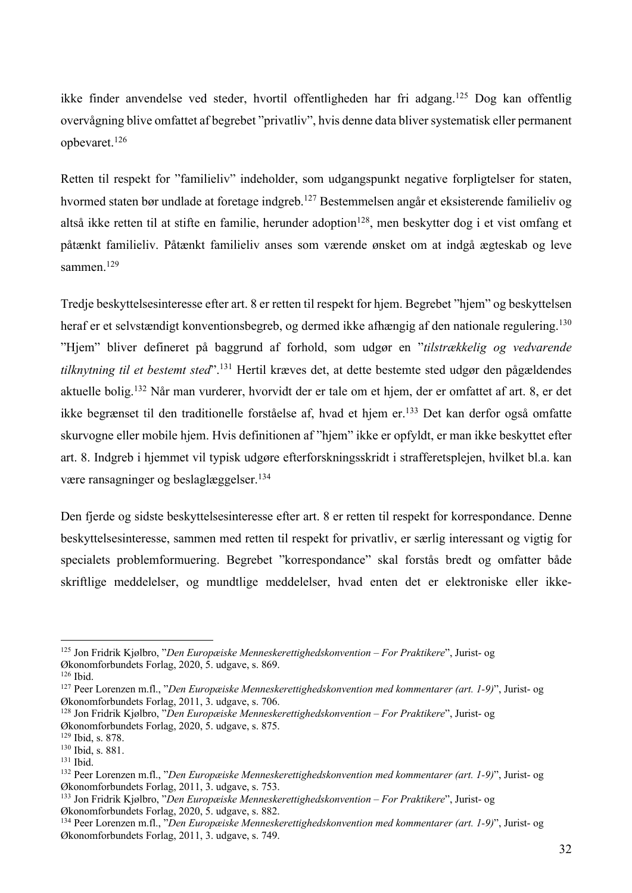ikke finder anvendelse ved steder, hvortil offentligheden har fri adgang.<sup>125</sup> Dog kan offentlig overvågning blive omfattet af begrebet "privatliv", hvis denne data bliver systematisk eller permanent opbevaret.126

Retten til respekt for "familieliv" indeholder, som udgangspunkt negative forpligtelser for staten, hvormed staten bør undlade at foretage indgreb.127 Bestemmelsen angår et eksisterende familieliv og altså ikke retten til at stifte en familie, herunder adoption<sup>128</sup>, men beskytter dog i et vist omfang et påtænkt familieliv. Påtænkt familieliv anses som værende ønsket om at indgå ægteskab og leve sammen.<sup>129</sup>

Tredje beskyttelsesinteresse efter art. 8 er retten til respekt for hjem. Begrebet "hjem" og beskyttelsen heraf er et selvstændigt konventionsbegreb, og dermed ikke afhængig af den nationale regulering.<sup>130</sup> "Hjem" bliver defineret på baggrund af forhold, som udgør en "*tilstrækkelig og vedvarende tilknytning til et bestemt sted*". <sup>131</sup> Hertil kræves det, at dette bestemte sted udgør den pågældendes aktuelle bolig.132 Når man vurderer, hvorvidt der er tale om et hjem, der er omfattet af art. 8, er det ikke begrænset til den traditionelle forståelse af, hvad et hjem er.133 Det kan derfor også omfatte skurvogne eller mobile hjem. Hvis definitionen af "hjem" ikke er opfyldt, er man ikke beskyttet efter art. 8. Indgreb i hjemmet vil typisk udgøre efterforskningsskridt i strafferetsplejen, hvilket bl.a. kan være ransagninger og beslaglæggelser.134

Den fjerde og sidste beskyttelsesinteresse efter art. 8 er retten til respekt for korrespondance. Denne beskyttelsesinteresse, sammen med retten til respekt for privatliv, er særlig interessant og vigtig for specialets problemformuering. Begrebet "korrespondance" skal forstås bredt og omfatter både skriftlige meddelelser, og mundtlige meddelelser, hvad enten det er elektroniske eller ikke-

<sup>125</sup> Jon Fridrik Kjølbro, "*Den Europæiske Menneskerettighedskonvention – For Praktikere*", Jurist- og Økonomforbundets Forlag, 2020, 5. udgave, s. 869. 126 Ibid.

<sup>127</sup> Peer Lorenzen m.fl., "*Den Europæiske Menneskerettighedskonvention med kommentarer (art. 1-9)*", Jurist- og Økonomforbundets Forlag, 2011, 3. udgave, s. 706.

<sup>128</sup> Jon Fridrik Kjølbro, "*Den Europæiske Menneskerettighedskonvention – For Praktikere*", Jurist- og Økonomforbundets Forlag, 2020, 5. udgave, s. 875.

<sup>129</sup> Ibid, s. 878.

<sup>130</sup> Ibid, s. 881.

<sup>131</sup> Ibid.

<sup>132</sup> Peer Lorenzen m.fl., "*Den Europæiske Menneskerettighedskonvention med kommentarer (art. 1-9)*", Jurist- og Økonomforbundets Forlag, 2011, 3. udgave, s. 753.

<sup>133</sup> Jon Fridrik Kjølbro, "*Den Europæiske Menneskerettighedskonvention – For Praktikere*", Jurist- og Økonomforbundets Forlag, 2020, 5. udgave, s. 882.

<sup>134</sup> Peer Lorenzen m.fl., "*Den Europæiske Menneskerettighedskonvention med kommentarer (art. 1-9)*", Jurist- og Økonomforbundets Forlag, 2011, 3. udgave, s. 749.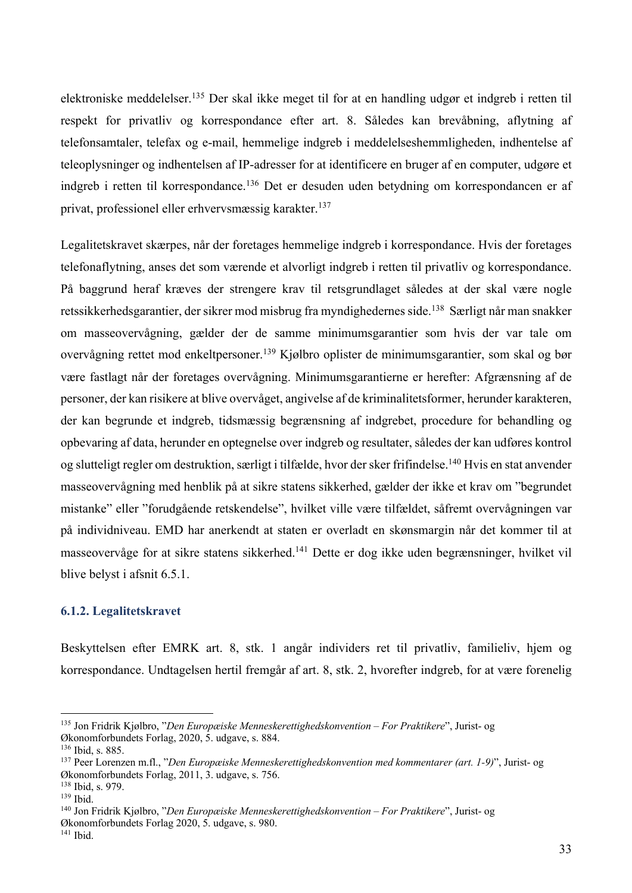elektroniske meddelelser.135 Der skal ikke meget til for at en handling udgør et indgreb i retten til respekt for privatliv og korrespondance efter art. 8. Således kan brevåbning, aflytning af telefonsamtaler, telefax og e-mail, hemmelige indgreb i meddelelseshemmligheden, indhentelse af teleoplysninger og indhentelsen af IP-adresser for at identificere en bruger af en computer, udgøre et indgreb i retten til korrespondance.<sup>136</sup> Det er desuden uden betydning om korrespondancen er af privat, professionel eller erhvervsmæssig karakter.137

Legalitetskravet skærpes, når der foretages hemmelige indgreb i korrespondance. Hvis der foretages telefonaflytning, anses det som værende et alvorligt indgreb i retten til privatliv og korrespondance. På baggrund heraf kræves der strengere krav til retsgrundlaget således at der skal være nogle retssikkerhedsgarantier, der sikrer mod misbrug fra myndighedernes side.138 Særligt når man snakker om masseovervågning, gælder der de samme minimumsgarantier som hvis der var tale om overvågning rettet mod enkeltpersoner.139 Kjølbro oplister de minimumsgarantier, som skal og bør være fastlagt når der foretages overvågning. Minimumsgarantierne er herefter: Afgrænsning af de personer, der kan risikere at blive overvåget, angivelse af de kriminalitetsformer, herunder karakteren, der kan begrunde et indgreb, tidsmæssig begrænsning af indgrebet, procedure for behandling og opbevaring af data, herunder en optegnelse over indgreb og resultater, således der kan udføres kontrol og slutteligt regler om destruktion, særligt i tilfælde, hvor der sker frifindelse.140 Hvis en stat anvender masseovervågning med henblik på at sikre statens sikkerhed, gælder der ikke et krav om "begrundet mistanke" eller "forudgående retskendelse", hvilket ville være tilfældet, såfremt overvågningen var på individniveau. EMD har anerkendt at staten er overladt en skønsmargin når det kommer til at masseovervåge for at sikre statens sikkerhed. <sup>141</sup> Dette er dog ikke uden begrænsninger, hvilket vil blive belyst i afsnit 6.5.1.

#### **6.1.2. Legalitetskravet**

Beskyttelsen efter EMRK art. 8, stk. 1 angår individers ret til privatliv, familieliv, hjem og korrespondance. Undtagelsen hertil fremgår af art. 8, stk. 2, hvorefter indgreb, for at være forenelig

<sup>135</sup> Jon Fridrik Kjølbro, "*Den Europæiske Menneskerettighedskonvention – For Praktikere*", Jurist- og Økonomforbundets Forlag, 2020, 5. udgave, s. 884.

<sup>136</sup> Ibid, s. 885.

<sup>137</sup> Peer Lorenzen m.fl., "*Den Europæiske Menneskerettighedskonvention med kommentarer (art. 1-9)*", Jurist- og Økonomforbundets Forlag, 2011, 3. udgave, s. 756.

 $\frac{138}{139}$  Ibid, s. 979.

<sup>139</sup> Ibid. 140 Jon Fridrik Kjølbro, "*Den Europæiske Menneskerettighedskonvention – For Praktikere*", Jurist- og Økonomforbundets Forlag 2020, 5. udgave, s. 980.

<sup>141</sup> Ibid.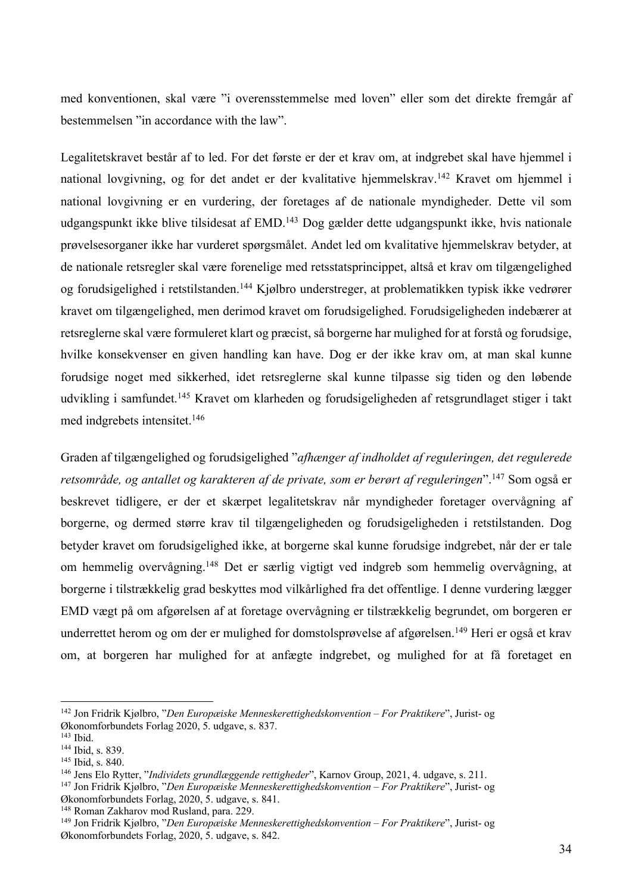med konventionen, skal være "i overensstemmelse med loven" eller som det direkte fremgår af bestemmelsen "in accordance with the law".

Legalitetskravet består af to led. For det første er der et krav om, at indgrebet skal have hjemmel i national lovgivning, og for det andet er der kvalitative hjemmelskrav.142 Kravet om hjemmel i national lovgivning er en vurdering, der foretages af de nationale myndigheder. Dette vil som udgangspunkt ikke blive tilsidesat af EMD. <sup>143</sup> Dog gælder dette udgangspunkt ikke, hvis nationale prøvelsesorganer ikke har vurderet spørgsmålet. Andet led om kvalitative hjemmelskrav betyder, at de nationale retsregler skal være forenelige med retsstatsprincippet, altså et krav om tilgængelighed og forudsigelighed i retstilstanden.<sup>144</sup> Kjølbro understreger, at problematikken typisk ikke vedrører kravet om tilgængelighed, men derimod kravet om forudsigelighed. Forudsigeligheden indebærer at retsreglerne skal være formuleret klart og præcist, så borgerne har mulighed for at forstå og forudsige, hvilke konsekvenser en given handling kan have. Dog er der ikke krav om, at man skal kunne forudsige noget med sikkerhed, idet retsreglerne skal kunne tilpasse sig tiden og den løbende udvikling i samfundet. <sup>145</sup> Kravet om klarheden og forudsigeligheden af retsgrundlaget stiger i takt med indgrebets intensitet.146

Graden af tilgængelighed og forudsigelighed "*afhænger af indholdet af reguleringen, det regulerede retsområde, og antallet og karakteren af de private, som er berørt af reguleringen*".147 Som også er beskrevet tidligere, er der et skærpet legalitetskrav når myndigheder foretager overvågning af borgerne, og dermed større krav til tilgængeligheden og forudsigeligheden i retstilstanden. Dog betyder kravet om forudsigelighed ikke, at borgerne skal kunne forudsige indgrebet, når der er tale om hemmelig overvågning.148 Det er særlig vigtigt ved indgreb som hemmelig overvågning, at borgerne i tilstrækkelig grad beskyttes mod vilkårlighed fra det offentlige. I denne vurdering lægger EMD vægt på om afgørelsen af at foretage overvågning er tilstrækkelig begrundet, om borgeren er underrettet herom og om der er mulighed for domstolsprøvelse af afgørelsen.<sup>149</sup> Heri er også et krav om, at borgeren har mulighed for at anfægte indgrebet, og mulighed for at få foretaget en

<sup>148</sup> Roman Zakharov mod Rusland, para. 229.

<sup>142</sup> Jon Fridrik Kjølbro, "*Den Europæiske Menneskerettighedskonvention – For Praktikere*", Jurist- og Økonomforbundets Forlag 2020, 5. udgave, s. 837.

<sup>&</sup>lt;sup>144</sup> Ibid, s. 839.<br><sup>145</sup> Ibid, s. 840.<br><sup>146</sup> Jens Elo Rytter, "*Individets grundlæggende rettigheder*", Karnov Group, 2021, 4. udgave, s. 211.

<sup>147</sup> Jon Fridrik Kjølbro, "*Den Europæiske Menneskerettighedskonvention – For Praktikere*", Jurist- og Økonomforbundets Forlag, 2020, 5. udgave, s. 841.

<sup>149</sup> Jon Fridrik Kjølbro, "*Den Europæiske Menneskerettighedskonvention – For Praktikere*", Jurist- og Økonomforbundets Forlag, 2020, 5. udgave, s. 842.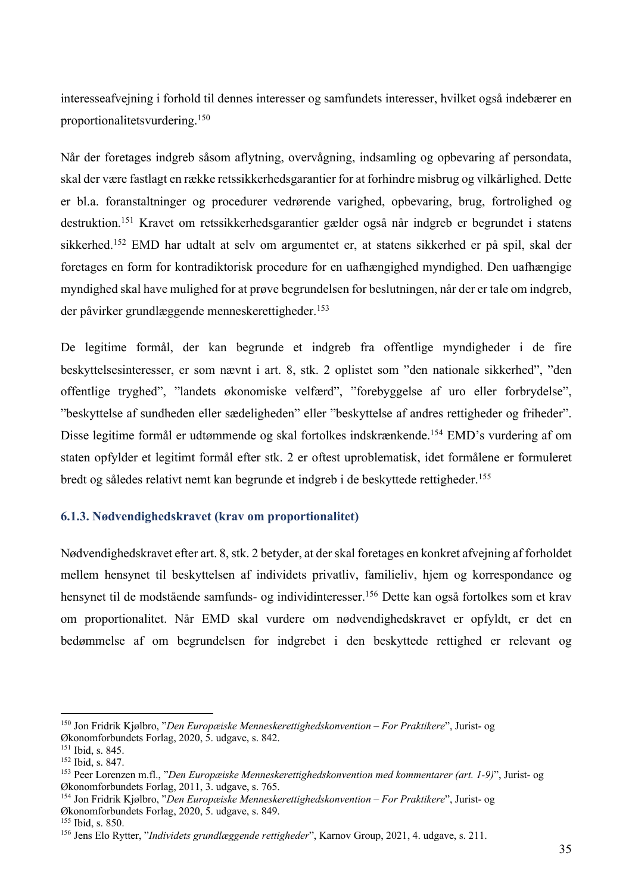interesseafvejning i forhold til dennes interesser og samfundets interesser, hvilket også indebærer en proportionalitetsvurdering.150

Når der foretages indgreb såsom aflytning, overvågning, indsamling og opbevaring af persondata, skal der være fastlagt en række retssikkerhedsgarantier for at forhindre misbrug og vilkårlighed. Dette er bl.a. foranstaltninger og procedurer vedrørende varighed, opbevaring, brug, fortrolighed og destruktion.151 Kravet om retssikkerhedsgarantier gælder også når indgreb er begrundet i statens sikkerhed.152 EMD har udtalt at selv om argumentet er, at statens sikkerhed er på spil, skal der foretages en form for kontradiktorisk procedure for en uafhængighed myndighed. Den uafhængige myndighed skal have mulighed for at prøve begrundelsen for beslutningen, når der er tale om indgreb, der påvirker grundlæggende menneskerettigheder.153

De legitime formål, der kan begrunde et indgreb fra offentlige myndigheder i de fire beskyttelsesinteresser, er som nævnt i art. 8, stk. 2 oplistet som "den nationale sikkerhed", "den offentlige tryghed", "landets økonomiske velfærd", "forebyggelse af uro eller forbrydelse", "beskyttelse af sundheden eller sædeligheden" eller "beskyttelse af andres rettigheder og friheder". Disse legitime formål er udtømmende og skal fortolkes indskrænkende.154 EMD's vurdering af om staten opfylder et legitimt formål efter stk. 2 er oftest uproblematisk, idet formålene er formuleret bredt og således relativt nemt kan begrunde et indgreb i de beskyttede rettigheder.155

#### **6.1.3. Nødvendighedskravet (krav om proportionalitet)**

Nødvendighedskravet efter art. 8, stk. 2 betyder, at der skal foretages en konkret afvejning af forholdet mellem hensynet til beskyttelsen af individets privatliv, familieliv, hjem og korrespondance og hensynet til de modstående samfunds- og individinteresser.<sup>156</sup> Dette kan også fortolkes som et krav om proportionalitet. Når EMD skal vurdere om nødvendighedskravet er opfyldt, er det en bedømmelse af om begrundelsen for indgrebet i den beskyttede rettighed er relevant og

<sup>150</sup> Jon Fridrik Kjølbro, "*Den Europæiske Menneskerettighedskonvention – For Praktikere*", Jurist- og Økonomforbundets Forlag, 2020, 5. udgave, s. 842.

<sup>151</sup> Ibid, s. 845.

<sup>152</sup> Ibid, s. 847.

<sup>153</sup> Peer Lorenzen m.fl., "*Den Europæiske Menneskerettighedskonvention med kommentarer (art. 1-9)*", Jurist- og Økonomforbundets Forlag, 2011, 3. udgave, s. 765.

<sup>154</sup> Jon Fridrik Kjølbro, "*Den Europæiske Menneskerettighedskonvention – For Praktikere*", Jurist- og Økonomforbundets Forlag, 2020, 5. udgave, s. 849.<br><sup>155</sup> Ibid, s. 850.

<sup>&</sup>lt;sup>156</sup> Jens Elo Rytter, "*Individets grundlæggende rettigheder*", Karnov Group, 2021, 4. udgave, s. 211.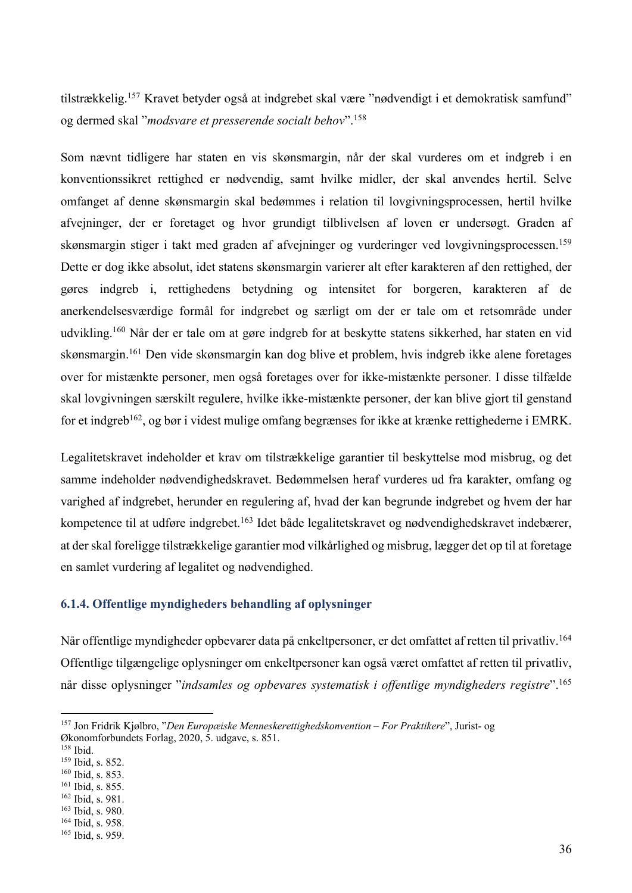tilstrækkelig.157 Kravet betyder også at indgrebet skal være "nødvendigt i et demokratisk samfund" og dermed skal "*modsvare et presserende socialt behov*".158

Som nævnt tidligere har staten en vis skønsmargin, når der skal vurderes om et indgreb i en konventionssikret rettighed er nødvendig, samt hvilke midler, der skal anvendes hertil. Selve omfanget af denne skønsmargin skal bedømmes i relation til lovgivningsprocessen, hertil hvilke afvejninger, der er foretaget og hvor grundigt tilblivelsen af loven er undersøgt. Graden af skønsmargin stiger i takt med graden af afvejninger og vurderinger ved lovgivningsprocessen.159 Dette er dog ikke absolut, idet statens skønsmargin varierer alt efter karakteren af den rettighed, der gøres indgreb i, rettighedens betydning og intensitet for borgeren, karakteren af de anerkendelsesværdige formål for indgrebet og særligt om der er tale om et retsområde under udvikling.160 Når der er tale om at gøre indgreb for at beskytte statens sikkerhed, har staten en vid skønsmargin.161 Den vide skønsmargin kan dog blive et problem, hvis indgreb ikke alene foretages over for mistænkte personer, men også foretages over for ikke-mistænkte personer. I disse tilfælde skal lovgivningen særskilt regulere, hvilke ikke-mistænkte personer, der kan blive gjort til genstand for et indgreb<sup>162</sup>, og bør i videst mulige omfang begrænses for ikke at krænke rettighederne i EMRK.

Legalitetskravet indeholder et krav om tilstrækkelige garantier til beskyttelse mod misbrug, og det samme indeholder nødvendighedskravet. Bedømmelsen heraf vurderes ud fra karakter, omfang og varighed af indgrebet, herunder en regulering af, hvad der kan begrunde indgrebet og hvem der har kompetence til at udføre indgrebet.<sup>163</sup> Idet både legalitetskravet og nødvendighedskravet indebærer, at der skal foreligge tilstrækkelige garantier mod vilkårlighed og misbrug, lægger det op til at foretage en samlet vurdering af legalitet og nødvendighed.

#### **6.1.4. Offentlige myndigheders behandling af oplysninger**

Når offentlige myndigheder opbevarer data på enkeltpersoner, er det omfattet af retten til privatliv.164 Offentlige tilgængelige oplysninger om enkeltpersoner kan også været omfattet af retten til privatliv, når disse oplysninger "*indsamles og opbevares systematisk i offentlige myndigheders registre*". 165

- <sup>162</sup> Ibid, s. 981.
- <sup>163</sup> Ibid, s. 980.

<sup>157</sup> Jon Fridrik Kjølbro, "*Den Europæiske Menneskerettighedskonvention – For Praktikere*", Jurist- og Økonomforbundets Forlag, 2020, 5. udgave, s. 851.

<sup>158</sup> Ibid.

<sup>159</sup> Ibid, s. 852.

<sup>160</sup> Ibid, s. 853.

<sup>161</sup> Ibid, s. 855.

<sup>164</sup> Ibid, s. 958.

<sup>165</sup> Ibid, s. 959.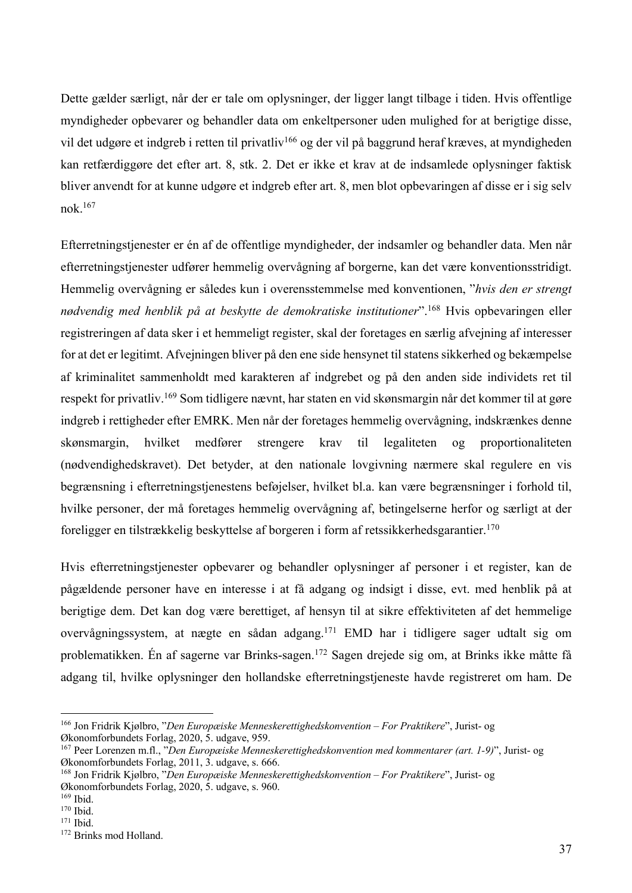Dette gælder særligt, når der er tale om oplysninger, der ligger langt tilbage i tiden. Hvis offentlige myndigheder opbevarer og behandler data om enkeltpersoner uden mulighed for at berigtige disse, vil det udgøre et indgreb i retten til privatliv<sup>166</sup> og der vil på baggrund heraf kræves, at myndigheden kan retfærdiggøre det efter art. 8, stk. 2. Det er ikke et krav at de indsamlede oplysninger faktisk bliver anvendt for at kunne udgøre et indgreb efter art. 8, men blot opbevaringen af disse er i sig selv nok.167

Efterretningstjenester er én af de offentlige myndigheder, der indsamler og behandler data. Men når efterretningstjenester udfører hemmelig overvågning af borgerne, kan det være konventionsstridigt. Hemmelig overvågning er således kun i overensstemmelse med konventionen, "*hvis den er strengt nødvendig med henblik på at beskytte de demokratiske institutioner*".168 Hvis opbevaringen eller registreringen af data sker i et hemmeligt register, skal der foretages en særlig afvejning af interesser for at det er legitimt. Afvejningen bliver på den ene side hensynet til statens sikkerhed og bekæmpelse af kriminalitet sammenholdt med karakteren af indgrebet og på den anden side individets ret til respekt for privatliv.169 Som tidligere nævnt, har staten en vid skønsmargin når det kommer til at gøre indgreb i rettigheder efter EMRK. Men når der foretages hemmelig overvågning, indskrænkes denne skønsmargin, hvilket medfører strengere krav til legaliteten og proportionaliteten (nødvendighedskravet). Det betyder, at den nationale lovgivning nærmere skal regulere en vis begrænsning i efterretningstjenestens beføjelser, hvilket bl.a. kan være begrænsninger i forhold til, hvilke personer, der må foretages hemmelig overvågning af, betingelserne herfor og særligt at der foreligger en tilstrækkelig beskyttelse af borgeren i form af retssikkerhedsgarantier.<sup>170</sup>

Hvis efterretningstjenester opbevarer og behandler oplysninger af personer i et register, kan de pågældende personer have en interesse i at få adgang og indsigt i disse, evt. med henblik på at berigtige dem. Det kan dog være berettiget, af hensyn til at sikre effektiviteten af det hemmelige overvågningssystem, at nægte en sådan adgang.171 EMD har i tidligere sager udtalt sig om problematikken. Én af sagerne var Brinks-sagen.172 Sagen drejede sig om, at Brinks ikke måtte få adgang til, hvilke oplysninger den hollandske efterretningstjeneste havde registreret om ham. De

<sup>166</sup> Jon Fridrik Kjølbro, "*Den Europæiske Menneskerettighedskonvention – For Praktikere*", Jurist- og Økonomforbundets Forlag, 2020, 5. udgave, 959.

<sup>167</sup> Peer Lorenzen m.fl., "*Den Europæiske Menneskerettighedskonvention med kommentarer (art. 1-9)*", Jurist- og Økonomforbundets Forlag, 2011, 3. udgave, s. 666.

<sup>168</sup> Jon Fridrik Kjølbro, "*Den Europæiske Menneskerettighedskonvention – For Praktikere*", Jurist- og Økonomforbundets Forlag, 2020, 5. udgave, s. 960.

<sup>169</sup> Ibid.

<sup>170</sup> Ibid.  $171$  Ibid.

<sup>172</sup> Brinks mod Holland.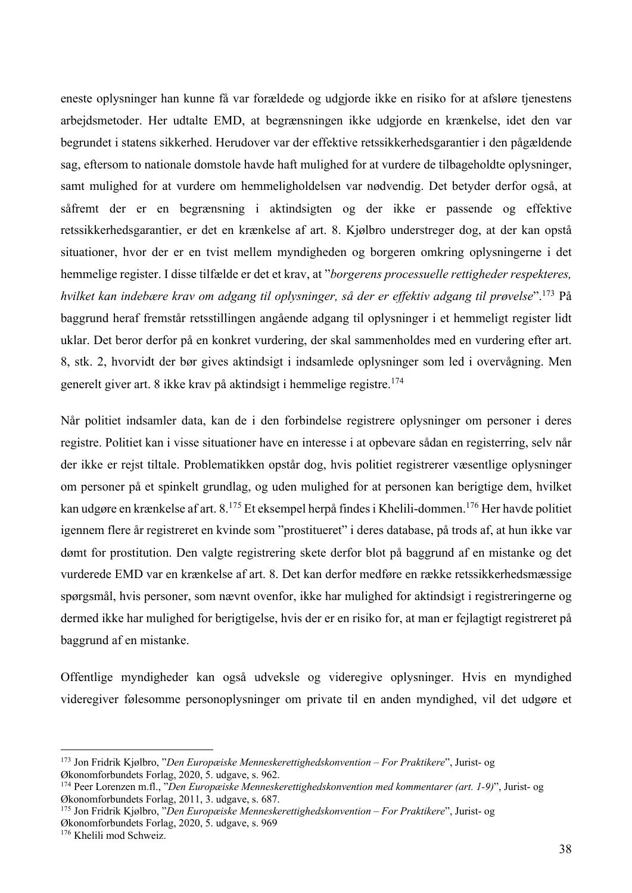eneste oplysninger han kunne få var forældede og udgjorde ikke en risiko for at afsløre tjenestens arbejdsmetoder. Her udtalte EMD, at begrænsningen ikke udgjorde en krænkelse, idet den var begrundet i statens sikkerhed. Herudover var der effektive retssikkerhedsgarantier i den pågældende sag, eftersom to nationale domstole havde haft mulighed for at vurdere de tilbageholdte oplysninger, samt mulighed for at vurdere om hemmeligholdelsen var nødvendig. Det betyder derfor også, at såfremt der er en begrænsning i aktindsigten og der ikke er passende og effektive retssikkerhedsgarantier, er det en krænkelse af art. 8. Kjølbro understreger dog, at der kan opstå situationer, hvor der er en tvist mellem myndigheden og borgeren omkring oplysningerne i det hemmelige register. I disse tilfælde er det et krav, at "*borgerens processuelle rettigheder respekteres, hvilket kan indebære krav om adgang til oplysninger, så der er effektiv adgang til prøvelse*".173 På baggrund heraf fremstår retsstillingen angående adgang til oplysninger i et hemmeligt register lidt uklar. Det beror derfor på en konkret vurdering, der skal sammenholdes med en vurdering efter art. 8, stk. 2, hvorvidt der bør gives aktindsigt i indsamlede oplysninger som led i overvågning. Men generelt giver art. 8 ikke krav på aktindsigt i hemmelige registre.174

Når politiet indsamler data, kan de i den forbindelse registrere oplysninger om personer i deres registre. Politiet kan i visse situationer have en interesse i at opbevare sådan en registerring, selv når der ikke er rejst tiltale. Problematikken opstår dog, hvis politiet registrerer væsentlige oplysninger om personer på et spinkelt grundlag, og uden mulighed for at personen kan berigtige dem, hvilket kan udgøre en krænkelse af art. 8.175 Et eksempel herpå findes i Khelili-dommen.176 Her havde politiet igennem flere år registreret en kvinde som "prostitueret" i deres database, på trods af, at hun ikke var dømt for prostitution. Den valgte registrering skete derfor blot på baggrund af en mistanke og det vurderede EMD var en krænkelse af art. 8. Det kan derfor medføre en række retssikkerhedsmæssige spørgsmål, hvis personer, som nævnt ovenfor, ikke har mulighed for aktindsigt i registreringerne og dermed ikke har mulighed for berigtigelse, hvis der er en risiko for, at man er fejlagtigt registreret på baggrund af en mistanke.

Offentlige myndigheder kan også udveksle og videregive oplysninger. Hvis en myndighed videregiver følesomme personoplysninger om private til en anden myndighed, vil det udgøre et

<sup>173</sup> Jon Fridrik Kjølbro, "*Den Europæiske Menneskerettighedskonvention – For Praktikere*", Jurist- og Økonomforbundets Forlag, 2020, 5. udgave, s. 962.

<sup>174</sup> Peer Lorenzen m.fl., "*Den Europæiske Menneskerettighedskonvention med kommentarer (art. 1-9)*", Jurist- og Økonomforbundets Forlag, 2011, 3. udgave, s. 687.

<sup>175</sup> Jon Fridrik Kjølbro, "*Den Europæiske Menneskerettighedskonvention – For Praktikere*", Jurist- og Økonomforbundets Forlag, 2020, 5. udgave, s. 969

<sup>176</sup> Khelili mod Schweiz.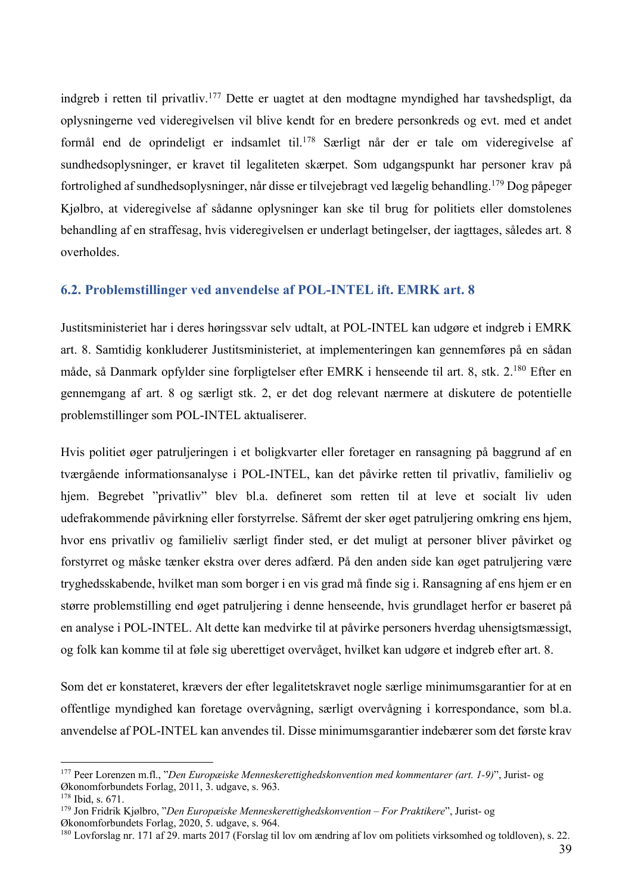indgreb i retten til privatliv.177 Dette er uagtet at den modtagne myndighed har tavshedspligt, da oplysningerne ved videregivelsen vil blive kendt for en bredere personkreds og evt. med et andet formål end de oprindeligt er indsamlet til.178 Særligt når der er tale om videregivelse af sundhedsoplysninger, er kravet til legaliteten skærpet. Som udgangspunkt har personer krav på fortrolighed af sundhedsoplysninger, når disse er tilvejebragt ved lægelig behandling.179 Dog påpeger Kjølbro, at videregivelse af sådanne oplysninger kan ske til brug for politiets eller domstolenes behandling af en straffesag, hvis videregivelsen er underlagt betingelser, der iagttages, således art. 8 overholdes.

#### **6.2. Problemstillinger ved anvendelse af POL-INTEL ift. EMRK art. 8**

Justitsministeriet har i deres høringssvar selv udtalt, at POL-INTEL kan udgøre et indgreb i EMRK art. 8. Samtidig konkluderer Justitsministeriet, at implementeringen kan gennemføres på en sådan måde, så Danmark opfylder sine forpligtelser efter EMRK i henseende til art. 8, stk. 2.180 Efter en gennemgang af art. 8 og særligt stk. 2, er det dog relevant nærmere at diskutere de potentielle problemstillinger som POL-INTEL aktualiserer.

Hvis politiet øger patruljeringen i et boligkvarter eller foretager en ransagning på baggrund af en tværgående informationsanalyse i POL-INTEL, kan det påvirke retten til privatliv, familieliv og hjem. Begrebet "privatliv" blev bl.a. defineret som retten til at leve et socialt liv uden udefrakommende påvirkning eller forstyrrelse. Såfremt der sker øget patruljering omkring ens hjem, hvor ens privatliv og familieliv særligt finder sted, er det muligt at personer bliver påvirket og forstyrret og måske tænker ekstra over deres adfærd. På den anden side kan øget patruljering være tryghedsskabende, hvilket man som borger i en vis grad må finde sig i. Ransagning af ens hjem er en større problemstilling end øget patruljering i denne henseende, hvis grundlaget herfor er baseret på en analyse i POL-INTEL. Alt dette kan medvirke til at påvirke personers hverdag uhensigtsmæssigt, og folk kan komme til at føle sig uberettiget overvåget, hvilket kan udgøre et indgreb efter art. 8.

Som det er konstateret, krævers der efter legalitetskravet nogle særlige minimumsgarantier for at en offentlige myndighed kan foretage overvågning, særligt overvågning i korrespondance, som bl.a. anvendelse af POL-INTEL kan anvendes til. Disse minimumsgarantier indebærer som det første krav

<sup>177</sup> Peer Lorenzen m.fl., "*Den Europæiske Menneskerettighedskonvention med kommentarer (art. 1-9)*", Jurist- og Økonomforbundets Forlag, 2011, 3. udgave, s. 963.

<sup>178</sup> Ibid, s. 671.

<sup>179</sup> Jon Fridrik Kjølbro, "*Den Europæiske Menneskerettighedskonvention – For Praktikere*", Jurist- og Økonomforbundets Forlag, 2020, 5. udgave, s. 964.

<sup>180</sup> Lovforslag nr. 171 af 29. marts 2017 (Forslag til lov om ændring af lov om politiets virksomhed og toldloven), s. 22.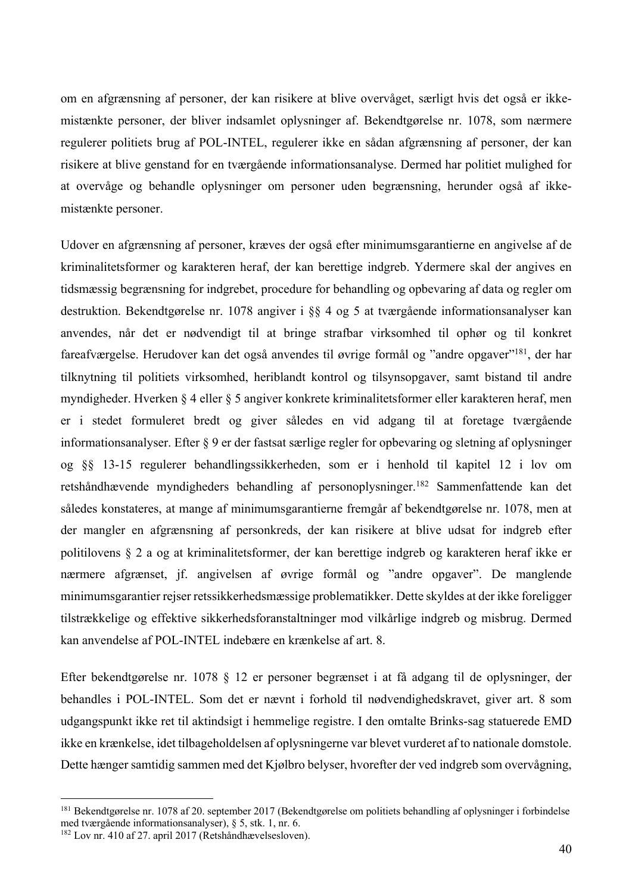om en afgrænsning af personer, der kan risikere at blive overvåget, særligt hvis det også er ikkemistænkte personer, der bliver indsamlet oplysninger af. Bekendtgørelse nr. 1078, som nærmere regulerer politiets brug af POL-INTEL, regulerer ikke en sådan afgrænsning af personer, der kan risikere at blive genstand for en tværgående informationsanalyse. Dermed har politiet mulighed for at overvåge og behandle oplysninger om personer uden begrænsning, herunder også af ikkemistænkte personer.

Udover en afgrænsning af personer, kræves der også efter minimumsgarantierne en angivelse af de kriminalitetsformer og karakteren heraf, der kan berettige indgreb. Ydermere skal der angives en tidsmæssig begrænsning for indgrebet, procedure for behandling og opbevaring af data og regler om destruktion. Bekendtgørelse nr. 1078 angiver i §§ 4 og 5 at tværgående informationsanalyser kan anvendes, når det er nødvendigt til at bringe strafbar virksomhed til ophør og til konkret fareafværgelse. Herudover kan det også anvendes til øvrige formål og "andre opgaver"181, der har tilknytning til politiets virksomhed, heriblandt kontrol og tilsynsopgaver, samt bistand til andre myndigheder. Hverken § 4 eller § 5 angiver konkrete kriminalitetsformer eller karakteren heraf, men er i stedet formuleret bredt og giver således en vid adgang til at foretage tværgående informationsanalyser. Efter § 9 er der fastsat særlige regler for opbevaring og sletning af oplysninger og §§ 13-15 regulerer behandlingssikkerheden, som er i henhold til kapitel 12 i lov om retshåndhævende myndigheders behandling af personoplysninger. <sup>182</sup> Sammenfattende kan det således konstateres, at mange af minimumsgarantierne fremgår af bekendtgørelse nr. 1078, men at der mangler en afgrænsning af personkreds, der kan risikere at blive udsat for indgreb efter politilovens § 2 a og at kriminalitetsformer, der kan berettige indgreb og karakteren heraf ikke er nærmere afgrænset, jf. angivelsen af øvrige formål og "andre opgaver". De manglende minimumsgarantier rejser retssikkerhedsmæssige problematikker. Dette skyldes at der ikke foreligger tilstrækkelige og effektive sikkerhedsforanstaltninger mod vilkårlige indgreb og misbrug. Dermed kan anvendelse af POL-INTEL indebære en krænkelse af art. 8.

Efter bekendtgørelse nr. 1078 § 12 er personer begrænset i at få adgang til de oplysninger, der behandles i POL-INTEL. Som det er nævnt i forhold til nødvendighedskravet, giver art. 8 som udgangspunkt ikke ret til aktindsigt i hemmelige registre. I den omtalte Brinks-sag statuerede EMD ikke en krænkelse, idet tilbageholdelsen af oplysningerne var blevet vurderet af to nationale domstole. Dette hænger samtidig sammen med det Kjølbro belyser, hvorefter der ved indgreb som overvågning,

<sup>&</sup>lt;sup>181</sup> Bekendtgørelse nr. 1078 af 20. september 2017 (Bekendtgørelse om politiets behandling af oplysninger i forbindelse med tværgående informationsanalyser), § 5, stk. 1, nr. 6.

<sup>182</sup> Lov nr. 410 af 27. april 2017 (Retshåndhævelsesloven).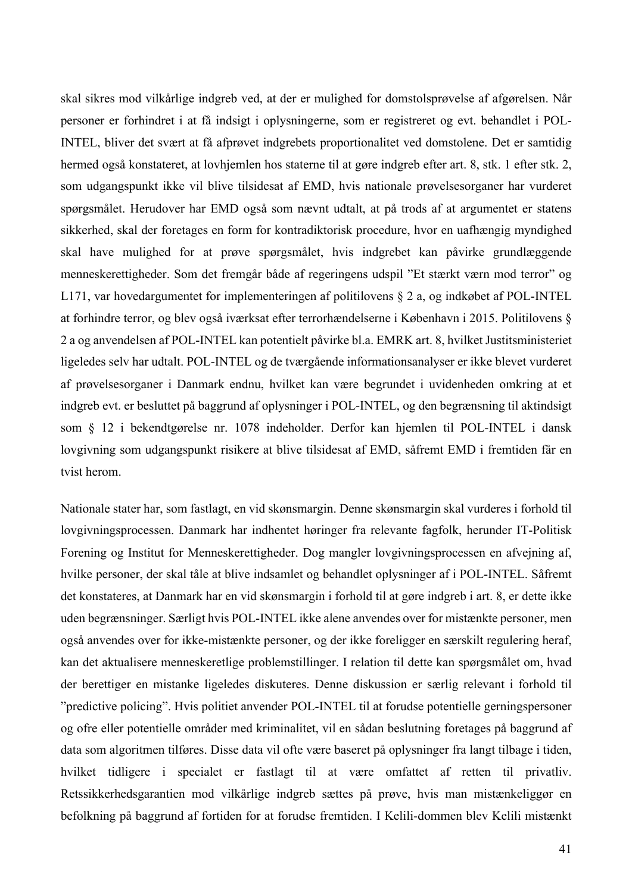skal sikres mod vilkårlige indgreb ved, at der er mulighed for domstolsprøvelse af afgørelsen. Når personer er forhindret i at få indsigt i oplysningerne, som er registreret og evt. behandlet i POL-INTEL, bliver det svært at få afprøvet indgrebets proportionalitet ved domstolene. Det er samtidig hermed også konstateret, at lovhjemlen hos staterne til at gøre indgreb efter art. 8, stk. 1 efter stk. 2, som udgangspunkt ikke vil blive tilsidesat af EMD, hvis nationale prøvelsesorganer har vurderet spørgsmålet. Herudover har EMD også som nævnt udtalt, at på trods af at argumentet er statens sikkerhed, skal der foretages en form for kontradiktorisk procedure, hvor en uafhængig myndighed skal have mulighed for at prøve spørgsmålet, hvis indgrebet kan påvirke grundlæggende menneskerettigheder. Som det fremgår både af regeringens udspil "Et stærkt værn mod terror" og L171, var hovedargumentet for implementeringen af politilovens § 2 a, og indkøbet af POL-INTEL at forhindre terror, og blev også iværksat efter terrorhændelserne i København i 2015. Politilovens § 2 a og anvendelsen af POL-INTEL kan potentielt påvirke bl.a. EMRK art. 8, hvilket Justitsministeriet ligeledes selv har udtalt. POL-INTEL og de tværgående informationsanalyser er ikke blevet vurderet af prøvelsesorganer i Danmark endnu, hvilket kan være begrundet i uvidenheden omkring at et indgreb evt. er besluttet på baggrund af oplysninger i POL-INTEL, og den begrænsning til aktindsigt som § 12 i bekendtgørelse nr. 1078 indeholder. Derfor kan hjemlen til POL-INTEL i dansk lovgivning som udgangspunkt risikere at blive tilsidesat af EMD, såfremt EMD i fremtiden får en tvist herom.

Nationale stater har, som fastlagt, en vid skønsmargin. Denne skønsmargin skal vurderes i forhold til lovgivningsprocessen. Danmark har indhentet høringer fra relevante fagfolk, herunder IT-Politisk Forening og Institut for Menneskerettigheder. Dog mangler lovgivningsprocessen en afvejning af, hvilke personer, der skal tåle at blive indsamlet og behandlet oplysninger af i POL-INTEL. Såfremt det konstateres, at Danmark har en vid skønsmargin i forhold til at gøre indgreb i art. 8, er dette ikke uden begrænsninger. Særligt hvis POL-INTEL ikke alene anvendes over for mistænkte personer, men også anvendes over for ikke-mistænkte personer, og der ikke foreligger en særskilt regulering heraf, kan det aktualisere menneskeretlige problemstillinger. I relation til dette kan spørgsmålet om, hvad der berettiger en mistanke ligeledes diskuteres. Denne diskussion er særlig relevant i forhold til "predictive policing". Hvis politiet anvender POL-INTEL til at forudse potentielle gerningspersoner og ofre eller potentielle områder med kriminalitet, vil en sådan beslutning foretages på baggrund af data som algoritmen tilføres. Disse data vil ofte være baseret på oplysninger fra langt tilbage i tiden, hvilket tidligere i specialet er fastlagt til at være omfattet af retten til privatliv. Retssikkerhedsgarantien mod vilkårlige indgreb sættes på prøve, hvis man mistænkeliggør en befolkning på baggrund af fortiden for at forudse fremtiden. I Kelili-dommen blev Kelili mistænkt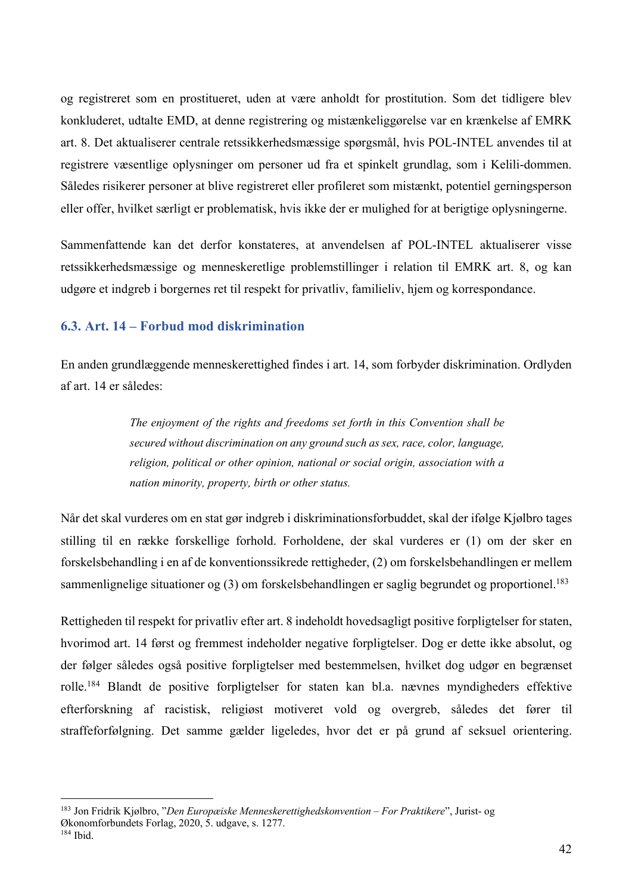og registreret som en prostitueret, uden at være anholdt for prostitution. Som det tidligere blev konkluderet, udtalte EMD, at denne registrering og mistænkeliggørelse var en krænkelse af EMRK art. 8. Det aktualiserer centrale retssikkerhedsmæssige spørgsmål, hvis POL-INTEL anvendes til at registrere væsentlige oplysninger om personer ud fra et spinkelt grundlag, som i Kelili-dommen. Således risikerer personer at blive registreret eller profileret som mistænkt, potentiel gerningsperson eller offer, hvilket særligt er problematisk, hvis ikke der er mulighed for at berigtige oplysningerne.

Sammenfattende kan det derfor konstateres, at anvendelsen af POL-INTEL aktualiserer visse retssikkerhedsmæssige og menneskeretlige problemstillinger i relation til EMRK art. 8, og kan udgøre et indgreb i borgernes ret til respekt for privatliv, familieliv, hjem og korrespondance.

#### **6.3. Art. 14 – Forbud mod diskrimination**

En anden grundlæggende menneskerettighed findes i art. 14, som forbyder diskrimination. Ordlyden af art. 14 er således:

> *The enjoyment of the rights and freedoms set forth in this Convention shall be secured without discrimination on any ground such as sex, race, color, language, religion, political or other opinion, national or social origin, association with a nation minority, property, birth or other status.*

Når det skal vurderes om en stat gør indgreb i diskriminationsforbuddet, skal der ifølge Kjølbro tages stilling til en række forskellige forhold. Forholdene, der skal vurderes er (1) om der sker en forskelsbehandling i en af de konventionssikrede rettigheder, (2) om forskelsbehandlingen er mellem sammenlignelige situationer og (3) om forskelsbehandlingen er saglig begrundet og proportionel.<sup>183</sup>

Rettigheden til respekt for privatliv efter art. 8 indeholdt hovedsagligt positive forpligtelser for staten, hvorimod art. 14 først og fremmest indeholder negative forpligtelser. Dog er dette ikke absolut, og der følger således også positive forpligtelser med bestemmelsen, hvilket dog udgør en begrænset rolle.184 Blandt de positive forpligtelser for staten kan bl.a. nævnes myndigheders effektive efterforskning af racistisk, religiøst motiveret vold og overgreb, således det fører til straffeforfølgning. Det samme gælder ligeledes, hvor det er på grund af seksuel orientering.

<sup>183</sup> Jon Fridrik Kjølbro, "*Den Europæiske Menneskerettighedskonvention – For Praktikere*", Jurist- og

Økonomforbundets Forlag, 2020, 5. udgave, s. 1277.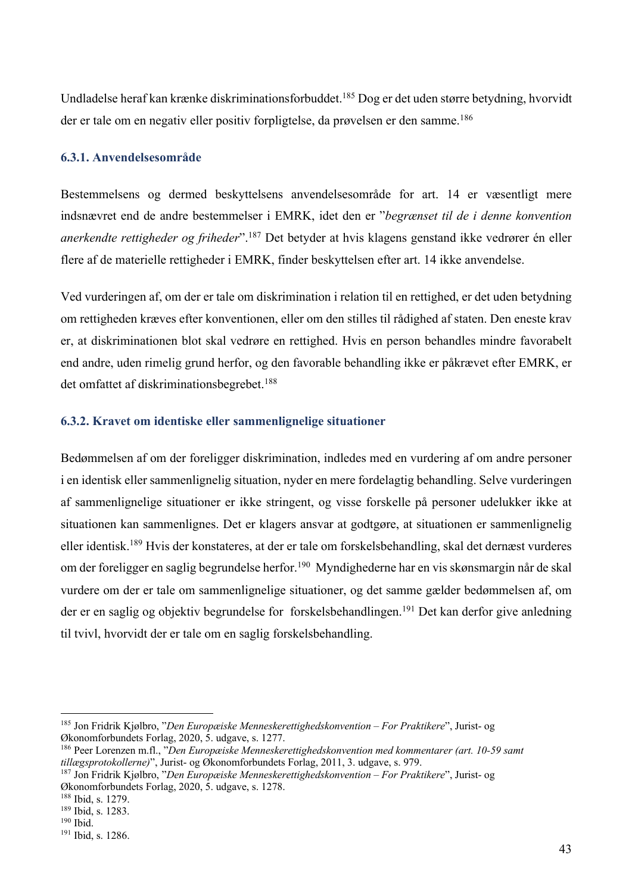Undladelse heraf kan krænke diskriminationsforbuddet.185 Dog er det uden større betydning, hvorvidt der er tale om en negativ eller positiv forpligtelse, da prøvelsen er den samme.<sup>186</sup>

#### **6.3.1. Anvendelsesområde**

Bestemmelsens og dermed beskyttelsens anvendelsesområde for art. 14 er væsentligt mere indsnævret end de andre bestemmelser i EMRK, idet den er "*begrænset til de i denne konvention anerkendte rettigheder og friheder*".187 Det betyder at hvis klagens genstand ikke vedrører én eller flere af de materielle rettigheder i EMRK, finder beskyttelsen efter art. 14 ikke anvendelse.

Ved vurderingen af, om der er tale om diskrimination i relation til en rettighed, er det uden betydning om rettigheden kræves efter konventionen, eller om den stilles til rådighed af staten. Den eneste krav er, at diskriminationen blot skal vedrøre en rettighed. Hvis en person behandles mindre favorabelt end andre, uden rimelig grund herfor, og den favorable behandling ikke er påkrævet efter EMRK, er det omfattet af diskriminationsbegrebet.<sup>188</sup>

#### **6.3.2. Kravet om identiske eller sammenlignelige situationer**

Bedømmelsen af om der foreligger diskrimination, indledes med en vurdering af om andre personer i en identisk eller sammenlignelig situation, nyder en mere fordelagtig behandling. Selve vurderingen af sammenlignelige situationer er ikke stringent, og visse forskelle på personer udelukker ikke at situationen kan sammenlignes. Det er klagers ansvar at godtgøre, at situationen er sammenlignelig eller identisk.189 Hvis der konstateres, at der er tale om forskelsbehandling, skal det dernæst vurderes om der foreligger en saglig begrundelse herfor.<sup>190</sup> Myndighederne har en vis skønsmargin når de skal vurdere om der er tale om sammenlignelige situationer, og det samme gælder bedømmelsen af, om der er en saglig og objektiv begrundelse for forskelsbehandlingen. <sup>191</sup> Det kan derfor give anledning til tvivl, hvorvidt der er tale om en saglig forskelsbehandling.

<sup>185</sup> Jon Fridrik Kjølbro, "*Den Europæiske Menneskerettighedskonvention – For Praktikere*", Jurist- og Økonomforbundets Forlag, 2020, 5. udgave, s. 1277.

<sup>186</sup> Peer Lorenzen m.fl., "*Den Europæiske Menneskerettighedskonvention med kommentarer (art. 10-59 samt tillægsprotokollerne)*", Jurist- og Økonomforbundets Forlag, 2011, 3. udgave, s. 979.

<sup>187</sup> Jon Fridrik Kjølbro, "*Den Europæiske Menneskerettighedskonvention – For Praktikere*", Jurist- og Økonomforbundets Forlag, 2020, 5. udgave, s. 1278.

<sup>188</sup> Ibid, s. 1279. <sup>189</sup> Ibid, s. 1283.

<sup>190</sup> Ibid.

<sup>191</sup> Ibid, s. 1286.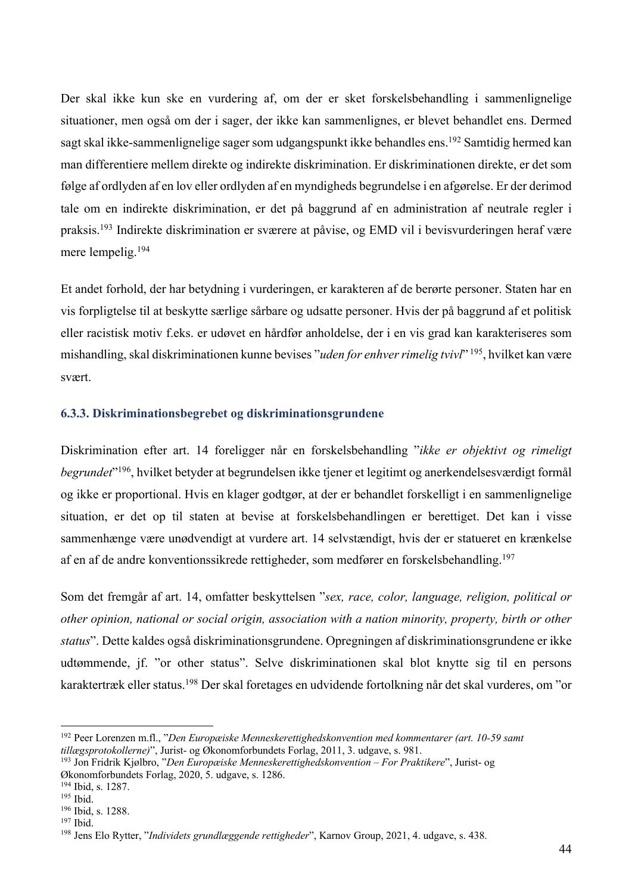Der skal ikke kun ske en vurdering af, om der er sket forskelsbehandling i sammenlignelige situationer, men også om der i sager, der ikke kan sammenlignes, er blevet behandlet ens. Dermed sagt skal ikke-sammenlignelige sager som udgangspunkt ikke behandles ens.192 Samtidig hermed kan man differentiere mellem direkte og indirekte diskrimination. Er diskriminationen direkte, er det som følge af ordlyden af en lov eller ordlyden af en myndigheds begrundelse i en afgørelse. Er der derimod tale om en indirekte diskrimination, er det på baggrund af en administration af neutrale regler i praksis.193 Indirekte diskrimination er sværere at påvise, og EMD vil i bevisvurderingen heraf være mere lempelig.194

Et andet forhold, der har betydning i vurderingen, er karakteren af de berørte personer. Staten har en vis forpligtelse til at beskytte særlige sårbare og udsatte personer. Hvis der på baggrund af et politisk eller racistisk motiv f.eks. er udøvet en hårdfør anholdelse, der i en vis grad kan karakteriseres som mishandling, skal diskriminationen kunne bevises "*uden for enhver rimelig tvivl*" 195, hvilket kan være svært.

#### **6.3.3. Diskriminationsbegrebet og diskriminationsgrundene**

Diskrimination efter art. 14 foreligger når en forskelsbehandling "*ikke er objektivt og rimeligt begrundet*"196, hvilket betyder at begrundelsen ikke tjener et legitimt og anerkendelsesværdigt formål og ikke er proportional. Hvis en klager godtgør, at der er behandlet forskelligt i en sammenlignelige situation, er det op til staten at bevise at forskelsbehandlingen er berettiget. Det kan i visse sammenhænge være unødvendigt at vurdere art. 14 selvstændigt, hvis der er statueret en krænkelse af en af de andre konventionssikrede rettigheder, som medfører en forskelsbehandling. 197

Som det fremgår af art. 14, omfatter beskyttelsen "*sex, race, color, language, religion, political or other opinion, national or social origin, association with a nation minority, property, birth or other status*". Dette kaldes også diskriminationsgrundene. Opregningen af diskriminationsgrundene er ikke udtømmende, jf. "or other status". Selve diskriminationen skal blot knytte sig til en persons karaktertræk eller status.198 Der skal foretages en udvidende fortolkning når det skal vurderes, om "or

<sup>192</sup> Peer Lorenzen m.fl., "*Den Europæiske Menneskerettighedskonvention med kommentarer (art. 10-59 samt tillægsprotokollerne)*", Jurist- og Økonomforbundets Forlag, 2011, 3. udgave, s. 981.

<sup>193</sup> Jon Fridrik Kjølbro, "*Den Europæiske Menneskerettighedskonvention – For Praktikere*", Jurist- og Økonomforbundets Forlag, 2020, 5. udgave, s. 1286.

<sup>194</sup> Ibid, s. 1287.

<sup>195</sup> Ibid.

<sup>196</sup> Ibid, s. 1288.

<sup>197</sup> Ibid.

<sup>198</sup> Jens Elo Rytter, "*Individets grundlæggende rettigheder*", Karnov Group, 2021, 4. udgave, s. 438.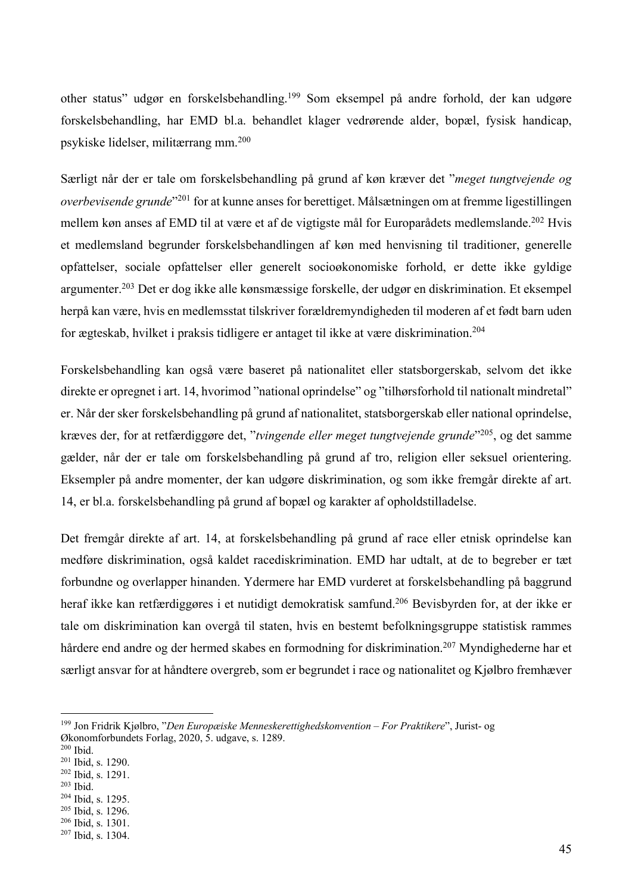other status" udgør en forskelsbehandling.199 Som eksempel på andre forhold, der kan udgøre forskelsbehandling, har EMD bl.a. behandlet klager vedrørende alder, bopæl, fysisk handicap, psykiske lidelser, militærrang mm.200

Særligt når der er tale om forskelsbehandling på grund af køn kræver det "*meget tungtvejende og overbevisende grunde*"201 for at kunne anses for berettiget. Målsætningen om at fremme ligestillingen mellem køn anses af EMD til at være et af de vigtigste mål for Europarådets medlemslande.<sup>202</sup> Hvis et medlemsland begrunder forskelsbehandlingen af køn med henvisning til traditioner, generelle opfattelser, sociale opfattelser eller generelt socioøkonomiske forhold, er dette ikke gyldige argumenter.203 Det er dog ikke alle kønsmæssige forskelle, der udgør en diskrimination. Et eksempel herpå kan være, hvis en medlemsstat tilskriver forældremyndigheden til moderen af et født barn uden for ægteskab, hvilket i praksis tidligere er antaget til ikke at være diskrimination. 204

Forskelsbehandling kan også være baseret på nationalitet eller statsborgerskab, selvom det ikke direkte er opregnet i art. 14, hvorimod "national oprindelse" og "tilhørsforhold til nationalt mindretal" er. Når der sker forskelsbehandling på grund af nationalitet, statsborgerskab eller national oprindelse, kræves der, for at retfærdiggøre det, "*tvingende eller meget tungtvejende grunde*"205, og det samme gælder, når der er tale om forskelsbehandling på grund af tro, religion eller seksuel orientering. Eksempler på andre momenter, der kan udgøre diskrimination, og som ikke fremgår direkte af art. 14, er bl.a. forskelsbehandling på grund af bopæl og karakter af opholdstilladelse.

Det fremgår direkte af art. 14, at forskelsbehandling på grund af race eller etnisk oprindelse kan medføre diskrimination, også kaldet racediskrimination. EMD har udtalt, at de to begreber er tæt forbundne og overlapper hinanden. Ydermere har EMD vurderet at forskelsbehandling på baggrund heraf ikke kan retfærdiggøres i et nutidigt demokratisk samfund.206 Bevisbyrden for, at der ikke er tale om diskrimination kan overgå til staten, hvis en bestemt befolkningsgruppe statistisk rammes hårdere end andre og der hermed skabes en formodning for diskrimination.<sup>207</sup> Myndighederne har et særligt ansvar for at håndtere overgreb, som er begrundet i race og nationalitet og Kjølbro fremhæver

<sup>199</sup> Jon Fridrik Kjølbro, "*Den Europæiske Menneskerettighedskonvention – For Praktikere*", Jurist- og Økonomforbundets Forlag, 2020, 5. udgave, s. 1289.

<sup>200</sup> Ibid.

<sup>201</sup> Ibid, s. 1290.

 $^{202}$  Ibid, s. 1291.<br> $^{203}$  Ibid.

<sup>&</sup>lt;sup>204</sup> Ibid, s. 1295.

<sup>205</sup> Ibid, s. 1296.

<sup>&</sup>lt;sup>206</sup> Ibid, s. 1301.

<sup>207</sup> Ibid, s. 1304.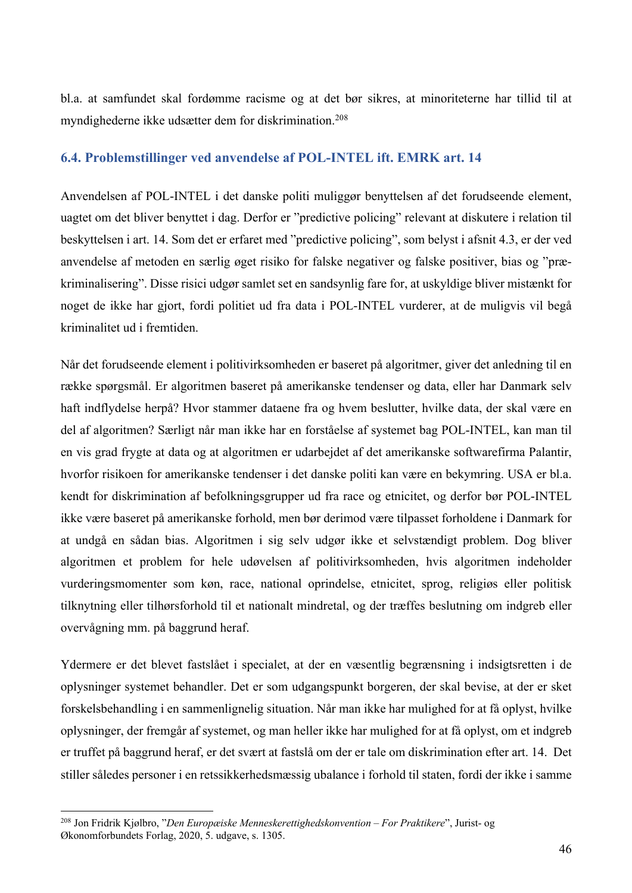bl.a. at samfundet skal fordømme racisme og at det bør sikres, at minoriteterne har tillid til at myndighederne ikke udsætter dem for diskrimination. 208

#### **6.4. Problemstillinger ved anvendelse af POL-INTEL ift. EMRK art. 14**

Anvendelsen af POL-INTEL i det danske politi muliggør benyttelsen af det forudseende element, uagtet om det bliver benyttet i dag. Derfor er "predictive policing" relevant at diskutere i relation til beskyttelsen i art. 14. Som det er erfaret med "predictive policing", som belyst i afsnit 4.3, er der ved anvendelse af metoden en særlig øget risiko for falske negativer og falske positiver, bias og "prækriminalisering". Disse risici udgør samlet set en sandsynlig fare for, at uskyldige bliver mistænkt for noget de ikke har gjort, fordi politiet ud fra data i POL-INTEL vurderer, at de muligvis vil begå kriminalitet ud i fremtiden.

Når det forudseende element i politivirksomheden er baseret på algoritmer, giver det anledning til en række spørgsmål. Er algoritmen baseret på amerikanske tendenser og data, eller har Danmark selv haft indflydelse herpå? Hvor stammer dataene fra og hvem beslutter, hvilke data, der skal være en del af algoritmen? Særligt når man ikke har en forståelse af systemet bag POL-INTEL, kan man til en vis grad frygte at data og at algoritmen er udarbejdet af det amerikanske softwarefirma Palantir, hvorfor risikoen for amerikanske tendenser i det danske politi kan være en bekymring. USA er bl.a. kendt for diskrimination af befolkningsgrupper ud fra race og etnicitet, og derfor bør POL-INTEL ikke være baseret på amerikanske forhold, men bør derimod være tilpasset forholdene i Danmark for at undgå en sådan bias. Algoritmen i sig selv udgør ikke et selvstændigt problem. Dog bliver algoritmen et problem for hele udøvelsen af politivirksomheden, hvis algoritmen indeholder vurderingsmomenter som køn, race, national oprindelse, etnicitet, sprog, religiøs eller politisk tilknytning eller tilhørsforhold til et nationalt mindretal, og der træffes beslutning om indgreb eller overvågning mm. på baggrund heraf.

Ydermere er det blevet fastslået i specialet, at der en væsentlig begrænsning i indsigtsretten i de oplysninger systemet behandler. Det er som udgangspunkt borgeren, der skal bevise, at der er sket forskelsbehandling i en sammenlignelig situation. Når man ikke har mulighed for at få oplyst, hvilke oplysninger, der fremgår af systemet, og man heller ikke har mulighed for at få oplyst, om et indgreb er truffet på baggrund heraf, er det svært at fastslå om der er tale om diskrimination efter art. 14. Det stiller således personer i en retssikkerhedsmæssig ubalance i forhold til staten, fordi der ikke i samme

<sup>208</sup> Jon Fridrik Kjølbro, "*Den Europæiske Menneskerettighedskonvention – For Praktikere*", Jurist- og Økonomforbundets Forlag, 2020, 5. udgave, s. 1305.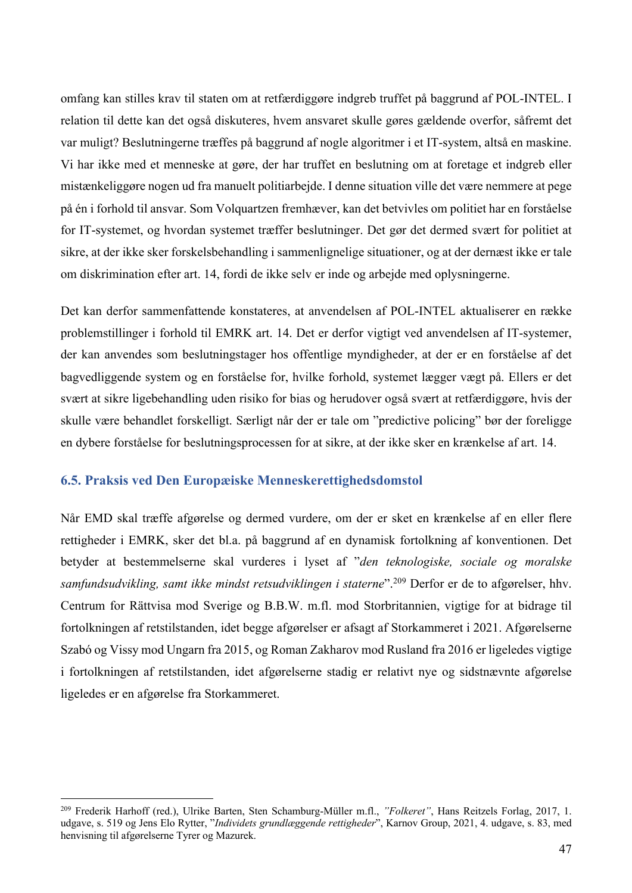omfang kan stilles krav til staten om at retfærdiggøre indgreb truffet på baggrund af POL-INTEL. I relation til dette kan det også diskuteres, hvem ansvaret skulle gøres gældende overfor, såfremt det var muligt? Beslutningerne træffes på baggrund af nogle algoritmer i et IT-system, altså en maskine. Vi har ikke med et menneske at gøre, der har truffet en beslutning om at foretage et indgreb eller mistænkeliggøre nogen ud fra manuelt politiarbejde. I denne situation ville det være nemmere at pege på én i forhold til ansvar. Som Volquartzen fremhæver, kan det betvivles om politiet har en forståelse for IT-systemet, og hvordan systemet træffer beslutninger. Det gør det dermed svært for politiet at sikre, at der ikke sker forskelsbehandling i sammenlignelige situationer, og at der dernæst ikke er tale om diskrimination efter art. 14, fordi de ikke selv er inde og arbejde med oplysningerne.

Det kan derfor sammenfattende konstateres, at anvendelsen af POL-INTEL aktualiserer en række problemstillinger i forhold til EMRK art. 14. Det er derfor vigtigt ved anvendelsen af IT-systemer, der kan anvendes som beslutningstager hos offentlige myndigheder, at der er en forståelse af det bagvedliggende system og en forståelse for, hvilke forhold, systemet lægger vægt på. Ellers er det svært at sikre ligebehandling uden risiko for bias og herudover også svært at retfærdiggøre, hvis der skulle være behandlet forskelligt. Særligt når der er tale om "predictive policing" bør der foreligge en dybere forståelse for beslutningsprocessen for at sikre, at der ikke sker en krænkelse af art. 14.

#### **6.5. Praksis ved Den Europæiske Menneskerettighedsdomstol**

Når EMD skal træffe afgørelse og dermed vurdere, om der er sket en krænkelse af en eller flere rettigheder i EMRK, sker det bl.a. på baggrund af en dynamisk fortolkning af konventionen. Det betyder at bestemmelserne skal vurderes i lyset af "*den teknologiske, sociale og moralske samfundsudvikling, samt ikke mindst retsudviklingen i staterne*". <sup>209</sup> Derfor er de to afgørelser, hhv. Centrum for Rättvisa mod Sverige og B.B.W. m.fl. mod Storbritannien, vigtige for at bidrage til fortolkningen af retstilstanden, idet begge afgørelser er afsagt af Storkammeret i 2021. Afgørelserne Szabó og Vissy mod Ungarn fra 2015, og Roman Zakharov mod Rusland fra 2016 er ligeledes vigtige i fortolkningen af retstilstanden, idet afgørelserne stadig er relativt nye og sidstnævnte afgørelse ligeledes er en afgørelse fra Storkammeret.

<sup>209</sup> Frederik Harhoff (red.), Ulrike Barten, Sten Schamburg-Müller m.fl., *"Folkeret"*, Hans Reitzels Forlag, 2017, 1. udgave, s. 519 og Jens Elo Rytter, "*Individets grundlæggende rettigheder*", Karnov Group, 2021, 4. udgave, s. 83, med henvisning til afgørelserne Tyrer og Mazurek.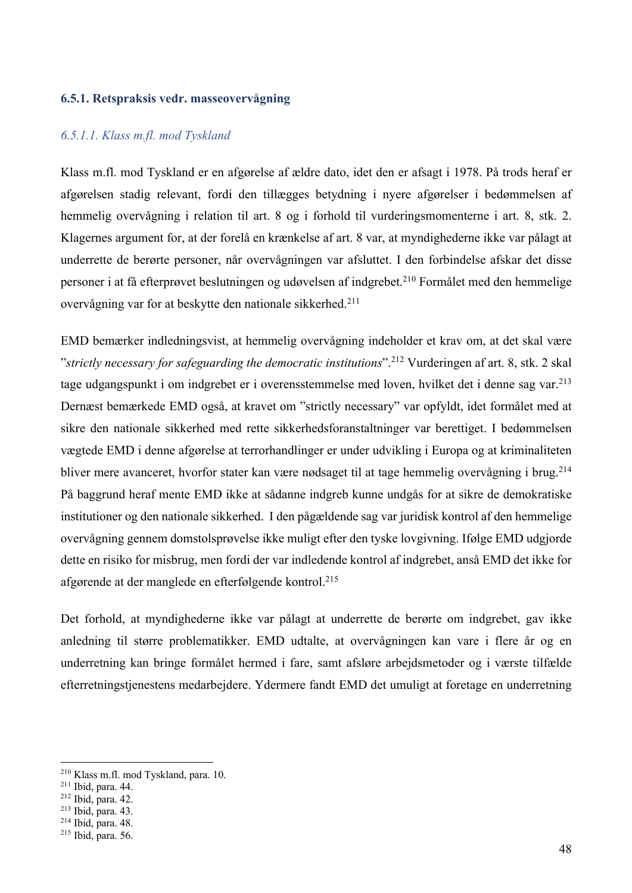#### **6.5.1. Retspraksis vedr. masseovervågning**

#### *6.5.1.1. Klass m.fl. mod Tyskland*

Klass m.fl. mod Tyskland er en afgørelse af ældre dato, idet den er afsagt i 1978. På trods heraf er afgørelsen stadig relevant, fordi den tillægges betydning i nyere afgørelser i bedømmelsen af hemmelig overvågning i relation til art. 8 og i forhold til vurderingsmomenterne i art. 8, stk. 2. Klagernes argument for, at der forelå en krænkelse af art. 8 var, at myndighederne ikke var pålagt at underrette de berørte personer, når overvågningen var afsluttet. I den forbindelse afskar det disse personer i at få efterprøvet beslutningen og udøvelsen af indgrebet.210 Formålet med den hemmelige overvågning var for at beskytte den nationale sikkerhed.211

EMD bemærker indledningsvist, at hemmelig overvågning indeholder et krav om, at det skal være "*strictly necessary for safeguarding the democratic institutions*".212 Vurderingen af art. 8, stk. 2 skal tage udgangspunkt i om indgrebet er i overensstemmelse med loven, hvilket det i denne sag var.<sup>213</sup> Dernæst bemærkede EMD også, at kravet om "strictly necessary" var opfyldt, idet formålet med at sikre den nationale sikkerhed med rette sikkerhedsforanstaltninger var berettiget. I bedømmelsen vægtede EMD i denne afgørelse at terrorhandlinger er under udvikling i Europa og at kriminaliteten bliver mere avanceret, hvorfor stater kan være nødsaget til at tage hemmelig overvågning i brug.214 På baggrund heraf mente EMD ikke at sådanne indgreb kunne undgås for at sikre de demokratiske institutioner og den nationale sikkerhed. I den pågældende sag var juridisk kontrol af den hemmelige overvågning gennem domstolsprøvelse ikke muligt efter den tyske lovgivning. Ifølge EMD udgjorde dette en risiko for misbrug, men fordi der var indledende kontrol af indgrebet, anså EMD det ikke for afgørende at der manglede en efterfølgende kontrol.215

Det forhold, at myndighederne ikke var pålagt at underrette de berørte om indgrebet, gav ikke anledning til større problematikker. EMD udtalte, at overvågningen kan vare i flere år og en underretning kan bringe formålet hermed i fare, samt afsløre arbejdsmetoder og i værste tilfælde efterretningstjenestens medarbejdere. Ydermere fandt EMD det umuligt at foretage en underretning

 $^{210}$  Klass m.fl. mod Tyskland, para. 10.  $^{211}$  Ibid, para. 44.

 $2^{12}$  Ibid, para. 42.<br><sup>213</sup> Ibid, para. 43.

<sup>214</sup> Ibid, para. 48.

<sup>215</sup> Ibid, para. 56.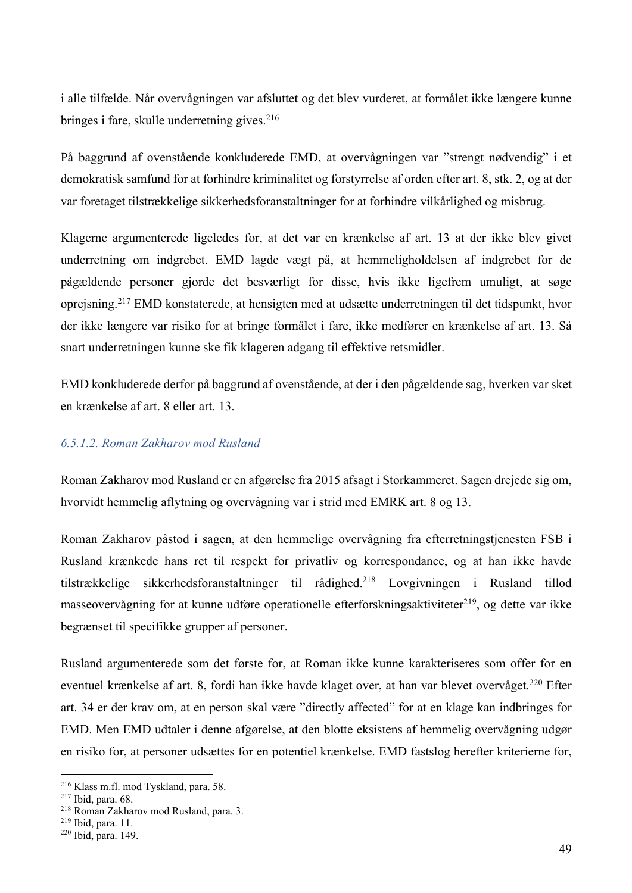i alle tilfælde. Når overvågningen var afsluttet og det blev vurderet, at formålet ikke længere kunne bringes i fare, skulle underretning gives.<sup>216</sup>

På baggrund af ovenstående konkluderede EMD, at overvågningen var "strengt nødvendig" i et demokratisk samfund for at forhindre kriminalitet og forstyrrelse af orden efter art. 8, stk. 2, og at der var foretaget tilstrækkelige sikkerhedsforanstaltninger for at forhindre vilkårlighed og misbrug.

Klagerne argumenterede ligeledes for, at det var en krænkelse af art. 13 at der ikke blev givet underretning om indgrebet. EMD lagde vægt på, at hemmeligholdelsen af indgrebet for de pågældende personer gjorde det besværligt for disse, hvis ikke ligefrem umuligt, at søge oprejsning. <sup>217</sup> EMD konstaterede, at hensigten med at udsætte underretningen til det tidspunkt, hvor der ikke længere var risiko for at bringe formålet i fare, ikke medfører en krænkelse af art. 13. Så snart underretningen kunne ske fik klageren adgang til effektive retsmidler.

EMD konkluderede derfor på baggrund af ovenstående, at der i den pågældende sag, hverken var sket en krænkelse af art. 8 eller art. 13.

#### *6.5.1.2. Roman Zakharov mod Rusland*

Roman Zakharov mod Rusland er en afgørelse fra 2015 afsagt i Storkammeret. Sagen drejede sig om, hvorvidt hemmelig aflytning og overvågning var i strid med EMRK art. 8 og 13.

Roman Zakharov påstod i sagen, at den hemmelige overvågning fra efterretningstjenesten FSB i Rusland krænkede hans ret til respekt for privatliv og korrespondance, og at han ikke havde tilstrækkelige sikkerhedsforanstaltninger til rådighed.218 Lovgivningen i Rusland tillod masseovervågning for at kunne udføre operationelle efterforskningsaktiviteter<sup>219</sup>, og dette var ikke begrænset til specifikke grupper af personer.

Rusland argumenterede som det første for, at Roman ikke kunne karakteriseres som offer for en eventuel krænkelse af art. 8, fordi han ikke havde klaget over, at han var blevet overvåget.<sup>220</sup> Efter art. 34 er der krav om, at en person skal være "directly affected" for at en klage kan indbringes for EMD. Men EMD udtaler i denne afgørelse, at den blotte eksistens af hemmelig overvågning udgør en risiko for, at personer udsættes for en potentiel krænkelse. EMD fastslog herefter kriterierne for,

<sup>216</sup> Klass m.fl. mod Tyskland, para. 58.

<sup>217</sup> Ibid, para. 68.

<sup>218</sup> Roman Zakharov mod Rusland, para. 3.

<sup>219</sup> Ibid, para. 11.

<sup>220</sup> Ibid, para. 149.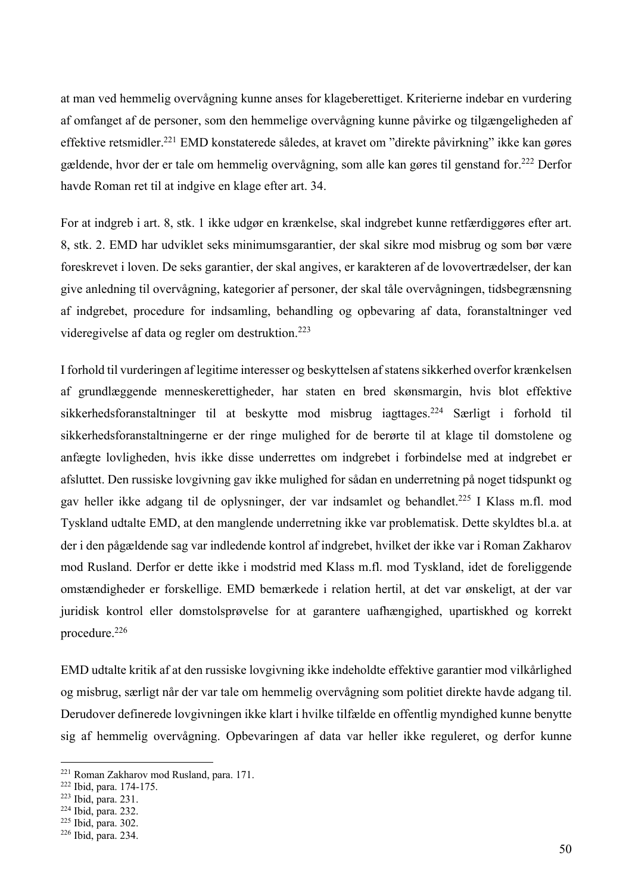at man ved hemmelig overvågning kunne anses for klageberettiget. Kriterierne indebar en vurdering af omfanget af de personer, som den hemmelige overvågning kunne påvirke og tilgængeligheden af effektive retsmidler.221 EMD konstaterede således, at kravet om "direkte påvirkning" ikke kan gøres gældende, hvor der er tale om hemmelig overvågning, som alle kan gøres til genstand for. <sup>222</sup> Derfor havde Roman ret til at indgive en klage efter art. 34.

For at indgreb i art. 8, stk. 1 ikke udgør en krænkelse, skal indgrebet kunne retfærdiggøres efter art. 8, stk. 2. EMD har udviklet seks minimumsgarantier, der skal sikre mod misbrug og som bør være foreskrevet i loven. De seks garantier, der skal angives, er karakteren af de lovovertrædelser, der kan give anledning til overvågning, kategorier af personer, der skal tåle overvågningen, tidsbegrænsning af indgrebet, procedure for indsamling, behandling og opbevaring af data, foranstaltninger ved videregivelse af data og regler om destruktion.223

I forhold til vurderingen af legitime interesser og beskyttelsen af statens sikkerhed overfor krænkelsen af grundlæggende menneskerettigheder, har staten en bred skønsmargin, hvis blot effektive sikkerhedsforanstaltninger til at beskytte mod misbrug iagttages.224 Særligt i forhold til sikkerhedsforanstaltningerne er der ringe mulighed for de berørte til at klage til domstolene og anfægte lovligheden, hvis ikke disse underrettes om indgrebet i forbindelse med at indgrebet er afsluttet. Den russiske lovgivning gav ikke mulighed for sådan en underretning på noget tidspunkt og gav heller ikke adgang til de oplysninger, der var indsamlet og behandlet.<sup>225</sup> I Klass m.fl. mod Tyskland udtalte EMD, at den manglende underretning ikke var problematisk. Dette skyldtes bl.a. at der i den pågældende sag var indledende kontrol af indgrebet, hvilket der ikke var i Roman Zakharov mod Rusland. Derfor er dette ikke i modstrid med Klass m.fl. mod Tyskland, idet de foreliggende omstændigheder er forskellige. EMD bemærkede i relation hertil, at det var ønskeligt, at der var juridisk kontrol eller domstolsprøvelse for at garantere uafhængighed, upartiskhed og korrekt procedure.226

EMD udtalte kritik af at den russiske lovgivning ikke indeholdte effektive garantier mod vilkårlighed og misbrug, særligt når der var tale om hemmelig overvågning som politiet direkte havde adgang til. Derudover definerede lovgivningen ikke klart i hvilke tilfælde en offentlig myndighed kunne benytte sig af hemmelig overvågning. Opbevaringen af data var heller ikke reguleret, og derfor kunne

<sup>221</sup> Roman Zakharov mod Rusland, para. 171.

<sup>222</sup> Ibid, para. 174-175.

<sup>223</sup> Ibid, para. 231.

<sup>224</sup> Ibid, para. 232.

<sup>225</sup> Ibid, para. 302.

<sup>226</sup> Ibid, para. 234.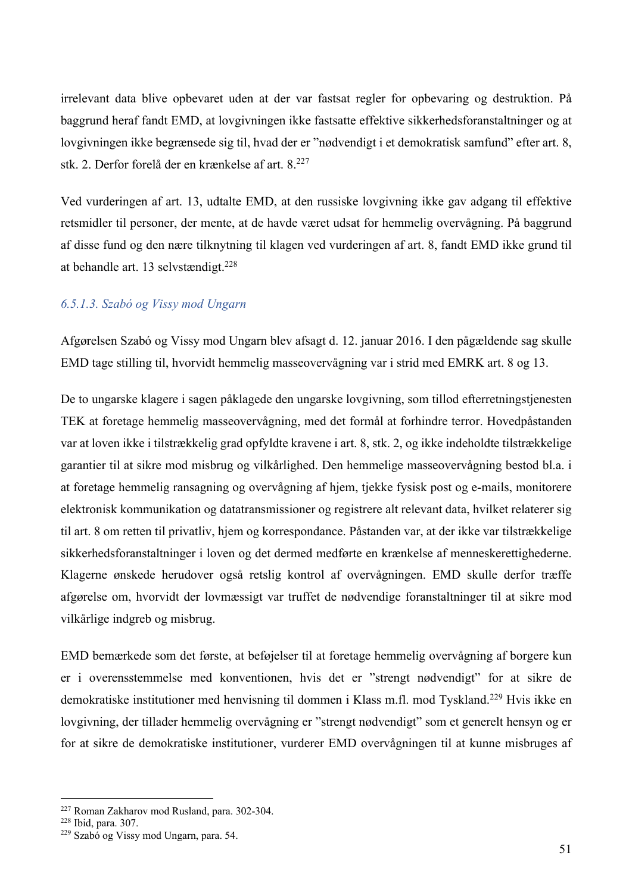irrelevant data blive opbevaret uden at der var fastsat regler for opbevaring og destruktion. På baggrund heraf fandt EMD, at lovgivningen ikke fastsatte effektive sikkerhedsforanstaltninger og at lovgivningen ikke begrænsede sig til, hvad der er "nødvendigt i et demokratisk samfund" efter art. 8, stk. 2. Derfor forelå der en krænkelse af art. 8.227

Ved vurderingen af art. 13, udtalte EMD, at den russiske lovgivning ikke gav adgang til effektive retsmidler til personer, der mente, at de havde været udsat for hemmelig overvågning. På baggrund af disse fund og den nære tilknytning til klagen ved vurderingen af art. 8, fandt EMD ikke grund til at behandle art. 13 selvstændigt.228

#### *6.5.1.3. Szabó og Vissy mod Ungarn*

Afgørelsen Szabó og Vissy mod Ungarn blev afsagt d. 12. januar 2016. I den pågældende sag skulle EMD tage stilling til, hvorvidt hemmelig masseovervågning var i strid med EMRK art. 8 og 13.

De to ungarske klagere i sagen påklagede den ungarske lovgivning, som tillod efterretningstjenesten TEK at foretage hemmelig masseovervågning, med det formål at forhindre terror. Hovedpåstanden var at loven ikke i tilstrækkelig grad opfyldte kravene i art. 8, stk. 2, og ikke indeholdte tilstrækkelige garantier til at sikre mod misbrug og vilkårlighed. Den hemmelige masseovervågning bestod bl.a. i at foretage hemmelig ransagning og overvågning af hjem, tjekke fysisk post og e-mails, monitorere elektronisk kommunikation og datatransmissioner og registrere alt relevant data, hvilket relaterer sig til art. 8 om retten til privatliv, hjem og korrespondance. Påstanden var, at der ikke var tilstrækkelige sikkerhedsforanstaltninger i loven og det dermed medførte en krænkelse af menneskerettighederne. Klagerne ønskede herudover også retslig kontrol af overvågningen. EMD skulle derfor træffe afgørelse om, hvorvidt der lovmæssigt var truffet de nødvendige foranstaltninger til at sikre mod vilkårlige indgreb og misbrug.

EMD bemærkede som det første, at beføjelser til at foretage hemmelig overvågning af borgere kun er i overensstemmelse med konventionen, hvis det er "strengt nødvendigt" for at sikre de demokratiske institutioner med henvisning til dommen i Klass m.fl. mod Tyskland.<sup>229</sup> Hvis ikke en lovgivning, der tillader hemmelig overvågning er "strengt nødvendigt" som et generelt hensyn og er for at sikre de demokratiske institutioner, vurderer EMD overvågningen til at kunne misbruges af

<sup>227</sup> Roman Zakharov mod Rusland, para. 302-304.

<sup>228</sup> Ibid, para. 307.

<sup>229</sup> Szabó og Vissy mod Ungarn, para. 54.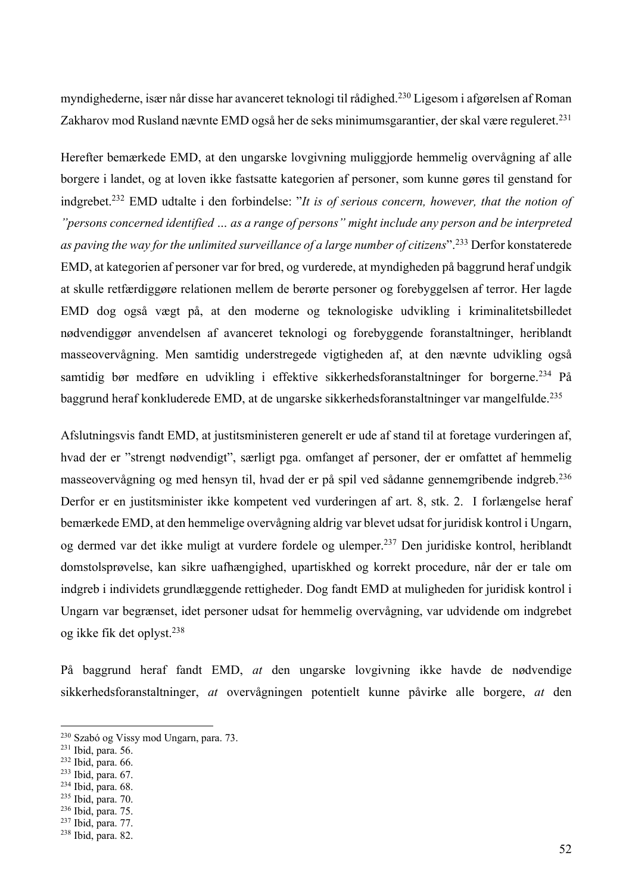myndighederne, især når disse har avanceret teknologi til rådighed.230 Ligesom i afgørelsen af Roman Zakharov mod Rusland nævnte EMD også her de seks minimumsgarantier, der skal være reguleret.<sup>231</sup>

Herefter bemærkede EMD, at den ungarske lovgivning muliggjorde hemmelig overvågning af alle borgere i landet, og at loven ikke fastsatte kategorien af personer, som kunne gøres til genstand for indgrebet.232 EMD udtalte i den forbindelse: "*It is of serious concern, however, that the notion of "persons concerned identified … as a range of persons" might include any person and be interpreted as paving the way for the unlimited surveillance of a large number of citizens*".233 Derfor konstaterede EMD, at kategorien af personer var for bred, og vurderede, at myndigheden på baggrund heraf undgik at skulle retfærdiggøre relationen mellem de berørte personer og forebyggelsen af terror. Her lagde EMD dog også vægt på, at den moderne og teknologiske udvikling i kriminalitetsbilledet nødvendiggør anvendelsen af avanceret teknologi og forebyggende foranstaltninger, heriblandt masseovervågning. Men samtidig understregede vigtigheden af, at den nævnte udvikling også samtidig bør medføre en udvikling i effektive sikkerhedsforanstaltninger for borgerne.<sup>234</sup> På baggrund heraf konkluderede EMD, at de ungarske sikkerhedsforanstaltninger var mangelfulde.<sup>235</sup>

Afslutningsvis fandt EMD, at justitsministeren generelt er ude af stand til at foretage vurderingen af, hvad der er "strengt nødvendigt", særligt pga. omfanget af personer, der er omfattet af hemmelig masseovervågning og med hensyn til, hvad der er på spil ved sådanne gennemgribende indgreb.236 Derfor er en justitsminister ikke kompetent ved vurderingen af art. 8, stk. 2. I forlængelse heraf bemærkede EMD, at den hemmelige overvågning aldrig var blevet udsat for juridisk kontrol i Ungarn, og dermed var det ikke muligt at vurdere fordele og ulemper.237 Den juridiske kontrol, heriblandt domstolsprøvelse, kan sikre uafhængighed, upartiskhed og korrekt procedure, når der er tale om indgreb i individets grundlæggende rettigheder. Dog fandt EMD at muligheden for juridisk kontrol i Ungarn var begrænset, idet personer udsat for hemmelig overvågning, var udvidende om indgrebet og ikke fik det oplyst. 238

På baggrund heraf fandt EMD, *at* den ungarske lovgivning ikke havde de nødvendige sikkerhedsforanstaltninger, *at* overvågningen potentielt kunne påvirke alle borgere, *at* den

<sup>230</sup> Szabó og Vissy mod Ungarn, para. 73.

<sup>&</sup>lt;sup>231</sup> Ibid, para. 56.

<sup>&</sup>lt;sup>232</sup> Ibid, para. 66.<br><sup>233</sup> Ibid, para. 67.<br><sup>234</sup> Ibid, para. 68.

<sup>&</sup>lt;sup>235</sup> Ibid, para. 70.

<sup>236</sup> Ibid, para. 75.

<sup>237</sup> Ibid, para. 77.

<sup>238</sup> Ibid, para. 82.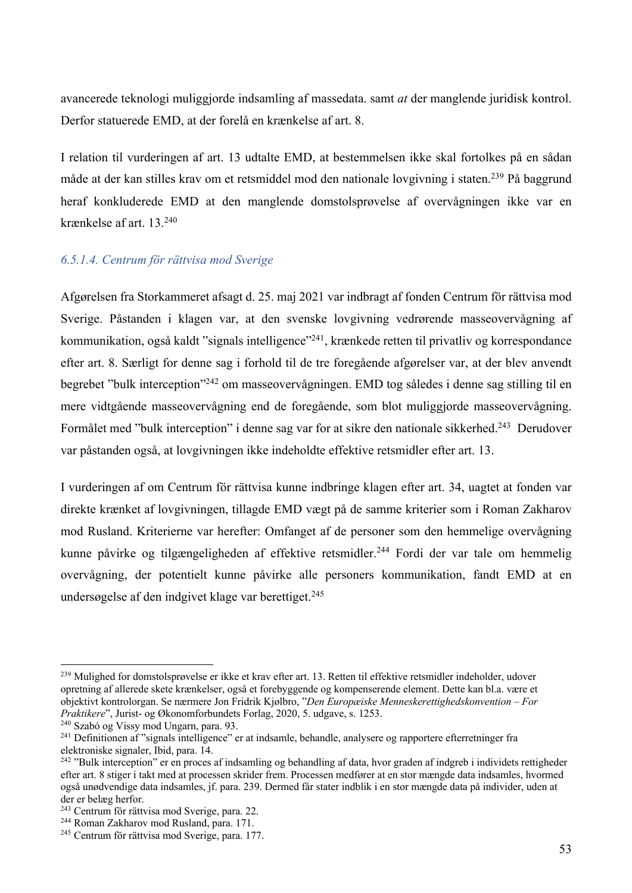avancerede teknologi muliggjorde indsamling af massedata. samt *at* der manglende juridisk kontrol. Derfor statuerede EMD, at der forelå en krænkelse af art. 8.

I relation til vurderingen af art. 13 udtalte EMD, at bestemmelsen ikke skal fortolkes på en sådan måde at der kan stilles krav om et retsmiddel mod den nationale lovgivning i staten.239 På baggrund heraf konkluderede EMD at den manglende domstolsprøvelse af overvågningen ikke var en krænkelse af art. 13.240

#### *6.5.1.4. Centrum för rättvisa mod Sverige*

Afgørelsen fra Storkammeret afsagt d. 25. maj 2021 var indbragt af fonden Centrum för rättvisa mod Sverige. Påstanden i klagen var, at den svenske lovgivning vedrørende masseovervågning af kommunikation, også kaldt "signals intelligence"<sup>241</sup>, krænkede retten til privatliv og korrespondance efter art. 8. Særligt for denne sag i forhold til de tre foregående afgørelser var, at der blev anvendt begrebet "bulk interception"242 om masseovervågningen. EMD tog således i denne sag stilling til en mere vidtgående masseovervågning end de foregående, som blot muliggjorde masseovervågning. Formålet med "bulk interception" i denne sag var for at sikre den nationale sikkerhed.243 Derudover var påstanden også, at lovgivningen ikke indeholdte effektive retsmidler efter art. 13.

I vurderingen af om Centrum för rättvisa kunne indbringe klagen efter art. 34, uagtet at fonden var direkte krænket af lovgivningen, tillagde EMD vægt på de samme kriterier som i Roman Zakharov mod Rusland. Kriterierne var herefter: Omfanget af de personer som den hemmelige overvågning kunne påvirke og tilgængeligheden af effektive retsmidler.244 Fordi der var tale om hemmelig overvågning, der potentielt kunne påvirke alle personers kommunikation, fandt EMD at en undersøgelse af den indgivet klage var berettiget.<sup>245</sup>

<sup>239</sup> Mulighed for domstolsprøvelse er ikke et krav efter art. 13. Retten til effektive retsmidler indeholder, udover opretning af allerede skete krænkelser, også et forebyggende og kompenserende element. Dette kan bl.a. være et objektivt kontrolorgan. Se nærmere Jon Fridrik Kjølbro, "*Den Europæiske Menneskerettighedskonvention – For Praktikere*", Jurist- og Økonomforbundets Forlag, 2020, 5. udgave, s. 1253. 240 Szabó og Vissy mod Ungarn, para. 93.

<sup>&</sup>lt;sup>241</sup> Definitionen af "signals intelligence" er at indsamle, behandle, analysere og rapportere efterretninger fra elektroniske signaler, Ibid, para. 14.

<sup>&</sup>lt;sup>242</sup> "Bulk interception" er en proces af indsamling og behandling af data, hvor graden af indgreb i individets rettigheder efter art. 8 stiger i takt med at processen skrider frem. Processen medfører at en stor mængde data indsamles, hvormed også unødvendige data indsamles, jf. para. 239. Dermed får stater indblik i en stor mængde data på individer, uden at der er belæg herfor.

<sup>243</sup> Centrum för rättvisa mod Sverige, para. 22. 244 Roman Zakharov mod Rusland, para. 171.

<sup>245</sup> Centrum för rättvisa mod Sverige, para. 177.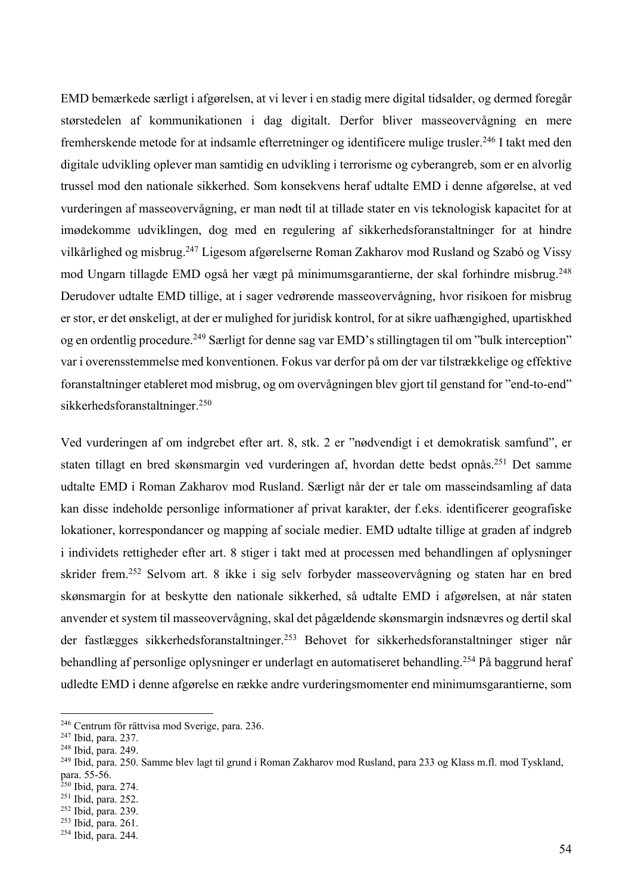EMD bemærkede særligt i afgørelsen, at vi lever i en stadig mere digital tidsalder, og dermed foregår størstedelen af kommunikationen i dag digitalt. Derfor bliver masseovervågning en mere fremherskende metode for at indsamle efterretninger og identificere mulige trusler.246 I takt med den digitale udvikling oplever man samtidig en udvikling i terrorisme og cyberangreb, som er en alvorlig trussel mod den nationale sikkerhed. Som konsekvens heraf udtalte EMD i denne afgørelse, at ved vurderingen af masseovervågning, er man nødt til at tillade stater en vis teknologisk kapacitet for at imødekomme udviklingen, dog med en regulering af sikkerhedsforanstaltninger for at hindre vilkårlighed og misbrug.247 Ligesom afgørelserne Roman Zakharov mod Rusland og Szabó og Vissy mod Ungarn tillagde EMD også her vægt på minimumsgarantierne, der skal forhindre misbrug.<sup>248</sup> Derudover udtalte EMD tillige, at i sager vedrørende masseovervågning, hvor risikoen for misbrug er stor, er det ønskeligt, at der er mulighed for juridisk kontrol, for at sikre uafhængighed, upartiskhed og en ordentlig procedure.249 Særligt for denne sag var EMD's stillingtagen til om "bulk interception" var i overensstemmelse med konventionen. Fokus var derfor på om der var tilstrækkelige og effektive foranstaltninger etableret mod misbrug, og om overvågningen blev gjort til genstand for "end-to-end" sikkerhedsforanstaltninger.250

Ved vurderingen af om indgrebet efter art. 8, stk. 2 er "nødvendigt i et demokratisk samfund", er staten tillagt en bred skønsmargin ved vurderingen af, hvordan dette bedst opnås.251 Det samme udtalte EMD i Roman Zakharov mod Rusland. Særligt når der er tale om masseindsamling af data kan disse indeholde personlige informationer af privat karakter, der f.eks. identificerer geografiske lokationer, korrespondancer og mapping af sociale medier. EMD udtalte tillige at graden af indgreb i individets rettigheder efter art. 8 stiger i takt med at processen med behandlingen af oplysninger skrider frem. <sup>252</sup> Selvom art. 8 ikke i sig selv forbyder masseovervågning og staten har en bred skønsmargin for at beskytte den nationale sikkerhed, så udtalte EMD i afgørelsen, at når staten anvender et system til masseovervågning, skal det pågældende skønsmargin indsnævres og dertil skal der fastlægges sikkerhedsforanstaltninger.253 Behovet for sikkerhedsforanstaltninger stiger når behandling af personlige oplysninger er underlagt en automatiseret behandling.254 På baggrund heraf udledte EMD i denne afgørelse en række andre vurderingsmomenter end minimumsgarantierne, som

<sup>246</sup> Centrum för rättvisa mod Sverige, para. 236.

 $^{247}$  Ibid, para. 237.<br><sup>248</sup> Ibid, para. 249.

<sup>&</sup>lt;sup>249</sup> Ibid, para. 250. Samme blev lagt til grund i Roman Zakharov mod Rusland, para 233 og Klass m.fl. mod Tyskland, para. 55-56.

<sup>&</sup>lt;sup>250</sup> Ibid, para. 274.

<sup>&</sup>lt;sup>251</sup> Ibid, para. 252.<br><sup>252</sup> Ibid, para. 239.

<sup>253</sup> Ibid, para. 261.

<sup>&</sup>lt;sup>254</sup> Ibid, para. 244.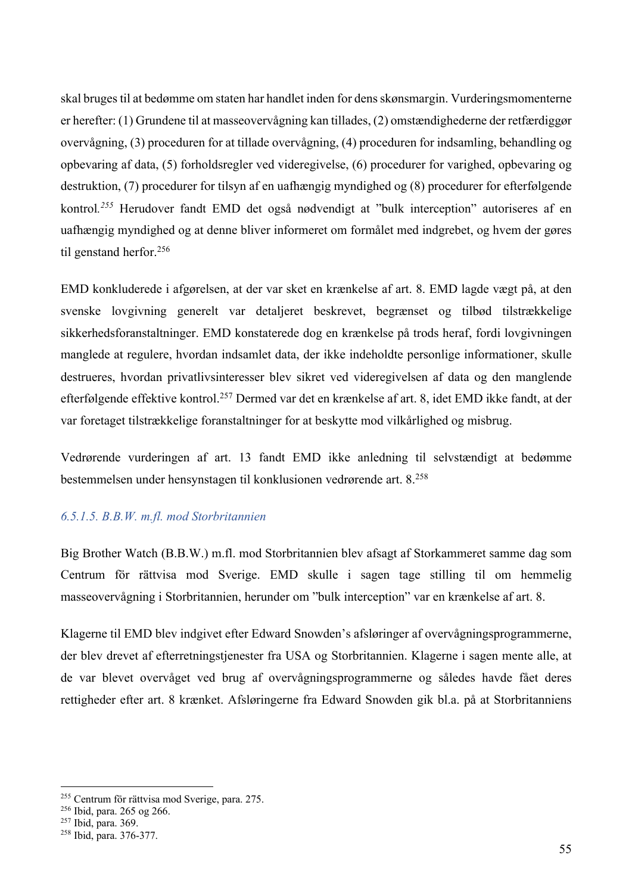skal bruges til at bedømme om staten har handlet inden for dens skønsmargin. Vurderingsmomenterne er herefter: (1) Grundene til at masseovervågning kan tillades, (2) omstændighederne der retfærdiggør overvågning, (3) proceduren for at tillade overvågning, (4) proceduren for indsamling, behandling og opbevaring af data, (5) forholdsregler ved videregivelse, (6) procedurer for varighed, opbevaring og destruktion, (7) procedurer for tilsyn af en uafhængig myndighed og (8) procedurer for efterfølgende kontrol*. <sup>255</sup>* Herudover fandt EMD det også nødvendigt at "bulk interception" autoriseres af en uafhængig myndighed og at denne bliver informeret om formålet med indgrebet, og hvem der gøres til genstand herfor.<sup>256</sup>

EMD konkluderede i afgørelsen, at der var sket en krænkelse af art. 8. EMD lagde vægt på, at den svenske lovgivning generelt var detaljeret beskrevet, begrænset og tilbød tilstrækkelige sikkerhedsforanstaltninger. EMD konstaterede dog en krænkelse på trods heraf, fordi lovgivningen manglede at regulere, hvordan indsamlet data, der ikke indeholdte personlige informationer, skulle destrueres, hvordan privatlivsinteresser blev sikret ved videregivelsen af data og den manglende efterfølgende effektive kontrol.257 Dermed var det en krænkelse af art. 8, idet EMD ikke fandt, at der var foretaget tilstrækkelige foranstaltninger for at beskytte mod vilkårlighed og misbrug.

Vedrørende vurderingen af art. 13 fandt EMD ikke anledning til selvstændigt at bedømme bestemmelsen under hensynstagen til konklusionen vedrørende art. 8.258

#### *6.5.1.5. B.B.W. m.fl. mod Storbritannien*

Big Brother Watch (B.B.W.) m.fl. mod Storbritannien blev afsagt af Storkammeret samme dag som Centrum för rättvisa mod Sverige. EMD skulle i sagen tage stilling til om hemmelig masseovervågning i Storbritannien, herunder om "bulk interception" var en krænkelse af art. 8.

Klagerne til EMD blev indgivet efter Edward Snowden's afsløringer af overvågningsprogrammerne, der blev drevet af efterretningstjenester fra USA og Storbritannien. Klagerne i sagen mente alle, at de var blevet overvåget ved brug af overvågningsprogrammerne og således havde fået deres rettigheder efter art. 8 krænket. Afsløringerne fra Edward Snowden gik bl.a. på at Storbritanniens

<sup>255</sup> Centrum för rättvisa mod Sverige, para. 275.

<sup>&</sup>lt;sup>256</sup> Ibid, para. 265 og 266.<br><sup>257</sup> Ibid, para. 369.

<sup>&</sup>lt;sup>258</sup> Ibid, para. 376-377.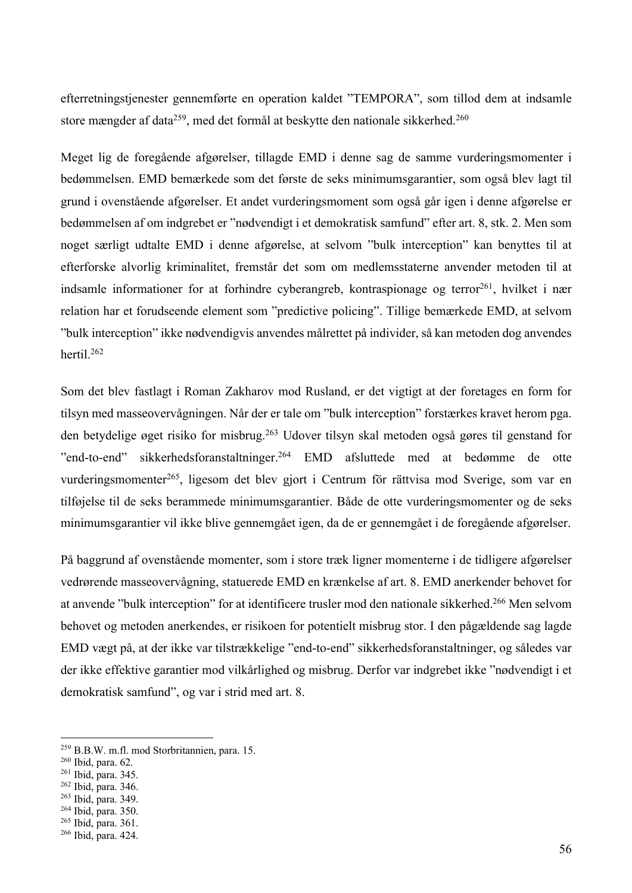efterretningstjenester gennemførte en operation kaldet "TEMPORA", som tillod dem at indsamle store mængder af data<sup>259</sup>, med det formål at beskytte den nationale sikkerhed.<sup>260</sup>

Meget lig de foregående afgørelser, tillagde EMD i denne sag de samme vurderingsmomenter i bedømmelsen. EMD bemærkede som det første de seks minimumsgarantier, som også blev lagt til grund i ovenstående afgørelser. Et andet vurderingsmoment som også går igen i denne afgørelse er bedømmelsen af om indgrebet er "nødvendigt i et demokratisk samfund" efter art. 8, stk. 2. Men som noget særligt udtalte EMD i denne afgørelse, at selvom "bulk interception" kan benyttes til at efterforske alvorlig kriminalitet, fremstår det som om medlemsstaterne anvender metoden til at indsamle informationer for at forhindre cyberangreb, kontraspionage og terror<sup>261</sup>, hvilket i nær relation har et forudseende element som "predictive policing". Tillige bemærkede EMD, at selvom "bulk interception" ikke nødvendigvis anvendes målrettet på individer, så kan metoden dog anvendes hertil.262

Som det blev fastlagt i Roman Zakharov mod Rusland, er det vigtigt at der foretages en form for tilsyn med masseovervågningen. Når der er tale om "bulk interception" forstærkes kravet herom pga. den betydelige øget risiko for misbrug.263 Udover tilsyn skal metoden også gøres til genstand for "end-to-end" sikkerhedsforanstaltninger. <sup>264</sup> EMD afsluttede med at bedømme de otte vurderingsmomenter<sup>265</sup>, ligesom det blev gjort i Centrum för rättvisa mod Sverige, som var en tilføjelse til de seks berammede minimumsgarantier. Både de otte vurderingsmomenter og de seks minimumsgarantier vil ikke blive gennemgået igen, da de er gennemgået i de foregående afgørelser.

På baggrund af ovenstående momenter, som i store træk ligner momenterne i de tidligere afgørelser vedrørende masseovervågning, statuerede EMD en krænkelse af art. 8. EMD anerkender behovet for at anvende "bulk interception" for at identificere trusler mod den nationale sikkerhed.266 Men selvom behovet og metoden anerkendes, er risikoen for potentielt misbrug stor. I den pågældende sag lagde EMD vægt på, at der ikke var tilstrækkelige "end-to-end" sikkerhedsforanstaltninger, og således var der ikke effektive garantier mod vilkårlighed og misbrug. Derfor var indgrebet ikke "nødvendigt i et demokratisk samfund", og var i strid med art. 8.

<sup>259</sup> B.B.W. m.fl. mod Storbritannien, para. 15.

<sup>260</sup> Ibid, para. 62.

 $^{261}$  Ibid, para. 345.<br><sup>262</sup> Ibid, para. 346.<br><sup>263</sup> Ibid, para. 349.

<sup>264</sup> Ibid, para. 350.

<sup>265</sup> Ibid, para. 361.

<sup>266</sup> Ibid, para. 424.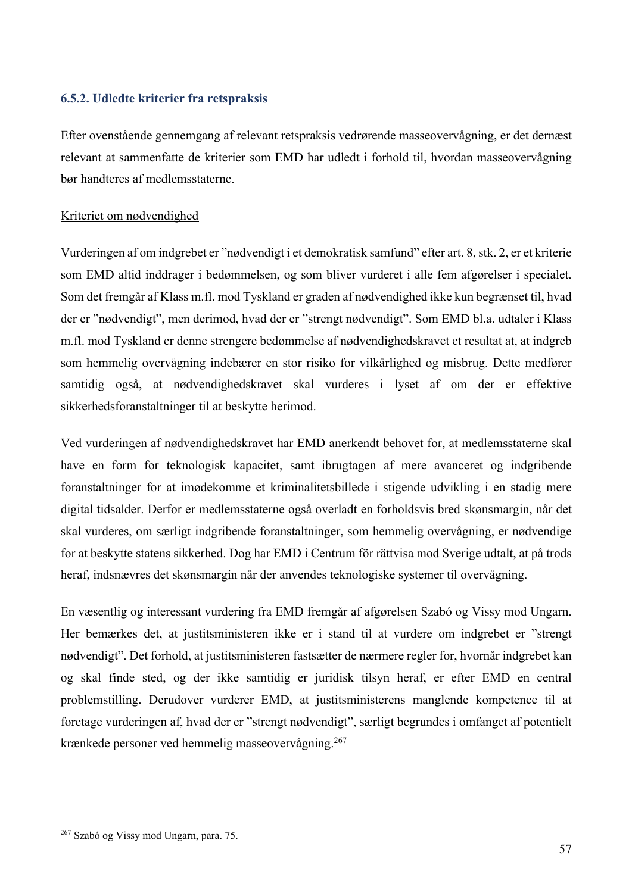#### **6.5.2. Udledte kriterier fra retspraksis**

Efter ovenstående gennemgang af relevant retspraksis vedrørende masseovervågning, er det dernæst relevant at sammenfatte de kriterier som EMD har udledt i forhold til, hvordan masseovervågning bør håndteres af medlemsstaterne.

#### Kriteriet om nødvendighed

Vurderingen af om indgrebet er "nødvendigt i et demokratisk samfund" efter art. 8, stk. 2, er et kriterie som EMD altid inddrager i bedømmelsen, og som bliver vurderet i alle fem afgørelser i specialet. Som det fremgår af Klass m.fl. mod Tyskland er graden af nødvendighed ikke kun begrænset til, hvad der er "nødvendigt", men derimod, hvad der er "strengt nødvendigt". Som EMD bl.a. udtaler i Klass m.fl. mod Tyskland er denne strengere bedømmelse af nødvendighedskravet et resultat at, at indgreb som hemmelig overvågning indebærer en stor risiko for vilkårlighed og misbrug. Dette medfører samtidig også, at nødvendighedskravet skal vurderes i lyset af om der er effektive sikkerhedsforanstaltninger til at beskytte herimod.

Ved vurderingen af nødvendighedskravet har EMD anerkendt behovet for, at medlemsstaterne skal have en form for teknologisk kapacitet, samt ibrugtagen af mere avanceret og indgribende foranstaltninger for at imødekomme et kriminalitetsbillede i stigende udvikling i en stadig mere digital tidsalder. Derfor er medlemsstaterne også overladt en forholdsvis bred skønsmargin, når det skal vurderes, om særligt indgribende foranstaltninger, som hemmelig overvågning, er nødvendige for at beskytte statens sikkerhed. Dog har EMD i Centrum för rättvisa mod Sverige udtalt, at på trods heraf, indsnævres det skønsmargin når der anvendes teknologiske systemer til overvågning.

En væsentlig og interessant vurdering fra EMD fremgår af afgørelsen Szabó og Vissy mod Ungarn. Her bemærkes det, at justitsministeren ikke er i stand til at vurdere om indgrebet er "strengt nødvendigt". Det forhold, at justitsministeren fastsætter de nærmere regler for, hvornår indgrebet kan og skal finde sted, og der ikke samtidig er juridisk tilsyn heraf, er efter EMD en central problemstilling. Derudover vurderer EMD, at justitsministerens manglende kompetence til at foretage vurderingen af, hvad der er "strengt nødvendigt", særligt begrundes i omfanget af potentielt krænkede personer ved hemmelig masseovervågning.267

<sup>267</sup> Szabó og Vissy mod Ungarn, para. 75.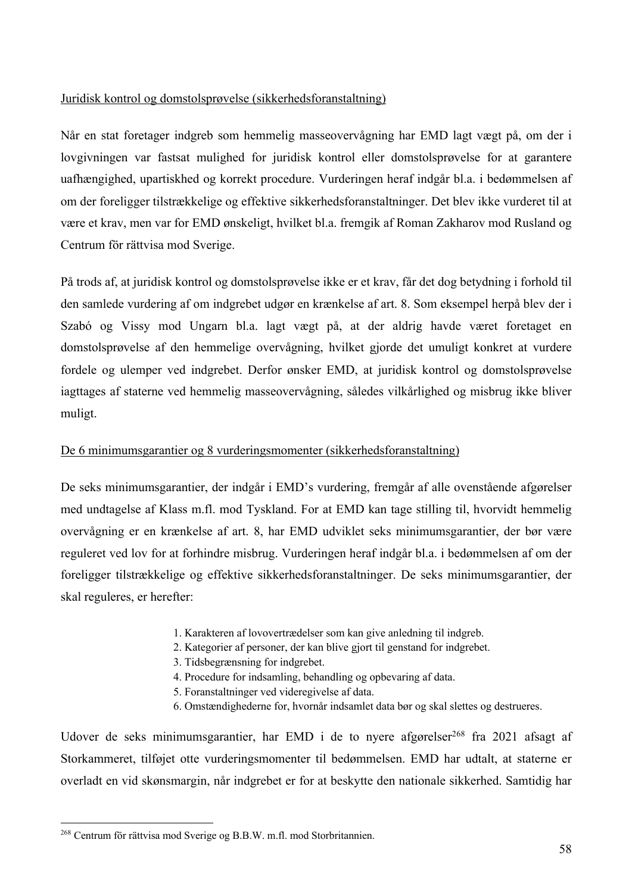#### Juridisk kontrol og domstolsprøvelse (sikkerhedsforanstaltning)

Når en stat foretager indgreb som hemmelig masseovervågning har EMD lagt vægt på, om der i lovgivningen var fastsat mulighed for juridisk kontrol eller domstolsprøvelse for at garantere uafhængighed, upartiskhed og korrekt procedure. Vurderingen heraf indgår bl.a. i bedømmelsen af om der foreligger tilstrækkelige og effektive sikkerhedsforanstaltninger. Det blev ikke vurderet til at være et krav, men var for EMD ønskeligt, hvilket bl.a. fremgik af Roman Zakharov mod Rusland og Centrum för rättvisa mod Sverige.

På trods af, at juridisk kontrol og domstolsprøvelse ikke er et krav, får det dog betydning i forhold til den samlede vurdering af om indgrebet udgør en krænkelse af art. 8. Som eksempel herpå blev der i Szabó og Vissy mod Ungarn bl.a. lagt vægt på, at der aldrig havde været foretaget en domstolsprøvelse af den hemmelige overvågning, hvilket gjorde det umuligt konkret at vurdere fordele og ulemper ved indgrebet. Derfor ønsker EMD, at juridisk kontrol og domstolsprøvelse iagttages af staterne ved hemmelig masseovervågning, således vilkårlighed og misbrug ikke bliver muligt.

#### De 6 minimumsgarantier og 8 vurderingsmomenter (sikkerhedsforanstaltning)

De seks minimumsgarantier, der indgår i EMD's vurdering, fremgår af alle ovenstående afgørelser med undtagelse af Klass m.fl. mod Tyskland. For at EMD kan tage stilling til, hvorvidt hemmelig overvågning er en krænkelse af art. 8, har EMD udviklet seks minimumsgarantier, der bør være reguleret ved lov for at forhindre misbrug. Vurderingen heraf indgår bl.a. i bedømmelsen af om der foreligger tilstrækkelige og effektive sikkerhedsforanstaltninger. De seks minimumsgarantier, der skal reguleres, er herefter:

- 1. Karakteren af lovovertrædelser som kan give anledning til indgreb.
- 2. Kategorier af personer, der kan blive gjort til genstand for indgrebet.
- 3. Tidsbegrænsning for indgrebet.
- 4. Procedure for indsamling, behandling og opbevaring af data.
- 5. Foranstaltninger ved videregivelse af data.
- 6. Omstændighederne for, hvornår indsamlet data bør og skal slettes og destrueres.

Udover de seks minimumsgarantier, har EMD i de to nyere afgørelser<sup>268</sup> fra 2021 afsagt af Storkammeret, tilføjet otte vurderingsmomenter til bedømmelsen. EMD har udtalt, at staterne er overladt en vid skønsmargin, når indgrebet er for at beskytte den nationale sikkerhed. Samtidig har

<sup>268</sup> Centrum för rättvisa mod Sverige og B.B.W. m.fl. mod Storbritannien.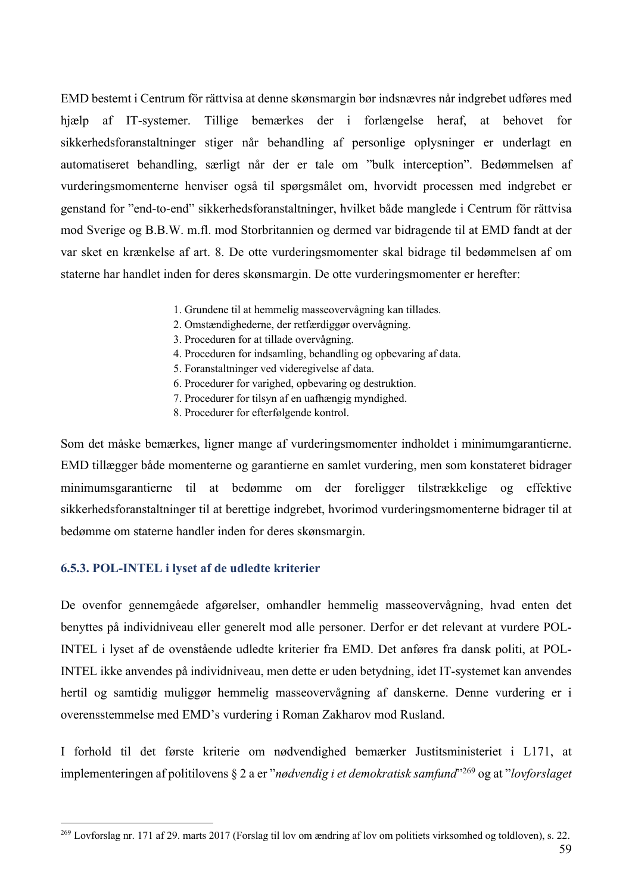EMD bestemt i Centrum för rättvisa at denne skønsmargin bør indsnævres når indgrebet udføres med hjælp af IT-systemer. Tillige bemærkes der i forlængelse heraf, at behovet for sikkerhedsforanstaltninger stiger når behandling af personlige oplysninger er underlagt en automatiseret behandling, særligt når der er tale om "bulk interception". Bedømmelsen af vurderingsmomenterne henviser også til spørgsmålet om, hvorvidt processen med indgrebet er genstand for "end-to-end" sikkerhedsforanstaltninger, hvilket både manglede i Centrum för rättvisa mod Sverige og B.B.W. m.fl. mod Storbritannien og dermed var bidragende til at EMD fandt at der var sket en krænkelse af art. 8. De otte vurderingsmomenter skal bidrage til bedømmelsen af om staterne har handlet inden for deres skønsmargin. De otte vurderingsmomenter er herefter:

- 1. Grundene til at hemmelig masseovervågning kan tillades.
- 2. Omstændighederne, der retfærdiggør overvågning.
- 3. Proceduren for at tillade overvågning.
- 4. Proceduren for indsamling, behandling og opbevaring af data.
- 5. Foranstaltninger ved videregivelse af data.
- 6. Procedurer for varighed, opbevaring og destruktion.
- 7. Procedurer for tilsyn af en uafhængig myndighed.
- 8. Procedurer for efterfølgende kontrol.

Som det måske bemærkes, ligner mange af vurderingsmomenter indholdet i minimumgarantierne. EMD tillægger både momenterne og garantierne en samlet vurdering, men som konstateret bidrager minimumsgarantierne til at bedømme om der foreligger tilstrækkelige og effektive sikkerhedsforanstaltninger til at berettige indgrebet, hvorimod vurderingsmomenterne bidrager til at bedømme om staterne handler inden for deres skønsmargin.

#### **6.5.3. POL-INTEL i lyset af de udledte kriterier**

De ovenfor gennemgåede afgørelser, omhandler hemmelig masseovervågning, hvad enten det benyttes på individniveau eller generelt mod alle personer. Derfor er det relevant at vurdere POL-INTEL i lyset af de ovenstående udledte kriterier fra EMD. Det anføres fra dansk politi, at POL-INTEL ikke anvendes på individniveau, men dette er uden betydning, idet IT-systemet kan anvendes hertil og samtidig muliggør hemmelig masseovervågning af danskerne. Denne vurdering er i overensstemmelse med EMD's vurdering i Roman Zakharov mod Rusland.

I forhold til det første kriterie om nødvendighed bemærker Justitsministeriet i L171, at implementeringen af politilovens § 2 a er "*nødvendig i et demokratisk samfund*"269 og at "*lovforslaget* 

<sup>269</sup> Lovforslag nr. 171 af 29. marts 2017 (Forslag til lov om ændring af lov om politiets virksomhed og toldloven), s. 22.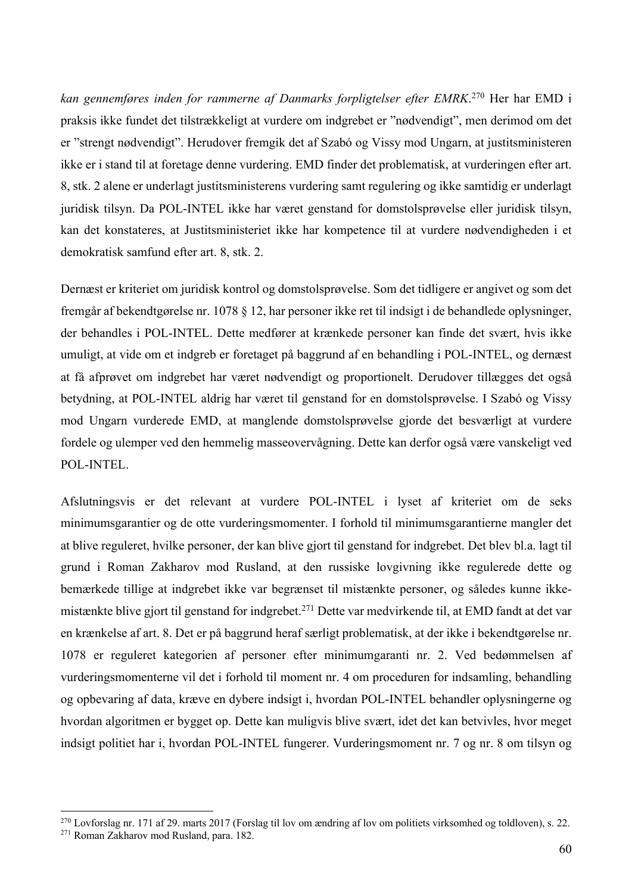*kan gennemføres inden for rammerne af Danmarks forpligtelser efter EMRK*. <sup>270</sup> Her har EMD i praksis ikke fundet det tilstrækkeligt at vurdere om indgrebet er "nødvendigt", men derimod om det er "strengt nødvendigt". Herudover fremgik det af Szabó og Vissy mod Ungarn, at justitsministeren ikke er i stand til at foretage denne vurdering. EMD finder det problematisk, at vurderingen efter art. 8, stk. 2 alene er underlagt justitsministerens vurdering samt regulering og ikke samtidig er underlagt juridisk tilsyn. Da POL-INTEL ikke har været genstand for domstolsprøvelse eller juridisk tilsyn, kan det konstateres, at Justitsministeriet ikke har kompetence til at vurdere nødvendigheden i et demokratisk samfund efter art. 8, stk. 2.

Dernæst er kriteriet om juridisk kontrol og domstolsprøvelse. Som det tidligere er angivet og som det fremgår af bekendtgørelse nr. 1078 § 12, har personer ikke ret til indsigt i de behandlede oplysninger, der behandles i POL-INTEL. Dette medfører at krænkede personer kan finde det svært, hvis ikke umuligt, at vide om et indgreb er foretaget på baggrund af en behandling i POL-INTEL, og dernæst at få afprøvet om indgrebet har været nødvendigt og proportionelt. Derudover tillægges det også betydning, at POL-INTEL aldrig har været til genstand for en domstolsprøvelse. I Szabó og Vissy mod Ungarn vurderede EMD, at manglende domstolsprøvelse gjorde det besværligt at vurdere fordele og ulemper ved den hemmelig masseovervågning. Dette kan derfor også være vanskeligt ved POL-INTEL.

Afslutningsvis er det relevant at vurdere POL-INTEL i lyset af kriteriet om de seks minimumsgarantier og de otte vurderingsmomenter. I forhold til minimumsgarantierne mangler det at blive reguleret, hvilke personer, der kan blive gjort til genstand for indgrebet. Det blev bl.a. lagt til grund i Roman Zakharov mod Rusland, at den russiske lovgivning ikke regulerede dette og bemærkede tillige at indgrebet ikke var begrænset til mistænkte personer, og således kunne ikkemistænkte blive gjort til genstand for indgrebet.271 Dette var medvirkende til, at EMD fandt at det var en krænkelse af art. 8. Det er på baggrund heraf særligt problematisk, at der ikke i bekendtgørelse nr. 1078 er reguleret kategorien af personer efter minimumgaranti nr. 2. Ved bedømmelsen af vurderingsmomenterne vil det i forhold til moment nr. 4 om proceduren for indsamling, behandling og opbevaring af data, kræve en dybere indsigt i, hvordan POL-INTEL behandler oplysningerne og hvordan algoritmen er bygget op. Dette kan muligvis blive svært, idet det kan betvivles, hvor meget indsigt politiet har i, hvordan POL-INTEL fungerer. Vurderingsmoment nr. 7 og nr. 8 om tilsyn og

<sup>270</sup> Lovforslag nr. 171 af 29. marts 2017 (Forslag til lov om ændring af lov om politiets virksomhed og toldloven), s. 22.

<sup>271</sup> Roman Zakharov mod Rusland, para. 182.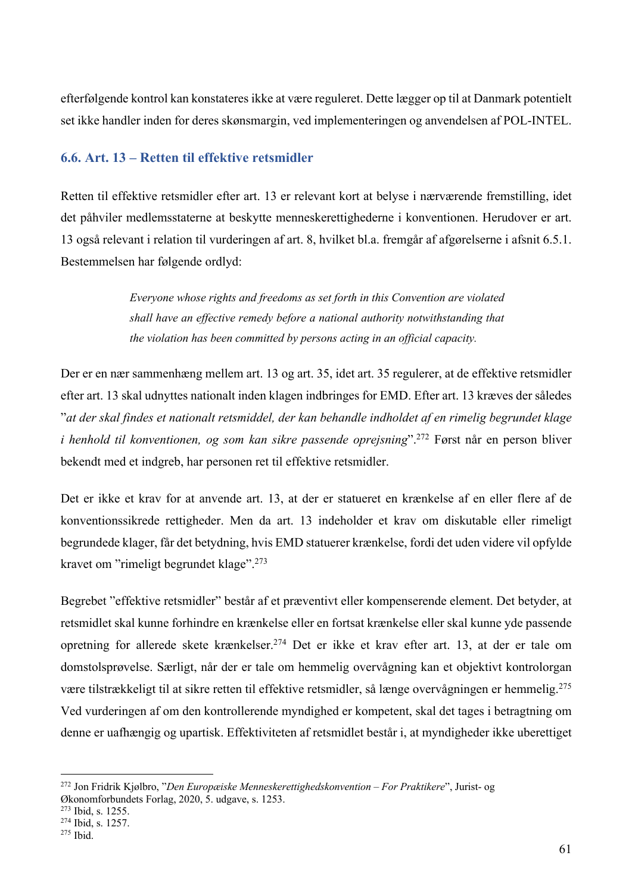efterfølgende kontrol kan konstateres ikke at være reguleret. Dette lægger op til at Danmark potentielt set ikke handler inden for deres skønsmargin, ved implementeringen og anvendelsen af POL-INTEL.

#### **6.6. Art. 13 – Retten til effektive retsmidler**

Retten til effektive retsmidler efter art. 13 er relevant kort at belyse i nærværende fremstilling, idet det påhviler medlemsstaterne at beskytte menneskerettighederne i konventionen. Herudover er art. 13 også relevant i relation til vurderingen af art. 8, hvilket bl.a. fremgår af afgørelserne i afsnit 6.5.1. Bestemmelsen har følgende ordlyd:

> *Everyone whose rights and freedoms as set forth in this Convention are violated shall have an effective remedy before a national authority notwithstanding that the violation has been committed by persons acting in an official capacity.*

Der er en nær sammenhæng mellem art. 13 og art. 35, idet art. 35 regulerer, at de effektive retsmidler efter art. 13 skal udnyttes nationalt inden klagen indbringes for EMD. Efter art. 13 kræves der således "*at der skal findes et nationalt retsmiddel, der kan behandle indholdet af en rimelig begrundet klage i henhold til konventionen, og som kan sikre passende oprejsning*".272 Først når en person bliver bekendt med et indgreb, har personen ret til effektive retsmidler.

Det er ikke et krav for at anvende art. 13, at der er statueret en krænkelse af en eller flere af de konventionssikrede rettigheder. Men da art. 13 indeholder et krav om diskutable eller rimeligt begrundede klager, får det betydning, hvis EMD statuerer krænkelse, fordi det uden videre vil opfylde kravet om "rimeligt begrundet klage".273

Begrebet "effektive retsmidler" består af et præventivt eller kompenserende element. Det betyder, at retsmidlet skal kunne forhindre en krænkelse eller en fortsat krænkelse eller skal kunne yde passende opretning for allerede skete krænkelser.274 Det er ikke et krav efter art. 13, at der er tale om domstolsprøvelse. Særligt, når der er tale om hemmelig overvågning kan et objektivt kontrolorgan være tilstrækkeligt til at sikre retten til effektive retsmidler, så længe overvågningen er hemmelig.275 Ved vurderingen af om den kontrollerende myndighed er kompetent, skal det tages i betragtning om denne er uafhængig og upartisk. Effektiviteten af retsmidlet består i, at myndigheder ikke uberettiget

<sup>272</sup> Jon Fridrik Kjølbro, "*Den Europæiske Menneskerettighedskonvention – For Praktikere*", Jurist- og Økonomforbundets Forlag, 2020, 5. udgave, s. 1253.<br><sup>273</sup> Ibid, s. 1255.

<sup>&</sup>lt;sup>274</sup> Ibid, s. 1257.

 $275$  Ibid.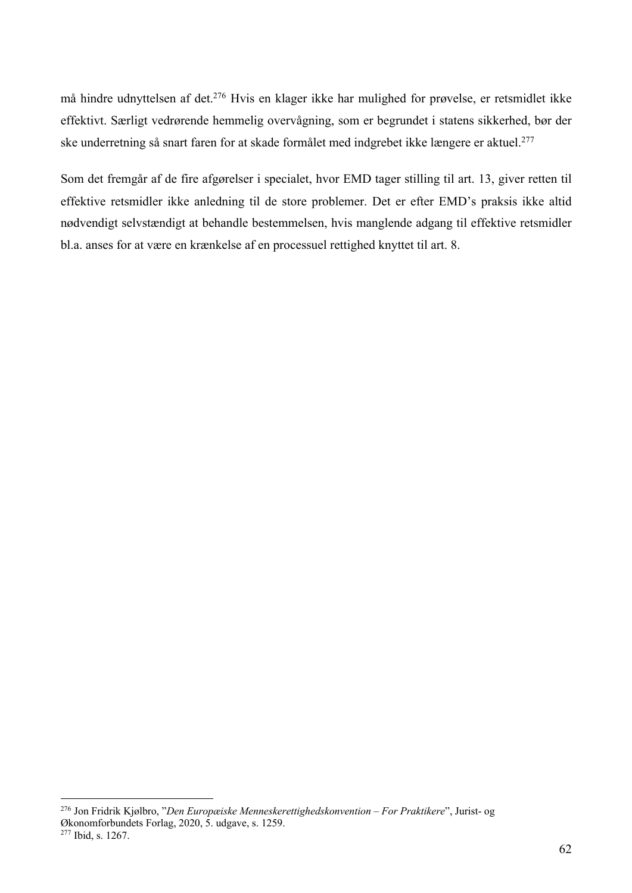må hindre udnyttelsen af det.276 Hvis en klager ikke har mulighed for prøvelse, er retsmidlet ikke effektivt. Særligt vedrørende hemmelig overvågning, som er begrundet i statens sikkerhed, bør der ske underretning så snart faren for at skade formålet med indgrebet ikke længere er aktuel.<sup>277</sup>

Som det fremgår af de fire afgørelser i specialet, hvor EMD tager stilling til art. 13, giver retten til effektive retsmidler ikke anledning til de store problemer. Det er efter EMD's praksis ikke altid nødvendigt selvstændigt at behandle bestemmelsen, hvis manglende adgang til effektive retsmidler bl.a. anses for at være en krænkelse af en processuel rettighed knyttet til art. 8.

<sup>276</sup> Jon Fridrik Kjølbro, "*Den Europæiske Menneskerettighedskonvention – For Praktikere*", Jurist- og Økonomforbundets Forlag, 2020, 5. udgave, s. 1259. <sup>277</sup> Ibid, s. 1267.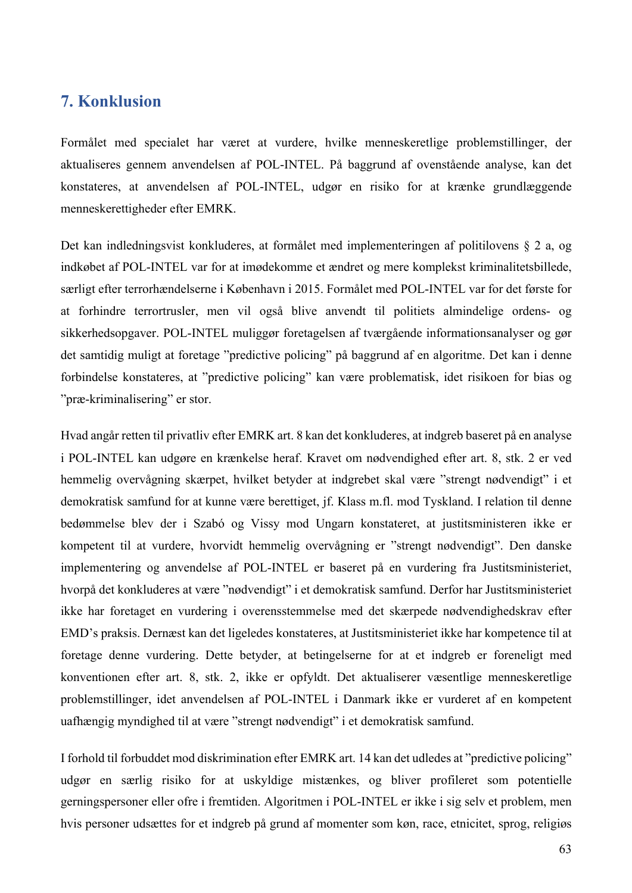## **7. Konklusion**

Formålet med specialet har været at vurdere, hvilke menneskeretlige problemstillinger, der aktualiseres gennem anvendelsen af POL-INTEL. På baggrund af ovenstående analyse, kan det konstateres, at anvendelsen af POL-INTEL, udgør en risiko for at krænke grundlæggende menneskerettigheder efter EMRK.

Det kan indledningsvist konkluderes, at formålet med implementeringen af politilovens § 2 a, og indkøbet af POL-INTEL var for at imødekomme et ændret og mere komplekst kriminalitetsbillede, særligt efter terrorhændelserne i København i 2015. Formålet med POL-INTEL var for det første for at forhindre terrortrusler, men vil også blive anvendt til politiets almindelige ordens- og sikkerhedsopgaver. POL-INTEL muliggør foretagelsen af tværgående informationsanalyser og gør det samtidig muligt at foretage "predictive policing" på baggrund af en algoritme. Det kan i denne forbindelse konstateres, at "predictive policing" kan være problematisk, idet risikoen for bias og "præ-kriminalisering" er stor.

Hvad angår retten til privatliv efter EMRK art. 8 kan det konkluderes, at indgreb baseret på en analyse i POL-INTEL kan udgøre en krænkelse heraf. Kravet om nødvendighed efter art. 8, stk. 2 er ved hemmelig overvågning skærpet, hvilket betyder at indgrebet skal være "strengt nødvendigt" i et demokratisk samfund for at kunne være berettiget, jf. Klass m.fl. mod Tyskland. I relation til denne bedømmelse blev der i Szabó og Vissy mod Ungarn konstateret, at justitsministeren ikke er kompetent til at vurdere, hvorvidt hemmelig overvågning er "strengt nødvendigt". Den danske implementering og anvendelse af POL-INTEL er baseret på en vurdering fra Justitsministeriet, hvorpå det konkluderes at være "nødvendigt" i et demokratisk samfund. Derfor har Justitsministeriet ikke har foretaget en vurdering i overensstemmelse med det skærpede nødvendighedskrav efter EMD's praksis. Dernæst kan det ligeledes konstateres, at Justitsministeriet ikke har kompetence til at foretage denne vurdering. Dette betyder, at betingelserne for at et indgreb er foreneligt med konventionen efter art. 8, stk. 2, ikke er opfyldt. Det aktualiserer væsentlige menneskeretlige problemstillinger, idet anvendelsen af POL-INTEL i Danmark ikke er vurderet af en kompetent uafhængig myndighed til at være "strengt nødvendigt" i et demokratisk samfund.

I forhold til forbuddet mod diskrimination efter EMRK art. 14 kan det udledes at "predictive policing" udgør en særlig risiko for at uskyldige mistænkes, og bliver profileret som potentielle gerningspersoner eller ofre i fremtiden. Algoritmen i POL-INTEL er ikke i sig selv et problem, men hvis personer udsættes for et indgreb på grund af momenter som køn, race, etnicitet, sprog, religiøs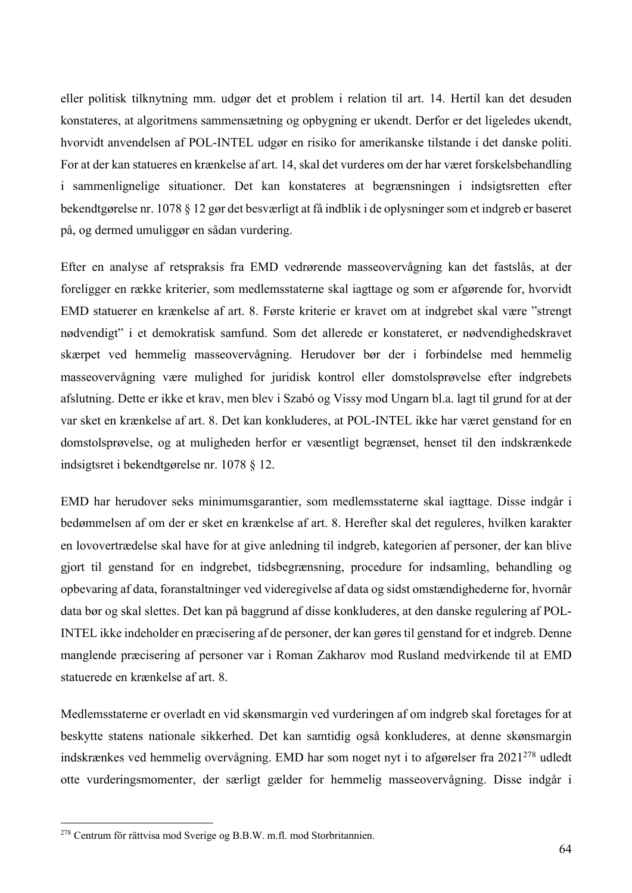eller politisk tilknytning mm. udgør det et problem i relation til art. 14. Hertil kan det desuden konstateres, at algoritmens sammensætning og opbygning er ukendt. Derfor er det ligeledes ukendt, hvorvidt anvendelsen af POL-INTEL udgør en risiko for amerikanske tilstande i det danske politi. For at der kan statueres en krænkelse af art. 14, skal det vurderes om der har været forskelsbehandling i sammenlignelige situationer. Det kan konstateres at begrænsningen i indsigtsretten efter bekendtgørelse nr. 1078 § 12 gør det besværligt at få indblik i de oplysninger som et indgreb er baseret på, og dermed umuliggør en sådan vurdering.

Efter en analyse af retspraksis fra EMD vedrørende masseovervågning kan det fastslås, at der foreligger en række kriterier, som medlemsstaterne skal iagttage og som er afgørende for, hvorvidt EMD statuerer en krænkelse af art. 8. Første kriterie er kravet om at indgrebet skal være "strengt nødvendigt" i et demokratisk samfund. Som det allerede er konstateret, er nødvendighedskravet skærpet ved hemmelig masseovervågning. Herudover bør der i forbindelse med hemmelig masseovervågning være mulighed for juridisk kontrol eller domstolsprøvelse efter indgrebets afslutning. Dette er ikke et krav, men blev i Szabó og Vissy mod Ungarn bl.a. lagt til grund for at der var sket en krænkelse af art. 8. Det kan konkluderes, at POL-INTEL ikke har været genstand for en domstolsprøvelse, og at muligheden herfor er væsentligt begrænset, henset til den indskrænkede indsigtsret i bekendtgørelse nr. 1078 § 12.

EMD har herudover seks minimumsgarantier, som medlemsstaterne skal iagttage. Disse indgår i bedømmelsen af om der er sket en krænkelse af art. 8. Herefter skal det reguleres, hvilken karakter en lovovertrædelse skal have for at give anledning til indgreb, kategorien af personer, der kan blive gjort til genstand for en indgrebet, tidsbegrænsning, procedure for indsamling, behandling og opbevaring af data, foranstaltninger ved videregivelse af data og sidst omstændighederne for, hvornår data bør og skal slettes. Det kan på baggrund af disse konkluderes, at den danske regulering af POL-INTEL ikke indeholder en præcisering af de personer, der kan gøres til genstand for et indgreb. Denne manglende præcisering af personer var i Roman Zakharov mod Rusland medvirkende til at EMD statuerede en krænkelse af art. 8.

Medlemsstaterne er overladt en vid skønsmargin ved vurderingen af om indgreb skal foretages for at beskytte statens nationale sikkerhed. Det kan samtidig også konkluderes, at denne skønsmargin indskrænkes ved hemmelig overvågning. EMD har som noget nyt i to afgørelser fra 2021<sup>278</sup> udledt otte vurderingsmomenter, der særligt gælder for hemmelig masseovervågning. Disse indgår i

<sup>278</sup> Centrum för rättvisa mod Sverige og B.B.W. m.fl. mod Storbritannien.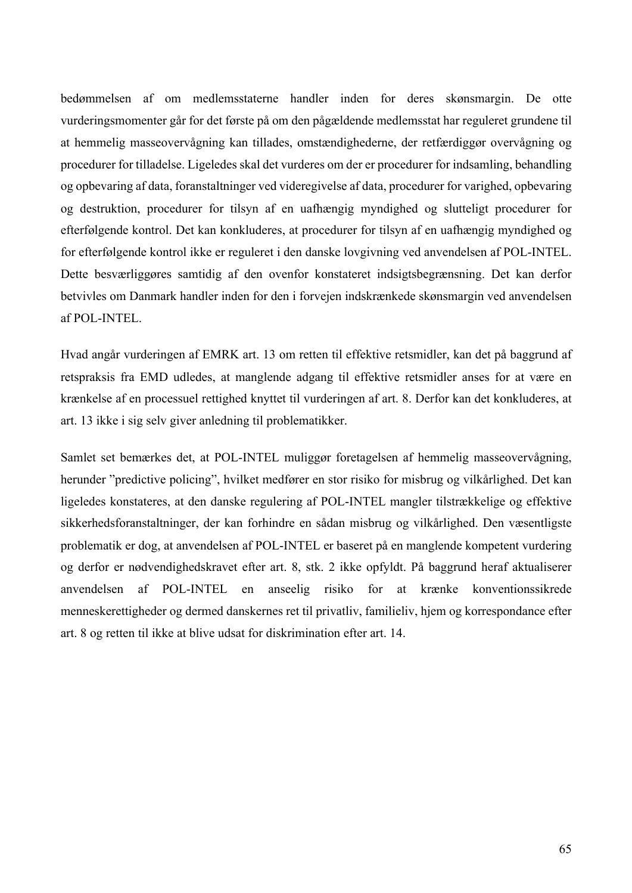bedømmelsen af om medlemsstaterne handler inden for deres skønsmargin. De otte vurderingsmomenter går for det første på om den pågældende medlemsstat har reguleret grundene til at hemmelig masseovervågning kan tillades, omstændighederne, der retfærdiggør overvågning og procedurer for tilladelse. Ligeledes skal det vurderes om der er procedurer for indsamling, behandling og opbevaring af data, foranstaltninger ved videregivelse af data, procedurer for varighed, opbevaring og destruktion, procedurer for tilsyn af en uafhængig myndighed og slutteligt procedurer for efterfølgende kontrol. Det kan konkluderes, at procedurer for tilsyn af en uafhængig myndighed og for efterfølgende kontrol ikke er reguleret i den danske lovgivning ved anvendelsen af POL-INTEL. Dette besværliggøres samtidig af den ovenfor konstateret indsigtsbegrænsning. Det kan derfor betvivles om Danmark handler inden for den i forvejen indskrænkede skønsmargin ved anvendelsen af POL-INTEL.

Hvad angår vurderingen af EMRK art. 13 om retten til effektive retsmidler, kan det på baggrund af retspraksis fra EMD udledes, at manglende adgang til effektive retsmidler anses for at være en krænkelse af en processuel rettighed knyttet til vurderingen af art. 8. Derfor kan det konkluderes, at art. 13 ikke i sig selv giver anledning til problematikker.

Samlet set bemærkes det, at POL-INTEL muliggør foretagelsen af hemmelig masseovervågning, herunder "predictive policing", hvilket medfører en stor risiko for misbrug og vilkårlighed. Det kan ligeledes konstateres, at den danske regulering af POL-INTEL mangler tilstrækkelige og effektive sikkerhedsforanstaltninger, der kan forhindre en sådan misbrug og vilkårlighed. Den væsentligste problematik er dog, at anvendelsen af POL-INTEL er baseret på en manglende kompetent vurdering og derfor er nødvendighedskravet efter art. 8, stk. 2 ikke opfyldt. På baggrund heraf aktualiserer anvendelsen af POL-INTEL en anseelig risiko for at krænke konventionssikrede menneskerettigheder og dermed danskernes ret til privatliv, familieliv, hjem og korrespondance efter art. 8 og retten til ikke at blive udsat for diskrimination efter art. 14.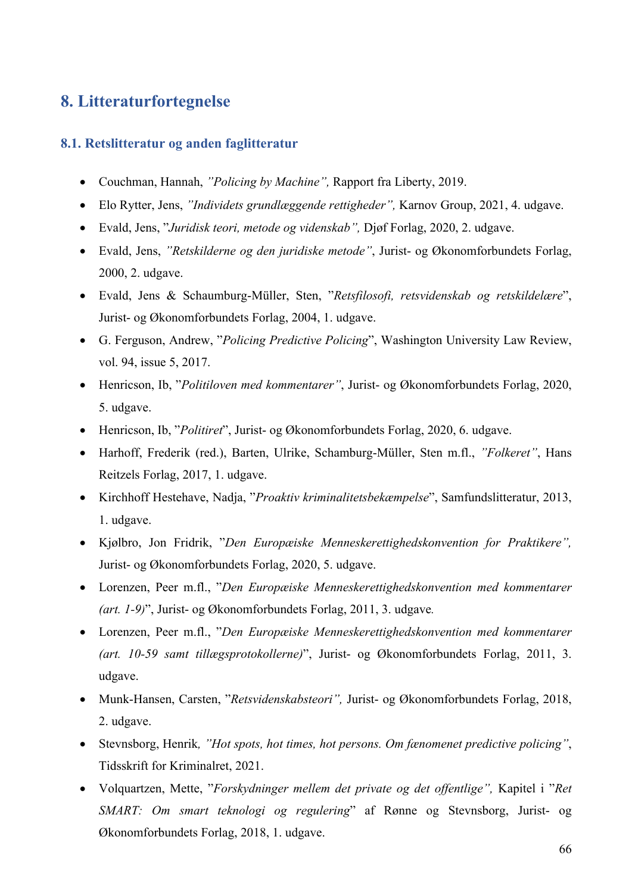## **8. Litteraturfortegnelse**

#### **8.1. Retslitteratur og anden faglitteratur**

- Couchman, Hannah, *"Policing by Machine",* Rapport fra Liberty, 2019.
- Elo Rytter, Jens, *"Individets grundlæggende rettigheder",* Karnov Group, 2021, 4. udgave.
- Evald, Jens, "*Juridisk teori, metode og videnskab",* Djøf Forlag, 2020, 2. udgave.
- Evald, Jens, *"Retskilderne og den juridiske metode"*, Jurist- og Økonomforbundets Forlag, 2000, 2. udgave.
- Evald, Jens & Schaumburg-Müller, Sten, "*Retsfilosofi, retsvidenskab og retskildelære*", Jurist- og Økonomforbundets Forlag, 2004, 1. udgave.
- G. Ferguson, Andrew, "*Policing Predictive Policing*", Washington University Law Review, vol. 94, issue 5, 2017.
- Henricson, Ib, "*Politiloven med kommentarer"*, Jurist- og Økonomforbundets Forlag, 2020, 5. udgave.
- Henricson, Ib, "*Politiret*", Jurist- og Økonomforbundets Forlag, 2020, 6. udgave.
- Harhoff, Frederik (red.), Barten, Ulrike, Schamburg-Müller, Sten m.fl., *"Folkeret"*, Hans Reitzels Forlag, 2017, 1. udgave.
- Kirchhoff Hestehave, Nadja, "*Proaktiv kriminalitetsbekæmpelse*", Samfundslitteratur, 2013, 1. udgave.
- Kjølbro, Jon Fridrik, "*Den Europæiske Menneskerettighedskonvention for Praktikere",* Jurist- og Økonomforbundets Forlag, 2020, 5. udgave.
- Lorenzen, Peer m.fl., "*Den Europæiske Menneskerettighedskonvention med kommentarer (art. 1-9)*", Jurist- og Økonomforbundets Forlag, 2011, 3. udgave*.*
- Lorenzen, Peer m.fl., "*Den Europæiske Menneskerettighedskonvention med kommentarer (art. 10-59 samt tillægsprotokollerne)*", Jurist- og Økonomforbundets Forlag, 2011, 3. udgave.
- Munk-Hansen, Carsten, "*Retsvidenskabsteori",* Jurist- og Økonomforbundets Forlag, 2018, 2. udgave.
- Stevnsborg, Henrik*, "Hot spots, hot times, hot persons. Om fænomenet predictive policing"*, Tidsskrift for Kriminalret, 2021.
- Volquartzen, Mette, "*Forskydninger mellem det private og det offentlige",* Kapitel i "*Ret SMART: Om smart teknologi og regulering*" af Rønne og Stevnsborg, Jurist- og Økonomforbundets Forlag, 2018, 1. udgave.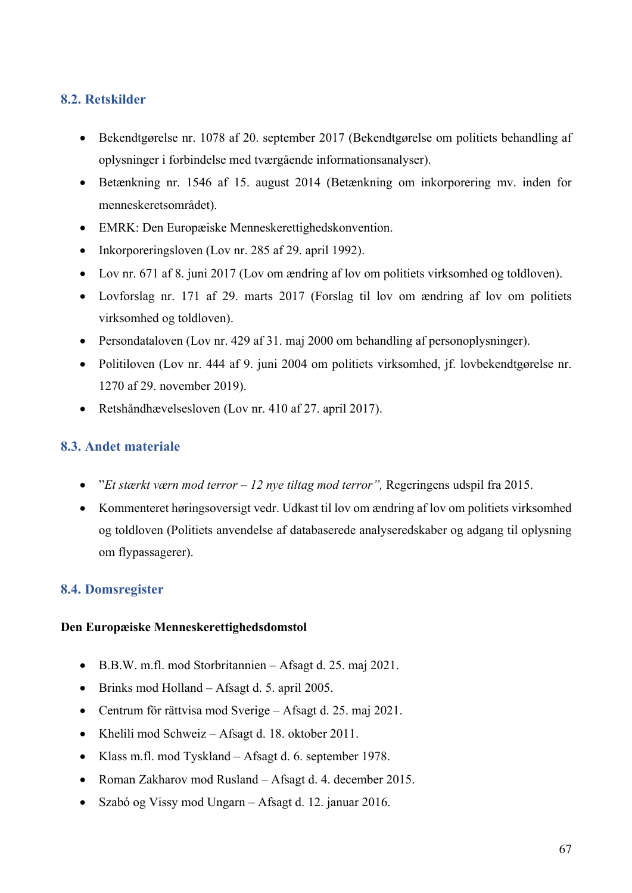## **8.2. Retskilder**

- Bekendtgørelse nr. 1078 af 20. september 2017 (Bekendtgørelse om politiets behandling af oplysninger i forbindelse med tværgående informationsanalyser).
- Betænkning nr. 1546 af 15. august 2014 (Betænkning om inkorporering mv. inden for menneskeretsområdet).
- EMRK: Den Europæiske Menneskerettighedskonvention.
- Inkorporeringsloven (Lov nr. 285 af 29. april 1992).
- Lov nr. 671 af 8. juni 2017 (Lov om ændring af lov om politiets virksomhed og toldloven).
- Lovforslag nr. 171 af 29. marts 2017 (Forslag til lov om ændring af lov om politiets virksomhed og toldloven).
- Persondataloven (Lov nr. 429 af 31. maj 2000 om behandling af personoplysninger).
- Politiloven (Lov nr. 444 af 9. juni 2004 om politiets virksomhed, jf. lovbekendtgørelse nr. 1270 af 29. november 2019).
- Retshåndhævelsesloven (Lov nr. 410 af 27. april 2017).

## **8.3. Andet materiale**

- "*Et stærkt værn mod terror – 12 nye tiltag mod terror",* Regeringens udspil fra 2015.
- Kommenteret høringsoversigt vedr. Udkast til lov om ændring af lov om politiets virksomhed og toldloven (Politiets anvendelse af databaserede analyseredskaber og adgang til oplysning om flypassagerer).

## **8.4. Domsregister**

#### **Den Europæiske Menneskerettighedsdomstol**

- B.B.W. m.fl. mod Storbritannien Afsagt d. 25. maj 2021.
- Brinks mod Holland Afsagt d. 5. april 2005.
- Centrum för rättvisa mod Sverige Afsagt d. 25. maj 2021.
- Khelili mod Schweiz Afsagt d. 18. oktober 2011.
- Klass m.fl. mod Tyskland Afsagt d. 6. september 1978.
- Roman Zakharov mod Rusland Afsagt d. 4. december 2015.
- Szabó og Vissy mod Ungarn Afsagt d. 12. januar 2016.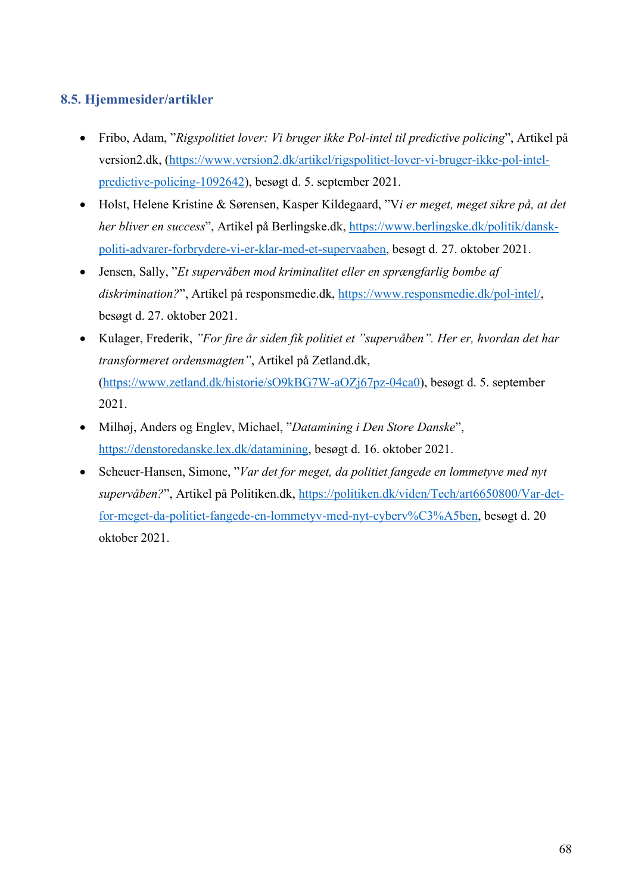## **8.5. Hjemmesider/artikler**

- Fribo, Adam, "*Rigspolitiet lover: Vi bruger ikke Pol-intel til predictive policing*", Artikel på version2.dk, (https://www.version2.dk/artikel/rigspolitiet-lover-vi-bruger-ikke-pol-intelpredictive-policing-1092642), besøgt d. 5. september 2021.
- Holst, Helene Kristine & Sørensen, Kasper Kildegaard, "V*i er meget, meget sikre på, at det her bliver en success*", Artikel på Berlingske.dk, https://www.berlingske.dk/politik/danskpoliti-advarer-forbrydere-vi-er-klar-med-et-supervaaben, besøgt d. 27. oktober 2021.
- Jensen, Sally, "*Et supervåben mod kriminalitet eller en sprængfarlig bombe af*  diskrimination?", Artikel på responsmedie.dk, https://www.responsmedie.dk/pol-intel/, besøgt d. 27. oktober 2021.
- Kulager, Frederik, *"For fire år siden fik politiet et "supervåben". Her er, hvordan det har transformeret ordensmagten"*, Artikel på Zetland.dk, (https://www.zetland.dk/historie/sO9kBG7W-aOZj67pz-04ca0), besøgt d. 5. september 2021.
- Milhøj, Anders og Englev, Michael, "*Datamining i Den Store Danske*", https://denstoredanske.lex.dk/datamining, besøgt d. 16. oktober 2021.
- Scheuer-Hansen, Simone, "*Var det for meget, da politiet fangede en lommetyve med nyt supervåben?*", Artikel på Politiken.dk, https://politiken.dk/viden/Tech/art6650800/Var-detfor-meget-da-politiet-fangede-en-lommetyv-med-nyt-cyberv%C3%A5ben, besøgt d. 20 oktober 2021.